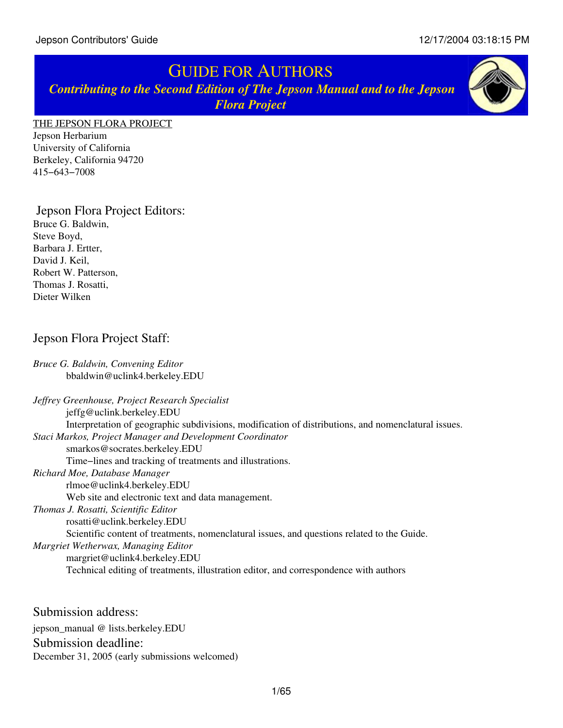# GUIDE FOR AUTHORS

 *Contributing to the Second Edition of The Jepson Manual and to the Jepson Flora Project*



Jepson Herbarium University of California Berkeley, California 94720 415−643−7008

# Jepson Flora Project Editors:

Bruce G. Baldwin, Steve Boyd, Barbara J. Ertter, David J. Keil, Robert W. Patterson, Thomas J. Rosatti, Dieter Wilken

# Jepson Flora Project Staff:

*Bruce G. Baldwin, Convening Editor* bbaldwin@uclink4.berkeley.EDU

*Jeffrey Greenhouse, Project Research Specialist* jeffg@uclink.berkeley.EDU Interpretation of geographic subdivisions, modification of distributions, and nomenclatural issues. *Staci Markos, Project Manager and Development Coordinator* smarkos@socrates.berkeley.EDU Time−lines and tracking of treatments and illustrations. *Richard Moe, Database Manager* rlmoe@uclink4.berkeley.EDU Web site and electronic text and data management. *Thomas J. Rosatti, Scientific Editor* rosatti@uclink.berkeley.EDU Scientific content of treatments, nomenclatural issues, and questions related to the Guide. *Margriet Wetherwax, Managing Editor* margriet@uclink4.berkeley.EDU Technical editing of treatments, illustration editor, and correspondence with authors

<span id="page-0-0"></span>Submission address: jepson\_manual @ lists.berkeley.EDU Submission deadline: December 31, 2005 (early submissions welcomed)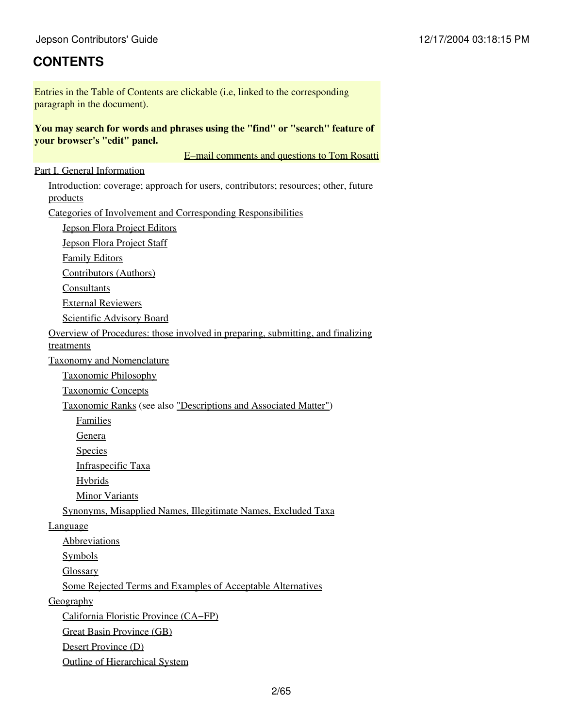# **CONTENTS**

Entries in the Table of Contents are clickable (i.e, linked to the corresponding paragraph in the document).

**You may search for words and phrases using the "find" or "search" feature of your browser's "edit" panel.**

[E−mail comments and questions to Tom Rosatti](mailto:rosatti@berkeley.edu?subject=Contributors)

[Part I. General Information](#page-2-0) [Introduction: coverage; approach for users, contributors; resources; other, future](#page-2-1) [products](#page-2-1) [Categories of Involvement and Corresponding Responsibilities](#page-4-0) [Jepson Flora Project Editors](#page-4-1) [Jepson Flora Project Staff](#page-4-2) [Family Editors](#page-4-3) [Contributors \(Authors\)](#page-4-4) **[Consultants](#page-4-5)** [External Reviewers](#page-5-0) [Scientific Advisory Board](#page-5-1) [Overview of Procedures: those involved in preparing, submitting, and finalizing](#page-5-2) [treatments](#page-5-2) [Taxonomy and Nomenclature](#page-6-0) [Taxonomic Philosophy](#page-6-1) [Taxonomic Concepts](#page-7-0) [Taxonomic Ranks](#page-7-1) (see also ["Descriptions and Associated Matter"](#page-59-0)) [Families](#page-7-2) [Genera](#page-8-0) [Species](#page-8-1) [Infraspecific Taxa](#page-8-2) [Hybrids](#page-8-3) [Minor Variants](#page-9-0) [Synonyms, Misapplied Names, Illegitimate Names, Excluded Taxa](#page-9-1) **[Language](#page-10-0)** [Abbreviations](#page-10-1) [Symbols](#page-13-0) **[Glossary](#page-13-1)** [Some Rejected Terms and Examples of Acceptable Alternatives](#page-35-0) **[Geography](#page-37-0)** [California Floristic Province \(CA−FP\)](#page-39-0) [Great Basin Province \(GB\)](#page-46-0) [Desert Province \(D\)](#page-46-1) [Outline of Hierarchical System](#page-47-0)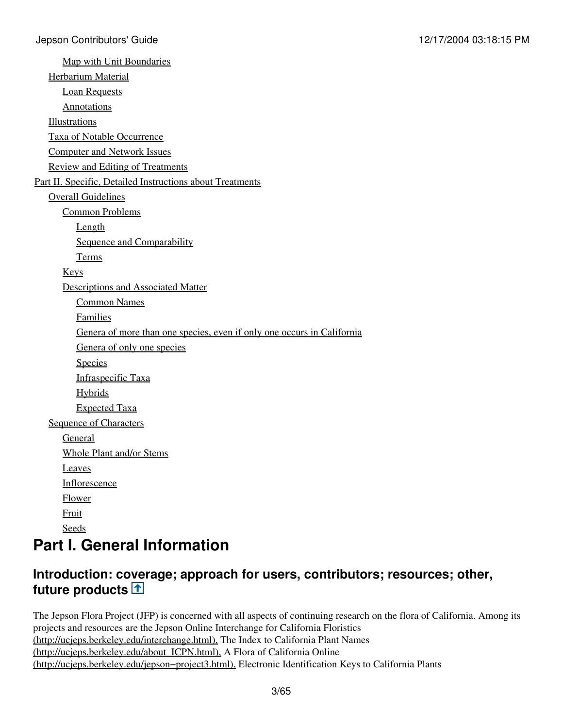[Map with Unit Boundaries](#page-48-0)

[Herbarium Material](#page-49-0)

[Loan Requests](#page-49-1)

**[Annotations](#page-52-0)** 

[Illustrations](#page-52-1)

[Taxa of Notable Occurrence](#page-52-2)

[Computer and Network Issues](#page-53-0)

[Review and Editing of Treatments](#page-56-0)

[Part II. Specific, Detailed Instructions about Treatments](#page-56-1)

**[Overall Guidelines](#page-56-2)** 

[Common Problems](#page-56-3)

[Length](#page-56-4)

[Sequence and Comparability](#page-57-0)

[Terms](#page-57-1)

### [Keys](#page-57-2)

[Descriptions and Associated Matter](#page-59-0)

[Common Names](#page-59-1)

[Families](#page-60-0)

[Genera of more than one species, even if only one occurs in California](#page-60-1)

[Genera of only one species](#page-60-2)

**[Species](#page-60-3)** 

[Infraspecific Taxa](#page-61-0)

[Hybrids](#page-61-1)

[Expected Taxa](#page-61-2)

[Sequence of Characters](#page-61-3)

[General](#page-62-0)

Whole Plant and/or Stems

[Leaves](#page-62-1)

[Inflorescence](#page-63-0)

[Flower](#page-63-1)

[Fruit](#page-63-2)

[Seeds](#page-64-0)

# <span id="page-2-0"></span>**Part I. General Information**

# <span id="page-2-1"></span>**Introduction: coverage; approach for users, contributors; resources; other, future products**

The Jepson Flora Project (JFP) is concerned with all aspects of continuing research on the flora of California. Among its projects and resources are the Jepson Online Interchange for California Floristics [\(http://ucjeps.berkeley.edu/interchange.html\),](http://ucjeps.berkeley.edu/interchange.html) The Index to California Plant Names [\(http://ucjeps.berkeley.edu/about\\_ICPN.html\),](http://ucjeps.berkeley.edu/about_ICPN.html) A Flora of California Online [\(http://ucjeps.berkeley.edu/jepson−project3.html\),](http://ucjeps.berkeley.edu/jepson-project3.html) Electronic Identification Keys to California Plants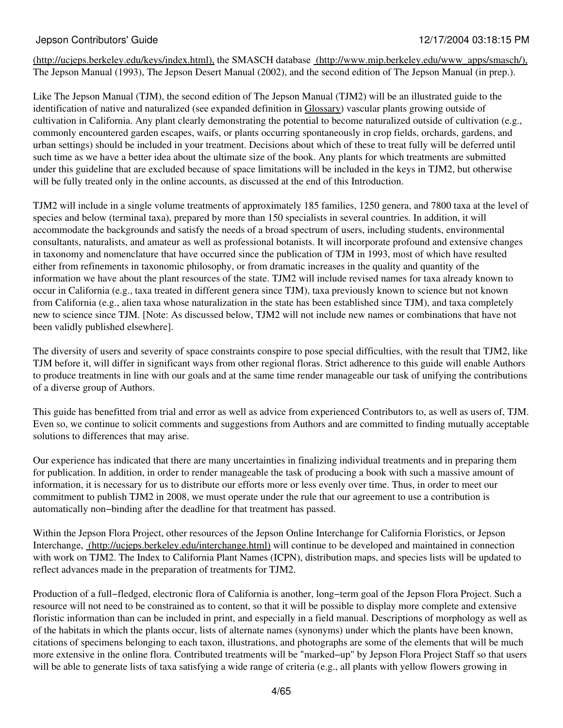[\(http://ucjeps.berkeley.edu/keys/index.html\),](http://ucjeps.berkeley.edu/keys/index.html) the SMASCH database [\(http://www.mip.berkeley.edu/www\\_apps/smasch/\),](http://www.mip.berkeley.edu/www_apps/smasch/) The Jepson Manual (1993), The Jepson Desert Manual (2002), and the second edition of The Jepson Manual (in prep.).

Like The Jepson Manual (TJM), the second edition of The Jepson Manual (TJM2) will be an illustrated guide to the identification of native and naturalized (see expanded definition in [Glossary](#page-13-1)) vascular plants growing outside of cultivation in California. Any plant clearly demonstrating the potential to become naturalized outside of cultivation (e.g., commonly encountered garden escapes, waifs, or plants occurring spontaneously in crop fields, orchards, gardens, and urban settings) should be included in your treatment. Decisions about which of these to treat fully will be deferred until such time as we have a better idea about the ultimate size of the book. Any plants for which treatments are submitted under this guideline that are excluded because of space limitations will be included in the keys in TJM2, but otherwise will be fully treated only in the online accounts, as discussed at the end of this Introduction.

TJM2 will include in a single volume treatments of approximately 185 families, 1250 genera, and 7800 taxa at the level of species and below (terminal taxa), prepared by more than 150 specialists in several countries. In addition, it will accommodate the backgrounds and satisfy the needs of a broad spectrum of users, including students, environmental consultants, naturalists, and amateur as well as professional botanists. It will incorporate profound and extensive changes in taxonomy and nomenclature that have occurred since the publication of TJM in 1993, most of which have resulted either from refinements in taxonomic philosophy, or from dramatic increases in the quality and quantity of the information we have about the plant resources of the state. TJM2 will include revised names for taxa already known to occur in California (e.g., taxa treated in different genera since TJM), taxa previously known to science but not known from California (e.g., alien taxa whose naturalization in the state has been established since TJM), and taxa completely new to science since TJM. [Note: As discussed below, TJM2 will not include new names or combinations that have not been validly published elsewhere].

The diversity of users and severity of space constraints conspire to pose special difficulties, with the result that TJM2, like TJM before it, will differ in significant ways from other regional floras. Strict adherence to this guide will enable Authors to produce treatments in line with our goals and at the same time render manageable our task of unifying the contributions of a diverse group of Authors.

This guide has benefitted from trial and error as well as advice from experienced Contributors to, as well as users of, TJM. Even so, we continue to solicit comments and suggestions from Authors and are committed to finding mutually acceptable solutions to differences that may arise.

Our experience has indicated that there are many uncertainties in finalizing individual treatments and in preparing them for publication. In addition, in order to render manageable the task of producing a book with such a massive amount of information, it is necessary for us to distribute our efforts more or less evenly over time. Thus, in order to meet our commitment to publish TJM2 in 2008, we must operate under the rule that our agreement to use a contribution is automatically non−binding after the deadline for that treatment has passed.

Within the Jepson Flora Project, other resources of the Jepson Online Interchange for California Floristics, or Jepson Interchange, [\(http://ucjeps.berkeley.edu/interchange.html\)](http://ucjeps.berkeley.edu/interchange.html) will continue to be developed and maintained in connection with work on TJM2. The Index to California Plant Names (ICPN), distribution maps, and species lists will be updated to reflect advances made in the preparation of treatments for TJM2.

Production of a full−fledged, electronic flora of California is another, long−term goal of the Jepson Flora Project. Such a resource will not need to be constrained as to content, so that it will be possible to display more complete and extensive floristic information than can be included in print, and especially in a field manual. Descriptions of morphology as well as of the habitats in which the plants occur, lists of alternate names (synonyms) under which the plants have been known, citations of specimens belonging to each taxon, illustrations, and photographs are some of the elements that will be much more extensive in the online flora. Contributed treatments will be "marked−up" by Jepson Flora Project Staff so that users will be able to generate lists of taxa satisfying a wide range of criteria (e.g., all plants with yellow flowers growing in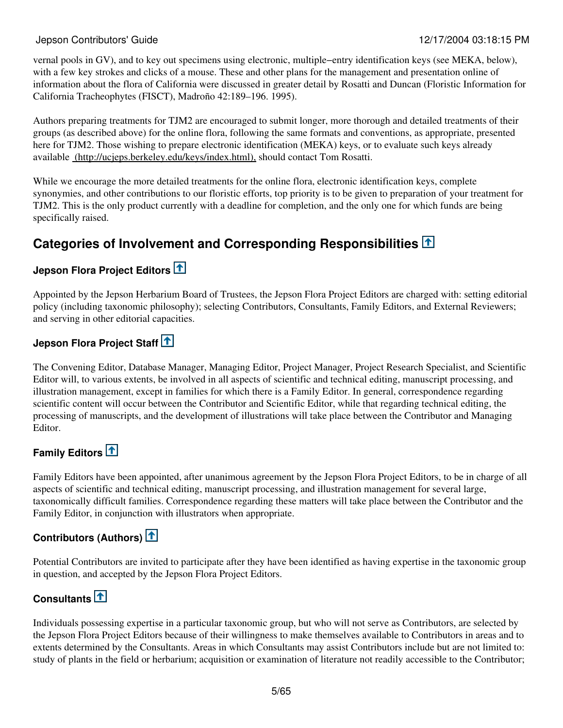vernal pools in GV), and to key out specimens using electronic, multiple−entry identification keys (see MEKA, below), with a few key strokes and clicks of a mouse. These and other plans for the management and presentation online of information about the flora of California were discussed in greater detail by Rosatti and Duncan (Floristic Information for California Tracheophytes (FISCT), Madroño 42:189–196. 1995).

Authors preparing treatments for TJM2 are encouraged to submit longer, more thorough and detailed treatments of their groups (as described above) for the online flora, following the same formats and conventions, as appropriate, presented here for TJM2. Those wishing to prepare electronic identification (MEKA) keys, or to evaluate such keys already available [\(http://ucjeps.berkeley.edu/keys/index.html\),](http://ucjeps.berkeley.edu/keys/index.html) should contact Tom Rosatti.

While we encourage the more detailed treatments for the online flora, electronic identification keys, complete synonymies, and other contributions to our floristic efforts, top priority is to be given to preparation of your treatment for TJM2. This is the only product currently with a deadline for completion, and the only one for which funds are being specifically raised.

# <span id="page-4-0"></span>**Categories of Involvement and Corresponding Responsibilities**

# <span id="page-4-1"></span>**Jepson Flora Project Editors**

Appointed by the Jepson Herbarium Board of Trustees, the Jepson Flora Project Editors are charged with: setting editorial policy (including taxonomic philosophy); selecting Contributors, Consultants, Family Editors, and External Reviewers; and serving in other editorial capacities.

# <span id="page-4-2"></span>**Jepson Flora Project Staff**

The Convening Editor, Database Manager, Managing Editor, Project Manager, Project Research Specialist, and Scientific Editor will, to various extents, be involved in all aspects of scientific and technical editing, manuscript processing, and illustration management, except in families for which there is a Family Editor. In general, correspondence regarding scientific content will occur between the Contributor and Scientific Editor, while that regarding technical editing, the processing of manuscripts, and the development of illustrations will take place between the Contributor and Managing Editor.

# <span id="page-4-3"></span>**Family Editors**

Family Editors have been appointed, after unanimous agreement by the Jepson Flora Project Editors, to be in charge of all aspects of scientific and technical editing, manuscript processing, and illustration management for several large, taxonomically difficult families. Correspondence regarding these matters will take place between the Contributor and the Family Editor, in conjunction with illustrators when appropriate.

# <span id="page-4-4"></span>**Contributors (Authors)**

Potential Contributors are invited to participate after they have been identified as having expertise in the taxonomic group in question, and accepted by the Jepson Flora Project Editors.

# <span id="page-4-5"></span>**Consultants**

Individuals possessing expertise in a particular taxonomic group, but who will not serve as Contributors, are selected by the Jepson Flora Project Editors because of their willingness to make themselves available to Contributors in areas and to extents determined by the Consultants. Areas in which Consultants may assist Contributors include but are not limited to: study of plants in the field or herbarium; acquisition or examination of literature not readily accessible to the Contributor;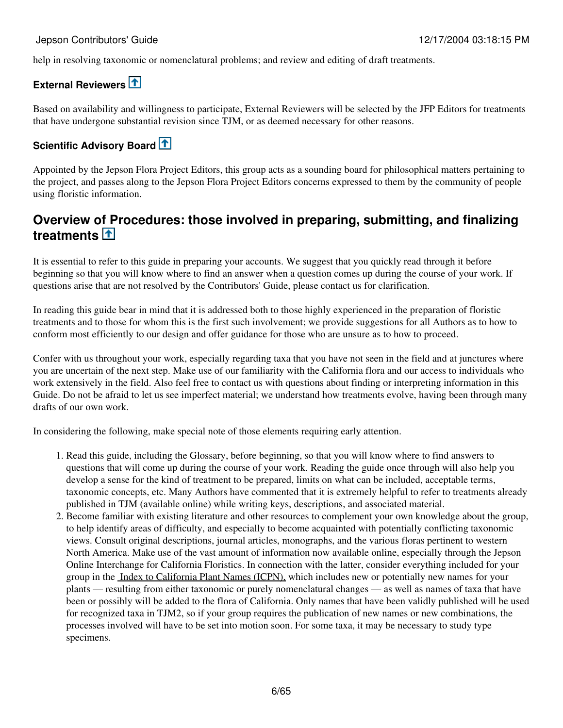help in resolving taxonomic or nomenclatural problems; and review and editing of draft treatments.

# <span id="page-5-0"></span>**External Reviewers**

Based on availability and willingness to participate, External Reviewers will be selected by the JFP Editors for treatments that have undergone substantial revision since TJM, or as deemed necessary for other reasons.

# <span id="page-5-1"></span>**Scientific Advisory Board**

Appointed by the Jepson Flora Project Editors, this group acts as a sounding board for philosophical matters pertaining to the project, and passes along to the Jepson Flora Project Editors concerns expressed to them by the community of people using floristic information.

# <span id="page-5-2"></span>**Overview of Procedures: those involved in preparing, submitting, and finalizing treatments**

It is essential to refer to this guide in preparing your accounts. We suggest that you quickly read through it before beginning so that you will know where to find an answer when a question comes up during the course of your work. If questions arise that are not resolved by the Contributors' Guide, please contact us for clarification.

In reading this guide bear in mind that it is addressed both to those highly experienced in the preparation of floristic treatments and to those for whom this is the first such involvement; we provide suggestions for all Authors as to how to conform most efficiently to our design and offer guidance for those who are unsure as to how to proceed.

Confer with us throughout your work, especially regarding taxa that you have not seen in the field and at junctures where you are uncertain of the next step. Make use of our familiarity with the California flora and our access to individuals who work extensively in the field. Also feel free to contact us with questions about finding or interpreting information in this Guide. Do not be afraid to let us see imperfect material; we understand how treatments evolve, having been through many drafts of our own work.

In considering the following, make special note of those elements requiring early attention.

- 1. Read this guide, including the Glossary, before beginning, so that you will know where to find answers to questions that will come up during the course of your work. Reading the guide once through will also help you develop a sense for the kind of treatment to be prepared, limits on what can be included, acceptable terms, taxonomic concepts, etc. Many Authors have commented that it is extremely helpful to refer to treatments already published in TJM (available online) while writing keys, descriptions, and associated material.
- 2. Become familiar with existing literature and other resources to complement your own knowledge about the group, to help identify areas of difficulty, and especially to become acquainted with potentially conflicting taxonomic views. Consult original descriptions, journal articles, monographs, and the various floras pertinent to western North America. Make use of the vast amount of information now available online, especially through the Jepson Online Interchange for California Floristics. In connection with the latter, consider everything included for your group in the [Index to California Plant Names \(ICPN\),](http://ucjeps.berkeley.edu/interchange.html) which includes new or potentially new names for your plants — resulting from either taxonomic or purely nomenclatural changes — as well as names of taxa that have been or possibly will be added to the flora of California. Only names that have been validly published will be used for recognized taxa in TJM2, so if your group requires the publication of new names or new combinations, the processes involved will have to be set into motion soon. For some taxa, it may be necessary to study type specimens.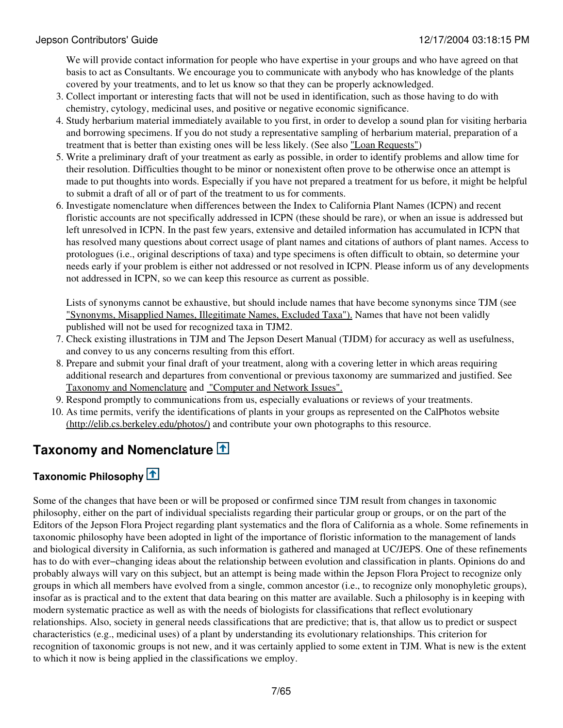We will provide contact information for people who have expertise in your groups and who have agreed on that basis to act as Consultants. We encourage you to communicate with anybody who has knowledge of the plants covered by your treatments, and to let us know so that they can be properly acknowledged.

- 3. Collect important or interesting facts that will not be used in identification, such as those having to do with chemistry, cytology, medicinal uses, and positive or negative economic significance.
- 4. Study herbarium material immediately available to you first, in order to develop a sound plan for visiting herbaria and borrowing specimens. If you do not study a representative sampling of herbarium material, preparation of a treatment that is better than existing ones will be less likely. (See also ["Loan Requests"](#page-49-1))
- 5. Write a preliminary draft of your treatment as early as possible, in order to identify problems and allow time for their resolution. Difficulties thought to be minor or nonexistent often prove to be otherwise once an attempt is made to put thoughts into words. Especially if you have not prepared a treatment for us before, it might be helpful to submit a draft of all or of part of the treatment to us for comments.
- 6. Investigate nomenclature when differences between the Index to California Plant Names (ICPN) and recent floristic accounts are not specifically addressed in ICPN (these should be rare), or when an issue is addressed but left unresolved in ICPN. In the past few years, extensive and detailed information has accumulated in ICPN that has resolved many questions about correct usage of plant names and citations of authors of plant names. Access to protologues (i.e., original descriptions of taxa) and type specimens is often difficult to obtain, so determine your needs early if your problem is either not addressed or not resolved in ICPN. Please inform us of any developments not addressed in ICPN, so we can keep this resource as current as possible.

Lists of synonyms cannot be exhaustive, but should include names that have become synonyms since TJM (see ["Synonyms, Misapplied Names, Illegitimate Names, Excluded Taxa"\).](#page-9-1) Names that have not been validly published will not be used for recognized taxa in TJM2.

- 7. Check existing illustrations in TJM and The Jepson Desert Manual (TJDM) for accuracy as well as usefulness, and convey to us any concerns resulting from this effort.
- 8. Prepare and submit your final draft of your treatment, along with a covering letter in which areas requiring additional research and departures from conventional or previous taxonomy are summarized and justified. See [Taxonomy and Nomenclature](#page-6-0) and ["Computer and Network Issues".](#page-53-0)
- 9. Respond promptly to communications from us, especially evaluations or reviews of your treatments.
- 10. As time permits, verify the identifications of plants in your groups as represented on the CalPhotos website [\(http://elib.cs.berkeley.edu/photos/\)](http://elib.cs.berkeley.edu/photos/) and contribute your own photographs to this resource.

# <span id="page-6-0"></span>**Taxonomy and Nomenclature**

# <span id="page-6-1"></span>**Taxonomic Philosophy**

Some of the changes that have been or will be proposed or confirmed since TJM result from changes in taxonomic philosophy, either on the part of individual specialists regarding their particular group or groups, or on the part of the Editors of the Jepson Flora Project regarding plant systematics and the flora of California as a whole. Some refinements in taxonomic philosophy have been adopted in light of the importance of floristic information to the management of lands and biological diversity in California, as such information is gathered and managed at UC/JEPS. One of these refinements has to do with ever−changing ideas about the relationship between evolution and classification in plants. Opinions do and probably always will vary on this subject, but an attempt is being made within the Jepson Flora Project to recognize only groups in which all members have evolved from a single, common ancestor (i.e., to recognize only monophyletic groups), insofar as is practical and to the extent that data bearing on this matter are available. Such a philosophy is in keeping with modern systematic practice as well as with the needs of biologists for classifications that reflect evolutionary relationships. Also, society in general needs classifications that are predictive; that is, that allow us to predict or suspect characteristics (e.g., medicinal uses) of a plant by understanding its evolutionary relationships. This criterion for recognition of taxonomic groups is not new, and it was certainly applied to some extent in TJM. What is new is the extent to which it now is being applied in the classifications we employ.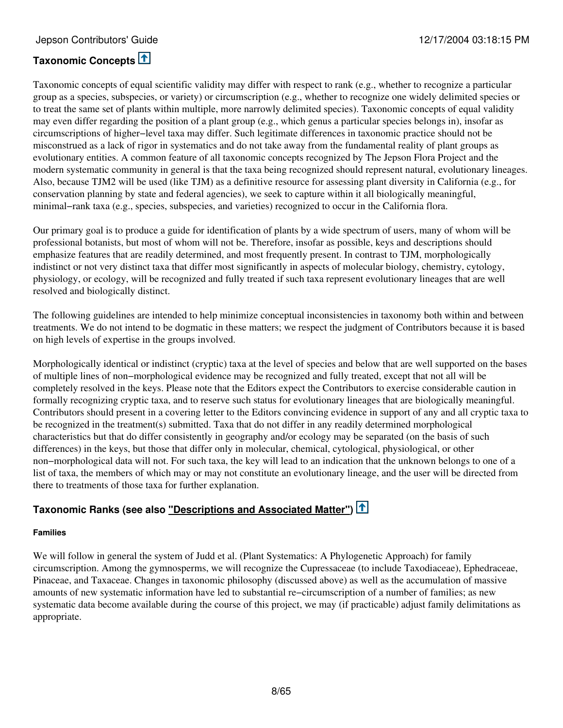# <span id="page-7-0"></span>**Taxonomic Concepts**

Taxonomic concepts of equal scientific validity may differ with respect to rank (e.g., whether to recognize a particular group as a species, subspecies, or variety) or circumscription (e.g., whether to recognize one widely delimited species or to treat the same set of plants within multiple, more narrowly delimited species). Taxonomic concepts of equal validity may even differ regarding the position of a plant group (e.g., which genus a particular species belongs in), insofar as circumscriptions of higher−level taxa may differ. Such legitimate differences in taxonomic practice should not be misconstrued as a lack of rigor in systematics and do not take away from the fundamental reality of plant groups as evolutionary entities. A common feature of all taxonomic concepts recognized by The Jepson Flora Project and the modern systematic community in general is that the taxa being recognized should represent natural, evolutionary lineages. Also, because TJM2 will be used (like TJM) as a definitive resource for assessing plant diversity in California (e.g., for conservation planning by state and federal agencies), we seek to capture within it all biologically meaningful, minimal−rank taxa (e.g., species, subspecies, and varieties) recognized to occur in the California flora.

Our primary goal is to produce a guide for identification of plants by a wide spectrum of users, many of whom will be professional botanists, but most of whom will not be. Therefore, insofar as possible, keys and descriptions should emphasize features that are readily determined, and most frequently present. In contrast to TJM, morphologically indistinct or not very distinct taxa that differ most significantly in aspects of molecular biology, chemistry, cytology, physiology, or ecology, will be recognized and fully treated if such taxa represent evolutionary lineages that are well resolved and biologically distinct.

The following guidelines are intended to help minimize conceptual inconsistencies in taxonomy both within and between treatments. We do not intend to be dogmatic in these matters; we respect the judgment of Contributors because it is based on high levels of expertise in the groups involved.

Morphologically identical or indistinct (cryptic) taxa at the level of species and below that are well supported on the bases of multiple lines of non−morphological evidence may be recognized and fully treated, except that not all will be completely resolved in the keys. Please note that the Editors expect the Contributors to exercise considerable caution in formally recognizing cryptic taxa, and to reserve such status for evolutionary lineages that are biologically meaningful. Contributors should present in a covering letter to the Editors convincing evidence in support of any and all cryptic taxa to be recognized in the treatment(s) submitted. Taxa that do not differ in any readily determined morphological characteristics but that do differ consistently in geography and/or ecology may be separated (on the basis of such differences) in the keys, but those that differ only in molecular, chemical, cytological, physiological, or other non−morphological data will not. For such taxa, the key will lead to an indication that the unknown belongs to one of a list of taxa, the members of which may or may not constitute an evolutionary lineage, and the user will be directed from there to treatments of those taxa for further explanation.

# <span id="page-7-1"></span>**Taxonomic Ranks (see also ["Descriptions and Associated Matter"\)](#page-59-0)**

### <span id="page-7-2"></span>**Families**

We will follow in general the system of Judd et al. (Plant Systematics: A Phylogenetic Approach) for family circumscription. Among the gymnosperms, we will recognize the Cupressaceae (to include Taxodiaceae), Ephedraceae, Pinaceae, and Taxaceae. Changes in taxonomic philosophy (discussed above) as well as the accumulation of massive amounts of new systematic information have led to substantial re−circumscription of a number of families; as new systematic data become available during the course of this project, we may (if practicable) adjust family delimitations as appropriate.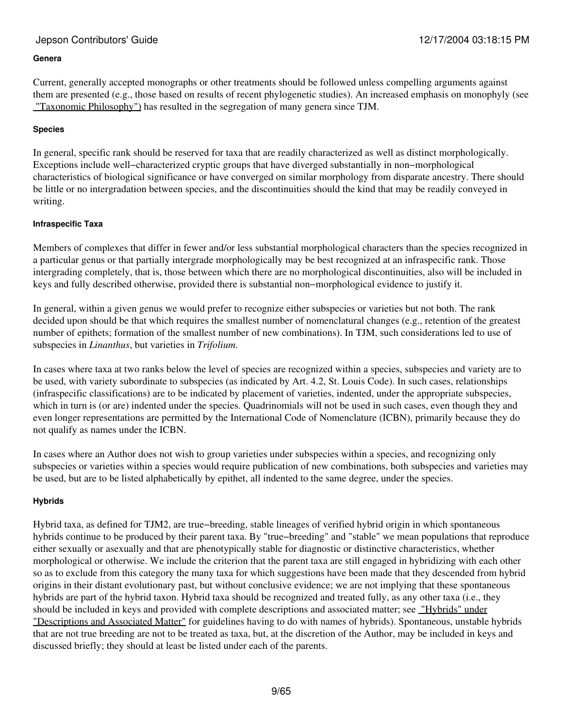### <span id="page-8-0"></span>**Genera**

Current, generally accepted monographs or other treatments should be followed unless compelling arguments against them are presented (e.g., those based on results of recent phylogenetic studies). An increased emphasis on monophyly (see  ["Taxonomic Philosophy"\)](#page-6-1) has resulted in the segregation of many genera since TJM.

### <span id="page-8-1"></span>**Species**

In general, specific rank should be reserved for taxa that are readily characterized as well as distinct morphologically. Exceptions include well−characterized cryptic groups that have diverged substantially in non−morphological characteristics of biological significance or have converged on similar morphology from disparate ancestry. There should be little or no intergradation between species, and the discontinuities should the kind that may be readily conveyed in writing.

#### <span id="page-8-2"></span>**Infraspecific Taxa**

Members of complexes that differ in fewer and/or less substantial morphological characters than the species recognized in a particular genus or that partially intergrade morphologically may be best recognized at an infraspecific rank. Those intergrading completely, that is, those between which there are no morphological discontinuities, also will be included in keys and fully described otherwise, provided there is substantial non−morphological evidence to justify it.

In general, within a given genus we would prefer to recognize either subspecies or varieties but not both. The rank decided upon should be that which requires the smallest number of nomenclatural changes (e.g., retention of the greatest number of epithets; formation of the smallest number of new combinations). In TJM, such considerations led to use of subspecies in *Linanthus*, but varieties in *Trifolium*.

In cases where taxa at two ranks below the level of species are recognized within a species, subspecies and variety are to be used, with variety subordinate to subspecies (as indicated by Art. 4.2, St. Louis Code). In such cases, relationships (infraspecific classifications) are to be indicated by placement of varieties, indented, under the appropriate subspecies, which in turn is (or are) indented under the species. Quadrinomials will not be used in such cases, even though they and even longer representations are permitted by the International Code of Nomenclature (ICBN), primarily because they do not qualify as names under the ICBN.

In cases where an Author does not wish to group varieties under subspecies within a species, and recognizing only subspecies or varieties within a species would require publication of new combinations, both subspecies and varieties may be used, but are to be listed alphabetically by epithet, all indented to the same degree, under the species.

### <span id="page-8-3"></span>**Hybrids**

Hybrid taxa, as defined for TJM2, are true−breeding, stable lineages of verified hybrid origin in which spontaneous hybrids continue to be produced by their parent taxa. By "true−breeding" and "stable" we mean populations that reproduce either sexually or asexually and that are phenotypically stable for diagnostic or distinctive characteristics, whether morphological or otherwise. We include the criterion that the parent taxa are still engaged in hybridizing with each other so as to exclude from this category the many taxa for which suggestions have been made that they descended from hybrid origins in their distant evolutionary past, but without conclusive evidence; we are not implying that these spontaneous hybrids are part of the hybrid taxon. Hybrid taxa should be recognized and treated fully, as any other taxa (i.e., they should be included in keys and provided with complete descriptions and associated matter; see ["Hybrids" under](#page-61-1) ["Descriptions and Associated Matter"](#page-61-1) for guidelines having to do with names of hybrids). Spontaneous, unstable hybrids that are not true breeding are not to be treated as taxa, but, at the discretion of the Author, may be included in keys and discussed briefly; they should at least be listed under each of the parents.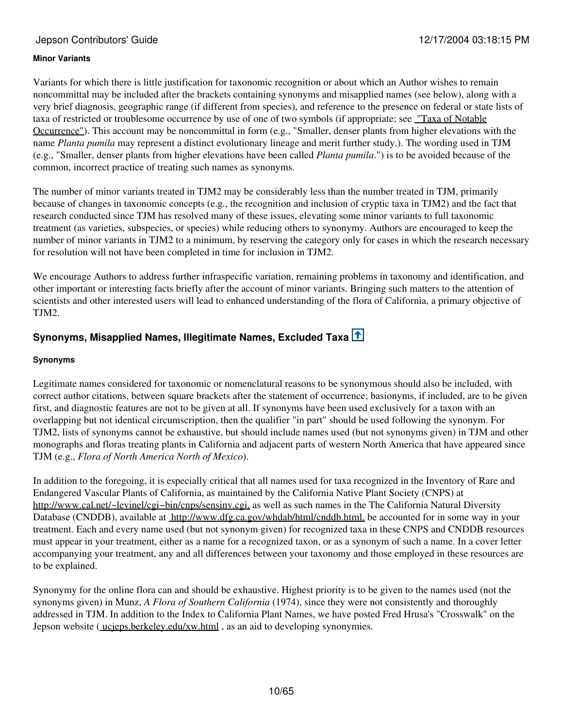### <span id="page-9-0"></span>**Minor Variants**

Variants for which there is little justification for taxonomic recognition or about which an Author wishes to remain noncommittal may be included after the brackets containing synonyms and misapplied names (see below), along with a very brief diagnosis, geographic range (if different from species), and reference to the presence on federal or state lists of taxa of restricted or troublesome occurrence by use of one of two symbols (if appropriate; see ["Taxa of Notable](#page-52-2) [Occurrence"](#page-52-2)). This account may be noncommittal in form (e.g., "Smaller, denser plants from higher elevations with the name *Planta pumila* may represent a distinct evolutionary lineage and merit further study.). The wording used in TJM (e.g., "Smaller, denser plants from higher elevations have been called *Planta pumila*.") is to be avoided because of the common, incorrect practice of treating such names as synonyms.

The number of minor variants treated in TJM2 may be considerably less than the number treated in TJM, primarily because of changes in taxonomic concepts (e.g., the recognition and inclusion of cryptic taxa in TJM2) and the fact that research conducted since TJM has resolved many of these issues, elevating some minor variants to full taxonomic treatment (as varieties, subspecies, or species) while reducing others to synonymy. Authors are encouraged to keep the number of minor variants in TJM2 to a minimum, by reserving the category only for cases in which the research necessary for resolution will not have been completed in time for inclusion in TJM2.

We encourage Authors to address further infraspecific variation, remaining problems in taxonomy and identification, and other important or interesting facts briefly after the account of minor variants. Bringing such matters to the attention of scientists and other interested users will lead to enhanced understanding of the flora of California, a primary objective of TJM2.

# <span id="page-9-1"></span>**Synonyms, Misapplied Names, Illegitimate Names, Excluded Taxa**

### **Synonyms**

Legitimate names considered for taxonomic or nomenclatural reasons to be synonymous should also be included, with correct author citations, between square brackets after the statement of occurrence; basionyms, if included, are to be given first, and diagnostic features are not to be given at all. If synonyms have been used exclusively for a taxon with an overlapping but not identical circumscription, then the qualifier "in part" should be used following the synonym. For TJM2, lists of synonyms cannot be exhaustive, but should include names used (but not synonyms given) in TJM and other monographs and floras treating plants in California and adjacent parts of western North America that have appeared since TJM (e.g., *Flora of North America North of Mexico*).

In addition to the foregoing, it is especially critical that all names used for taxa recognized in the Inventory of Rare and Endangered Vascular Plants of California, as maintained by the California Native Plant Society (CNPS) at [http://www.cal.net/~levinel/cgi−bin/cnps/sensinv.cgi,](http://www.cal.net/~levinel/cgi-bin/cnps/sensinv.cgi) as well as such names in the The California Natural Diversity Database (CNDDB), available at [http://www.dfg.ca.gov/whdab/html/cnddb.html,](http://www.dfg.ca.gov/whdab/html/cnddb.html) be accounted for in some way in your treatment. Each and every name used (but not synonym given) for recognized taxa in these CNPS and CNDDB resources must appear in your treatment, either as a name for a recognized taxon, or as a synonym of such a name. In a cover letter accompanying your treatment, any and all differences between your taxonomy and those employed in these resources are to be explained.

Synonymy for the online flora can and should be exhaustive. Highest priority is to be given to the names used (not the synonyms given) in Munz, *A Flora of Southern California* (1974), since they were not consistently and thoroughly addressed in TJM. In addition to the Index to California Plant Names, we have posted Fred Hrusa's "Crosswalk" on the Jepson website (ucjeps.berkeley.edu/xw.html, as an aid to developing synonymies.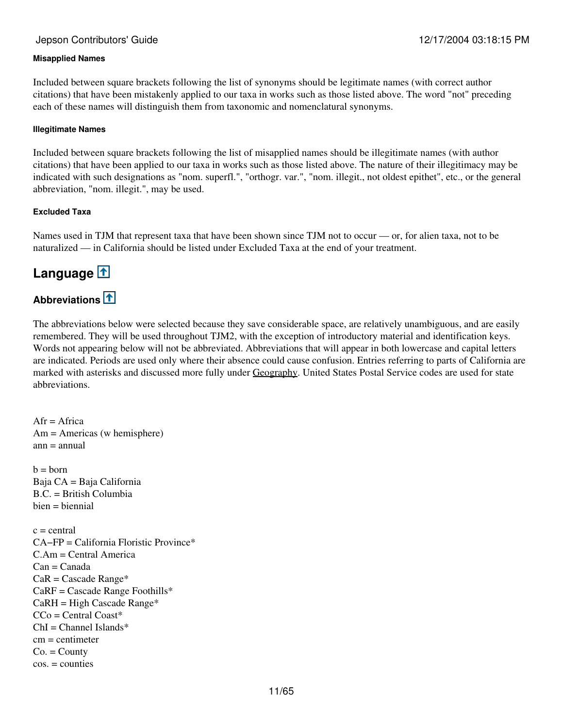#### **Misapplied Names**

Included between square brackets following the list of synonyms should be legitimate names (with correct author citations) that have been mistakenly applied to our taxa in works such as those listed above. The word "not" preceding each of these names will distinguish them from taxonomic and nomenclatural synonyms.

#### **Illegitimate Names**

Included between square brackets following the list of misapplied names should be illegitimate names (with author citations) that have been applied to our taxa in works such as those listed above. The nature of their illegitimacy may be indicated with such designations as "nom. superfl.", "orthogr. var.", "nom. illegit., not oldest epithet", etc., or the general abbreviation, "nom. illegit.", may be used.

#### **Excluded Taxa**

Names used in TJM that represent taxa that have been shown since TJM not to occur — or, for alien taxa, not to be naturalized — in California should be listed under Excluded Taxa at the end of your treatment.

# <span id="page-10-0"></span>Language<sup>1</sup>

# <span id="page-10-1"></span>**Abbreviations**

The abbreviations below were selected because they save considerable space, are relatively unambiguous, and are easily remembered. They will be used throughout TJM2, with the exception of introductory material and identification keys. Words not appearing below will not be abbreviated. Abbreviations that will appear in both lowercase and capital letters are indicated. Periods are used only where their absence could cause confusion. Entries referring to parts of California are marked with asterisks and discussed more fully under [Geography.](#page-37-0) United States Postal Service codes are used for state abbreviations.

 $Af**r** = Af**r**ica$ Am = Americas (w hemisphere)  $ann = annual$  $b =$  born Baja CA = Baja California B.C. = British Columbia  $bien = bienni$ al  $c =$ central CA−FP = California Floristic Province\* C.Am = Central America Can = Canada CaR = Cascade Range\*  $CaRF = Cascade Range$  Foothills\* CaRH = High Cascade Range\*  $CCo = Central Coast*$  $ChI = Channel Islands*$  $cm = centimeter$  $Co. = County$  $cos =$  counties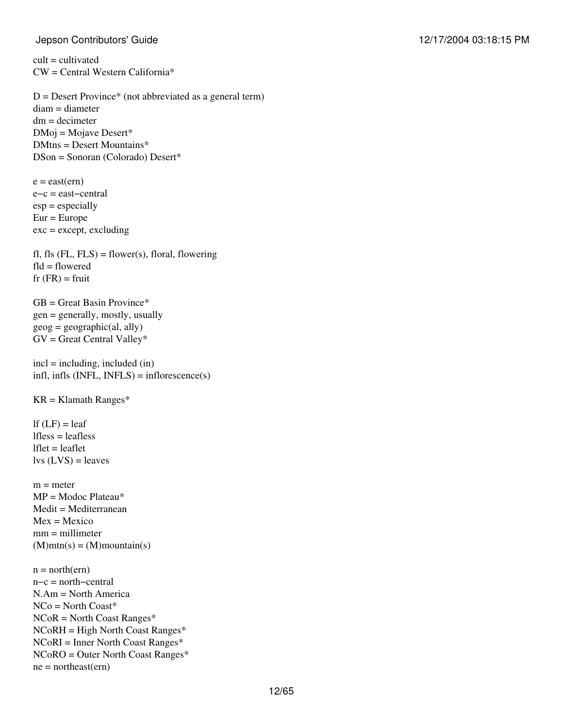$\text{cult} = \text{cultivated}$ CW = Central Western California\*

 $D = Desert Province<sup>*</sup>$  (not abbreviated as a general term) diam = diameter dm = decimeter DMoj = Mojave Desert\* DMtns = Desert Mountains\* DSon = Sonoran (Colorado) Desert\*

 $e =$  east(ern) e−c = east−central  $esp = especially$  $Eur = Europe$  $exc = except, excluding$ 

fl, fls  $(FL, FLS) =$  flower $(s)$ , floral, flowering fld = flowered  $fr(FR) = fruit$ 

GB = Great Basin Province\* gen = generally, mostly, usually  $geog = geographic(al, ally)$ GV = Great Central Valley\*

incl = including, included (in) infl, infls (INFL, INFLS) = inflorescence(s)

 $KR = K$ lamath Ranges\*

lf (LF) = leaf lfless = leafless  $l$ f $l$ et = leaf $l$ et  $lvs$  (LVS) = leaves

 $m =$  meter MP = Modoc Plateau\* Medit = Mediterranean  $Mex = Mexico$  $mm = millimeter$  $(M)$ mtn $(s) = (M)$ mountain $(s)$ 

 $n = north(crn)$ n−c = north−central N.Am = North America  $NCo = North Coast*$  $NCoR = North Coast Ranges*$ NCoRH = High North Coast Ranges\* NCoRI = Inner North Coast Ranges\* NCoRO = Outer North Coast Ranges\*  $ne = northern$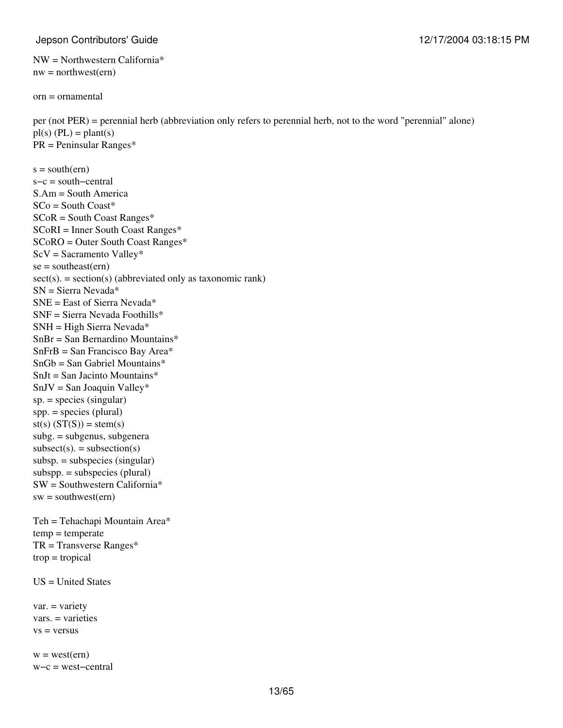NW = Northwestern California\*  $nw = northwest(ern)$ 

orn = ornamental

per (not PER) = perennial herb (abbreviation only refers to perennial herb, not to the word "perennial" alone)  $pl(s)$  (PL) = plant(s) PR = Peninsular Ranges\*

 $s = south(ern)$ s−c = south−central S.Am = South America  $SCo = South Coast*$  $SCoR = South Coast Ranges*$ SCoRI = Inner South Coast Ranges\* SCoRO = Outer South Coast Ranges\*  $ScV =$ Sacramento Valley\*  $se = southern$ )  $sect(s) = section(s)$  (abbreviated only as taxonomic rank)  $SN = Sierra$  Nevada\*  $SNE = East of Sierra Nevada*$ SNF = Sierra Nevada Foothills\* SNH = High Sierra Nevada\* SnBr = San Bernardino Mountains\* SnFrB = San Francisco Bay Area\*  $SnGb = San Gabriel Mountains*$  $SnJt = San Jacinto Mountains*$  $SnJV = San Joaquin Valley*$  $sp. = species (singular)$  $spp. = species (plural)$  $st(s) (ST(S)) = stem(s)$ subg. = subgenus, subgenera  $subset(s)$ . = subsection(s)  $subsp. = subspecies (singular)$  $subspp. = subspecies (plural)$ SW = Southwestern California\*  $sw =$  southwest(ern) Teh = Tehachapi Mountain Area\*  $temp = temperature$ TR = Transverse Ranges\* trop = tropical

US = United States

var. = variety vars. = varieties  $vs = versus$ 

 $w = west(ern)$ w−c = west−central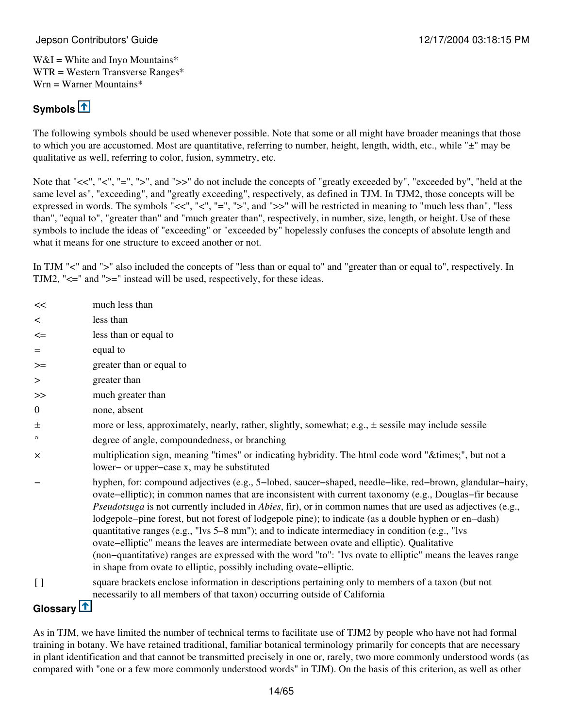### $W&I = White$  and Inyo Mountains\* WTR = Western Transverse Ranges\*  $Wrn = Warner$  Mountains\*

# <span id="page-13-0"></span>**Symbols**

The following symbols should be used whenever possible. Note that some or all might have broader meanings that those to which you are accustomed. Most are quantitative, referring to number, height, length, width, etc., while "±" may be qualitative as well, referring to color, fusion, symmetry, etc.

Note that "<<", "<", "=", ">", and ">>" do not include the concepts of "greatly exceeded by", "exceeded by", "held at the same level as", "exceeding", and "greatly exceeding", respectively, as defined in TJM. In TJM2, those concepts will be expressed in words. The symbols " $<<$ ", " $=$ ", " $>$ ", and " $>>$ " will be restricted in meaning to "much less than", "less than", "equal to", "greater than" and "much greater than", respectively, in number, size, length, or height. Use of these symbols to include the ideas of "exceeding" or "exceeded by" hopelessly confuses the concepts of absolute length and what it means for one structure to exceed another or not.

In TJM "<" and ">" also included the concepts of "less than or equal to" and "greater than or equal to", respectively. In TJM2, "<=" and ">=" instead will be used, respectively, for these ideas.

- << much less than
- < less than
- <= less than or equal to
- = equal to
- >= greater than or equal to
- > greater than
- >> much greater than
- 0 none, absent

### ± more or less, approximately, nearly, rather, slightly, somewhat; e.g., ± sessile may include sessile

- ° degree of angle, compoundedness, or branching
- × multiplication sign, meaning "times" or indicating hybridity. The html code word "×", but not a lower− or upper−case x, may be substituted
- − hyphen, for: compound adjectives (e.g., 5−lobed, saucer−shaped, needle−like, red−brown, glandular−hairy, ovate−elliptic); in common names that are inconsistent with current taxonomy (e.g., Douglas−fir because *Pseudotsuga* is not currently included in *Abies*, fir), or in common names that are used as adjectives (e.g., lodgepole−pine forest, but not forest of lodgepole pine); to indicate (as a double hyphen or en−dash) quantitative ranges (e.g., "lvs  $5-8$  mm"); and to indicate intermediacy in condition (e.g., "lvs ovate−elliptic" means the leaves are intermediate between ovate and elliptic). Qualitative (non−quantitative) ranges are expressed with the word "to": "lvs ovate to elliptic" means the leaves range in shape from ovate to elliptic, possibly including ovate−elliptic.
- [ ] square brackets enclose information in descriptions pertaining only to members of a taxon (but not necessarily to all members of that taxon) occurring outside of California

# <span id="page-13-1"></span>**Glossary**

As in TJM, we have limited the number of technical terms to facilitate use of TJM2 by people who have not had formal training in botany. We have retained traditional, familiar botanical terminology primarily for concepts that are necessary in plant identification and that cannot be transmitted precisely in one or, rarely, two more commonly understood words (as compared with "one or a few more commonly understood words" in TJM). On the basis of this criterion, as well as other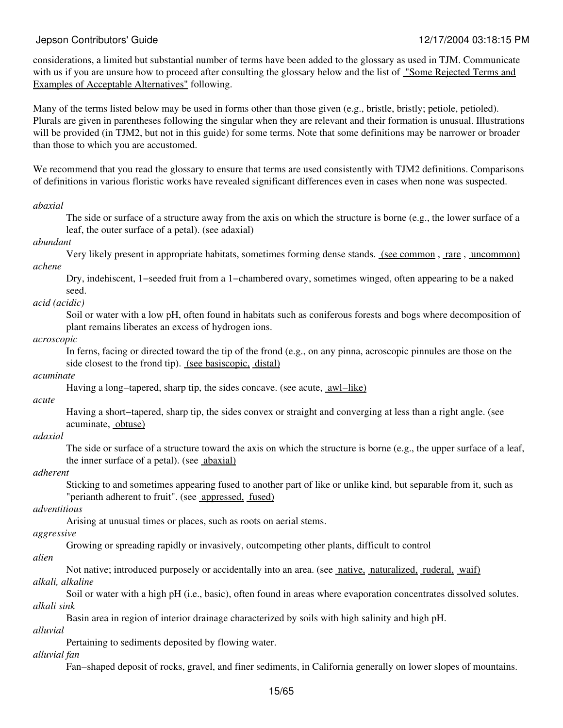considerations, a limited but substantial number of terms have been added to the glossary as used in TJM. Communicate with us if you are unsure how to proceed after consulting the glossary below and the list of ["Some Rejected Terms and](#page-35-0) [Examples of Acceptable Alternatives"](#page-35-0) following.

Many of the terms listed below may be used in forms other than those given (e.g., bristle, bristly; petiole, petioled). Plurals are given in parentheses following the singular when they are relevant and their formation is unusual. Illustrations will be provided (in TJM2, but not in this guide) for some terms. Note that some definitions may be narrower or broader than those to which you are accustomed.

We recommend that you read the glossary to ensure that terms are used consistently with TJM2 definitions. Comparisons of definitions in various floristic works have revealed significant differences even in cases when none was suspected.

<span id="page-14-0"></span>*abaxial*

The side or surface of a structure away from the axis on which the structure is borne (e.g., the lower surface of a leaf, the outer surface of a petal). (see adaxial)

#### <span id="page-14-4"></span>*abundant*

Very likely present in appropriate habitats, sometimes forming dense stands. [\(see common](#page-18-0) , [rare](#page-29-0) , [uncommon\)](#page-34-0) *achene*

Dry, indehiscent, 1−seeded fruit from a 1−chambered ovary, sometimes winged, often appearing to be a naked seed.

### *acid (acidic)*

Soil or water with a low pH, often found in habitats such as coniferous forests and bogs where decomposition of plant remains liberates an excess of hydrogen ions.

#### <span id="page-14-3"></span>*acroscopic*

In ferns, facing or directed toward the tip of the frond (e.g., on any pinna, acroscopic pinnules are those on the side closest to the frond tip). [\(see basiscopic,](#page-16-0) [distal\)](#page-20-0)

#### <span id="page-14-2"></span>*acuminate*

Having a long−tapered, sharp tip, the sides concave. (see acute, [awl−like\)](#page-15-0)

#### <span id="page-14-5"></span>*acute*

Having a short−tapered, sharp tip, the sides convex or straight and converging at less than a right angle. (see acuminate, [obtuse\)](#page-26-0)

#### *adaxial*

The side or surface of a structure toward the axis on which the structure is borne (e.g., the upper surface of a leaf, the inner surface of a petal). (see [abaxial\)](#page-14-0)

#### <span id="page-14-1"></span>*adherent*

Sticking to and sometimes appearing fused to another part of like or unlike kind, but separable from it, such as "perianth adherent to fruit". (see <u>[appressed,](#page-15-1) [fused\)](#page-22-0)</u>

#### *adventitious*

Arising at unusual times or places, such as roots on aerial stems.

#### *aggressive*

Growing or spreading rapidly or invasively, outcompeting other plants, difficult to control

#### <span id="page-14-6"></span>*alien*

Not native; introduced purposely or accidentally into an area. (see [native,](#page-25-0) [naturalized,](#page-25-1) [ruderal,](#page-30-0) [waif\)](#page-35-1) *alkali, alkaline*

Soil or water with a high pH (i.e., basic), often found in areas where evaporation concentrates dissolved solutes. *alkali sink*

Basin area in region of interior drainage characterized by soils with high salinity and high pH.

# *alluvial*

Pertaining to sediments deposited by flowing water.

#### *alluvial fan*

Fan−shaped deposit of rocks, gravel, and finer sediments, in California generally on lower slopes of mountains.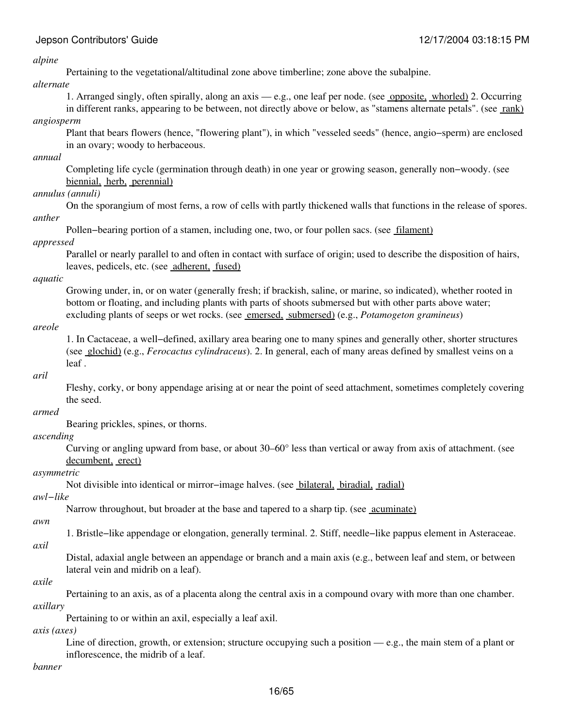#### *alpine*

Pertaining to the vegetational/altitudinal zone above timberline; zone above the subalpine.

#### <span id="page-15-7"></span>*alternate*

1. Arranged singly, often spirally, along an axis — e.g., one leaf per node. (see [opposite,](#page-26-1) [whorled\)](#page-35-2) 2. Occurring in different ranks, appearing to be between, not directly above or below, as "stamens alternate petals". (see [rank\)](#page-29-1) *angiosperm*

Plant that bears flowers (hence, "flowering plant"), in which "vesseled seeds" (hence, angio−sperm) are enclosed in an ovary; woody to herbaceous.

#### <span id="page-15-2"></span>*annual*

Completing life cycle (germination through death) in one year or growing season, generally non−woody. (see [biennial,](#page-16-1) [herb,](#page-22-1) [perennial\)](#page-27-0)

#### *annulus (annuli)*

On the sporangium of most ferns, a row of cells with partly thickened walls that functions in the release of spores.

# <span id="page-15-9"></span>*anther*

Pollen−bearing portion of a stamen, including one, two, or four pollen sacs. (see [filament\)](#page-21-0)

#### <span id="page-15-1"></span>*appressed*

Parallel or nearly parallel to and often in contact with surface of origin; used to describe the disposition of hairs, leaves, pedicels, etc. (see [adherent,](#page-14-1) [fused\)](#page-22-0)

#### <span id="page-15-5"></span>*aquatic*

Growing under, in, or on water (generally fresh; if brackish, saline, or marine, so indicated), whether rooted in bottom or floating, and including plants with parts of shoots submersed but with other parts above water; excluding plants of seeps or wet rocks. (see emersed, [submersed\)](#page-33-0) (e.g., *Potamogeton gramineus*)

#### *areole*

1. In Cactaceae, a well−defined, axillary area bearing one to many spines and generally other, shorter structures (see glochid) (e.g., *Ferocactus cylindraceus*). 2. In general, each of many areas defined by smallest veins on a leaf .

#### *aril*

Fleshy, corky, or bony appendage arising at or near the point of seed attachment, sometimes completely covering the seed.

#### <span id="page-15-8"></span>*armed*

Bearing prickles, spines, or thorns.

#### <span id="page-15-4"></span>*ascending*

Curving or angling upward from base, or about 30–60° less than vertical or away from axis of attachment. (see [decumbent,](#page-19-0) [erect\)](#page-20-1)

#### <span id="page-15-3"></span>*asymmetric*

Not divisible into identical or mirror−image halves. (see [bilateral,](#page-16-2) [biradial,](#page-16-3) [radial\)](#page-29-2)

#### <span id="page-15-0"></span>*awl−like*

Narrow throughout, but broader at the base and tapered to a sharp tip. (see [acuminate\)](#page-14-2)

#### *awn*

1. Bristle−like appendage or elongation, generally terminal. 2. Stiff, needle−like pappus element in Asteraceae.

#### *axil*

Distal, adaxial angle between an appendage or branch and a main axis (e.g., between leaf and stem, or between lateral vein and midrib on a leaf).

#### <span id="page-15-6"></span>*axile*

Pertaining to an axis, as of a placenta along the central axis in a compound ovary with more than one chamber. *axillary*

Pertaining to or within an axil, especially a leaf axil.

*axis (axes)*

Line of direction, growth, or extension; structure occupying such a position — e.g., the main stem of a plant or inflorescence, the midrib of a leaf.

*banner*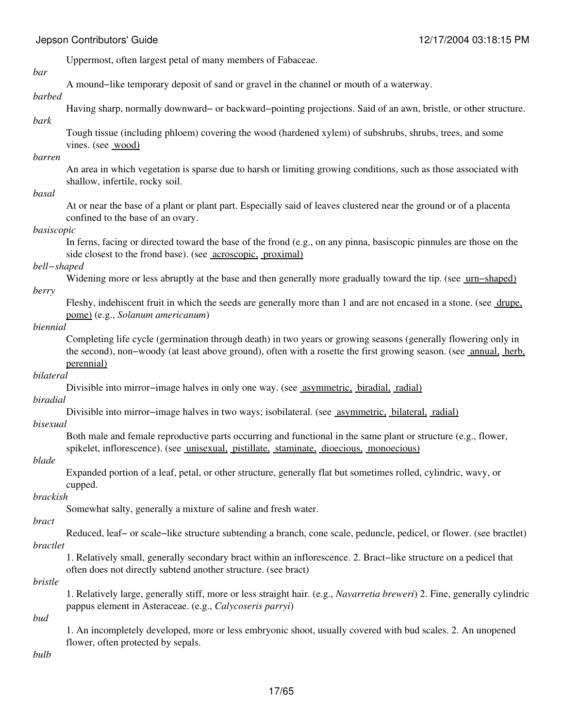Uppermost, often largest petal of many members of Fabaceae.

A mound−like temporary deposit of sand or gravel in the channel or mouth of a waterway.

#### *barbed*

*bar*

<span id="page-16-9"></span>Having sharp, normally downward− or backward−pointing projections. Said of an awn, bristle, or other structure. *bark*

Tough tissue (including phloem) covering the wood (hardened xylem) of subshrubs, shrubs, trees, and some vines. (see [wood\)](#page-35-3)

#### *barren*

An area in which vegetation is sparse due to harsh or limiting growing conditions, such as those associated with shallow, infertile, rocky soil.

#### <span id="page-16-6"></span>*basal*

At or near the base of a plant or plant part. Especially said of leaves clustered near the ground or of a placenta confined to the base of an ovary.

#### <span id="page-16-0"></span>*basiscopic*

In ferns, facing or directed toward the base of the frond (e.g., on any pinna, basiscopic pinnules are those on the side closest to the frond base). (see [acroscopic,](#page-14-3) [proximal\)](#page-29-3)

#### <span id="page-16-8"></span>*bell−shaped*

<span id="page-16-5"></span>Widening more or less abruptly at the base and then generally more gradually toward the tip. (see <u>urn–shaped</u>) *berry*

Fleshy, indehiscent fruit in which the seeds are generally more than 1 and are not encased in a stone. (see [drupe,](#page-20-2) [pome\)](#page-28-0) (e.g., *Solanum americanum*)

#### <span id="page-16-1"></span>*biennial*

Completing life cycle (germination through death) in two years or growing seasons (generally flowering only in the second), non−woody (at least above ground), often with a rosette the first growing season. (see [annual,](#page-15-2) [herb,](#page-22-1) [perennial\)](#page-27-0)

#### <span id="page-16-2"></span>*bilateral*

Divisible into mirror−image halves in only one way. (see [asymmetric,](#page-15-3) [biradial,](#page-16-3) [radial\)](#page-29-2)

#### <span id="page-16-3"></span>*biradial*

Divisible into mirror−image halves in two ways; isobilateral. (see [asymmetric,](#page-15-3) [bilateral,](#page-16-2) [radial\)](#page-29-2)

### <span id="page-16-7"></span>*bisexual*

Both male and female reproductive parts occurring and functional in the same plant or structure (e.g., flower, spikelet, inflorescence). (see [unisexual,](#page-34-2) [pistillate,](#page-28-1) [staminate,](#page-32-0) [dioecious,](#page-19-1) [monoecious\)](#page-25-2)

#### *blade*

Expanded portion of a leaf, petal, or other structure, generally flat but sometimes rolled, cylindric, wavy, or cupped.

#### *brackish*

Somewhat salty, generally a mixture of saline and fresh water.

#### *bract*

Reduced, leaf− or scale−like structure subtending a branch, cone scale, peduncle, pedicel, or flower. (see bractlet) *bractlet*

1. Relatively small, generally secondary bract within an inflorescence. 2. Bract−like structure on a pedicel that often does not directly subtend another structure. (see bract)

#### *bristle*

1. Relatively large, generally stiff, more or less straight hair. (e.g., *Navarretia breweri*) 2. Fine, generally cylindric pappus element in Asteraceae. (e.g., *Calycoseris parryi*)

#### *bud*

1. An incompletely developed, more or less embryonic shoot, usually covered with bud scales. 2. An unopened flower, often protected by sepals.

<span id="page-16-4"></span>*bulb*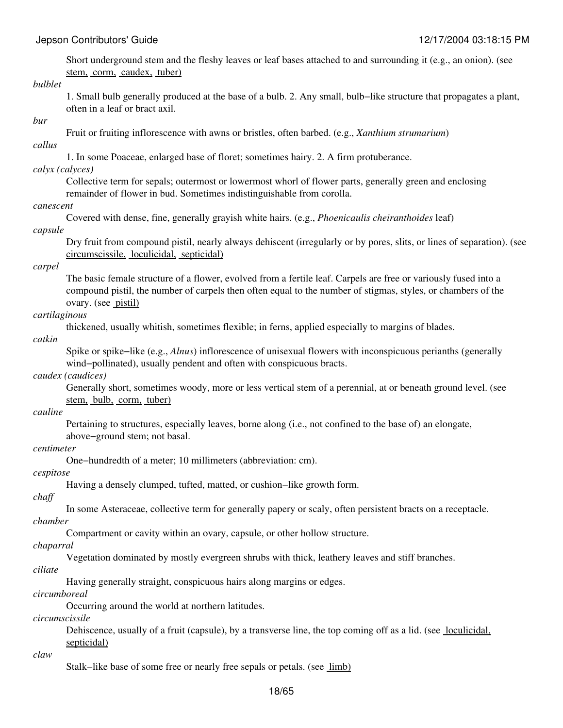Short underground stem and the fleshy leaves or leaf bases attached to and surrounding it (e.g., an onion). (see [stem,](#page-32-1) [corm,](#page-19-2) [caudex,](#page-17-0) [tuber\)](#page-34-3)

#### *bulblet*

1. Small bulb generally produced at the base of a bulb. 2. Any small, bulb−like structure that propagates a plant, often in a leaf or bract axil.

### *bur*

Fruit or fruiting inflorescence with awns or bristles, often barbed. (e.g., *Xanthium strumarium*)

# *callus*

1. In some Poaceae, enlarged base of floret; sometimes hairy. 2. A firm protuberance.

### *calyx (calyces)*

Collective term for sepals; outermost or lowermost whorl of flower parts, generally green and enclosing remainder of flower in bud. Sometimes indistinguishable from corolla.

#### <span id="page-17-3"></span>*canescent*

Covered with dense, fine, generally grayish white hairs. (e.g., *Phoenicaulis cheiranthoides* leaf)

#### <span id="page-17-2"></span>*capsule*

Dry fruit from compound pistil, nearly always dehiscent (irregularly or by pores, slits, or lines of separation). (see [circumscissile,](#page-17-1) [loculicidal,](#page-24-0) [septicidal\)](#page-31-0)

#### *carpel*

The basic female structure of a flower, evolved from a fertile leaf. Carpels are free or variously fused into a compound pistil, the number of carpels then often equal to the number of stigmas, styles, or chambers of the ovary. (see [pistil\)](#page-28-2)

#### *cartilaginous*

thickened, usually whitish, sometimes flexible; in ferns, applied especially to margins of blades.

#### *catkin*

Spike or spike−like (e.g., *Alnus*) inflorescence of unisexual flowers with inconspicuous perianths (generally wind−pollinated), usually pendent and often with conspicuous bracts.

#### <span id="page-17-0"></span>*caudex (caudices)*

Generally short, sometimes woody, more or less vertical stem of a perennial, at or beneath ground level. (see [stem,](#page-32-1) [bulb,](#page-16-4) [corm,](#page-19-2) [tuber\)](#page-34-3)

#### *cauline*

Pertaining to structures, especially leaves, borne along (i.e., not confined to the base of) an elongate,

### above−ground stem; not basal.

### *centimeter*

One−hundredth of a meter; 10 millimeters (abbreviation: cm).

#### *cespitose*

Having a densely clumped, tufted, matted, or cushion−like growth form.

#### *chaff*

In some Asteraceae, collective term for generally papery or scaly, often persistent bracts on a receptacle.

#### *chamber*

Compartment or cavity within an ovary, capsule, or other hollow structure.

# *chaparral*

Vegetation dominated by mostly evergreen shrubs with thick, leathery leaves and stiff branches.

#### <span id="page-17-4"></span>*ciliate*

Having generally straight, conspicuous hairs along margins or edges.

#### *circumboreal*

Occurring around the world at northern latitudes.

#### <span id="page-17-1"></span>*circumscissile*

Dehiscence, usually of a fruit (capsule), by a transverse line, the top coming off as a lid. (see [loculicidal,](#page-24-0)  [septicidal\)](#page-31-0)

#### *claw*

Stalk–like base of some free or nearly free sepals or petals. (see [limb\)](#page-24-1)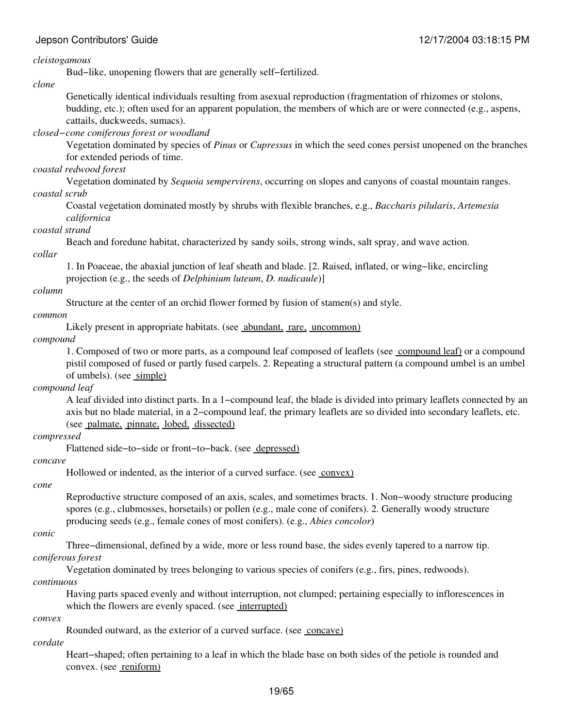# *cleistogamous*

Bud−like, unopening flowers that are generally self−fertilized.

#### *clone*

Genetically identical individuals resulting from asexual reproduction (fragmentation of rhizomes or stolons, budding, etc.); often used for an apparent population, the members of which are or were connected (e.g., aspens, cattails, duckweeds, sumacs).

#### *closed−cone coniferous forest or woodland*

Vegetation dominated by species of *Pinus* or *Cupressus* in which the seed cones persist unopened on the branches for extended periods of time.

### *coastal redwood forest*

Vegetation dominated by *Sequoia sempervirens*, occurring on slopes and canyons of coastal mountain ranges. *coastal scrub*

Coastal vegetation dominated mostly by shrubs with flexible branches, e.g., *Baccharis pilularis*, *Artemesia californica*

#### *coastal strand*

Beach and foredune habitat, characterized by sandy soils, strong winds, salt spray, and wave action.

#### *collar*

1. In Poaceae, the abaxial junction of leaf sheath and blade. [2. Raised, inflated, or wing−like, encircling projection (e.g., the seeds of *Delphinium luteum*, *D. nudicaule*)]

#### *column*

Structure at the center of an orchid flower formed by fusion of stamen(s) and style.

#### <span id="page-18-0"></span>*common*

Likely present in appropriate habitats. (see [abundant,](#page-14-4) [rare,](#page-29-0) [uncommon\)](#page-34-0)

#### *compound*

1. Composed of two or more parts, as a compound leaf composed of leaflets (see [compound leaf\)](#page-18-1) or a compound pistil composed of fused or partly fused carpels. 2. Repeating a structural pattern (a compound umbel is an umbel of umbels). (see [simple\)](#page-31-1)

#### <span id="page-18-1"></span>*compound leaf*

A leaf divided into distinct parts. In a 1−compound leaf, the blade is divided into primary leaflets connected by an axis but no blade material, in a 2−compound leaf, the primary leaflets are so divided into secondary leaflets, etc. (see [palmate,](#page-26-2) [pinnate,](#page-27-1) lobed, [dissected\)](#page-20-3)

#### <span id="page-18-4"></span>*compressed*

Flattened side−to−side or front−to−back. (see [depressed\)](#page-19-3)

#### <span id="page-18-3"></span>*concave*

Hollowed or indented, as the interior of a curved surface. (see [convex\)](#page-18-2)

#### *cone*

Reproductive structure composed of an axis, scales, and sometimes bracts. 1. Non−woody structure producing spores (e.g., clubmosses, horsetails) or pollen (e.g., male cone of conifers). 2. Generally woody structure producing seeds (e.g., female cones of most conifers). (e.g., *Abies concolor*)

#### *conic*

Three−dimensional, defined by a wide, more or less round base, the sides evenly tapered to a narrow tip.

#### *coniferous forest*

Vegetation dominated by trees belonging to various species of conifers (e.g., firs, pines, redwoods).

#### <span id="page-18-5"></span>*continuous*

Having parts spaced evenly and without interruption, not clumped; pertaining especially to inflorescences in which the flowers are evenly spaced. (see [interrupted\)](#page-23-0)

#### <span id="page-18-2"></span>*convex*

Rounded outward, as the exterior of a curved surface. (see [concave\)](#page-18-3)

#### <span id="page-18-6"></span>*cordate*

Heart−shaped; often pertaining to a leaf in which the blade base on both sides of the petiole is rounded and convex. (see [reniform\)](#page-29-4)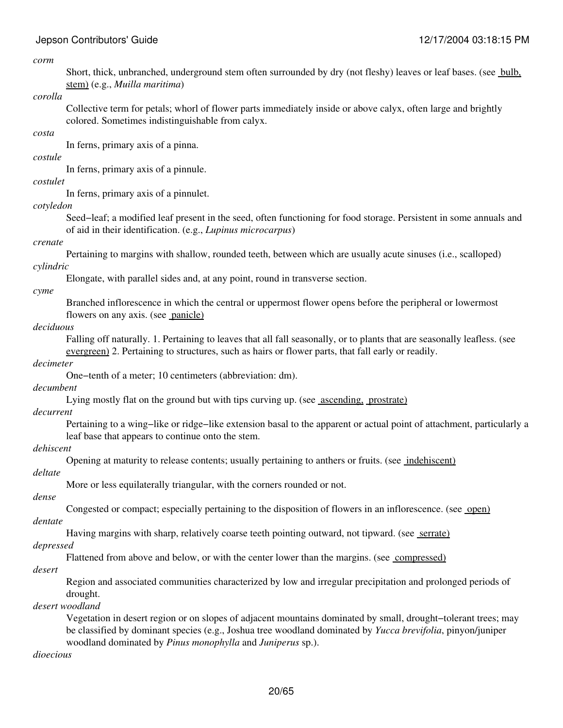#### <span id="page-19-2"></span>*corm*

Short, thick, unbranched, underground stem often surrounded by dry (not fleshy) leaves or leaf bases. (see <u>bulb,</u> [stem\)](#page-32-1) (e.g., *Muilla maritima*)

#### *corolla*

Collective term for petals; whorl of flower parts immediately inside or above calyx, often large and brightly colored. Sometimes indistinguishable from calyx.

#### *costa*

In ferns, primary axis of a pinna.

#### *costule*

In ferns, primary axis of a pinnule.

#### *costulet*

In ferns, primary axis of a pinnulet.

#### *cotyledon*

Seed−leaf; a modified leaf present in the seed, often functioning for food storage. Persistent in some annuals and of aid in their identification. (e.g., *Lupinus microcarpus*)

#### *crenate*

Pertaining to margins with shallow, rounded teeth, between which are usually acute sinuses (i.e., scalloped) *cylindric*

Elongate, with parallel sides and, at any point, round in transverse section.

#### <span id="page-19-7"></span>*cyme*

Branched inflorescence in which the central or uppermost flower opens before the peripheral or lowermost flowers on any axis. (see [panicle\)](#page-26-3)

#### <span id="page-19-4"></span>*deciduous*

Falling off naturally. 1. Pertaining to leaves that all fall seasonally, or to plants that are seasonally leafless. (see [evergreen\)](#page-20-4) 2. Pertaining to structures, such as hairs or flower parts, that fall early or readily.

#### *decimeter*

One−tenth of a meter; 10 centimeters (abbreviation: dm).

#### <span id="page-19-0"></span>*decumbent*

Lying mostly flat on the ground but with tips curving up. (see [ascending,](#page-15-4) [prostrate\)](#page-28-3)

#### *decurrent*

Pertaining to a wing−like or ridge−like extension basal to the apparent or actual point of attachment, particularly a leaf base that appears to continue onto the stem.

### <span id="page-19-5"></span>*dehiscent*

Opening at maturity to release contents; usually pertaining to anthers or fruits. (see [indehiscent\)](#page-23-1)

#### *deltate*

More or less equilaterally triangular, with the corners rounded or not.

#### <span id="page-19-6"></span>*dense*

Congested or compact; especially pertaining to the disposition of flowers in an inflorescence. (see [open\)](#page-26-4)

#### <span id="page-19-8"></span>*dentate*

Having margins with sharp, relatively coarse teeth pointing outward, not tipward. (see [serrate\)](#page-31-2)

# <span id="page-19-3"></span>*depressed*

Flattened from above and below, or with the center lower than the margins. (see [compressed\)](#page-18-4)

#### *desert*

Region and associated communities characterized by low and irregular precipitation and prolonged periods of drought.

# *desert woodland*

Vegetation in desert region or on slopes of adjacent mountains dominated by small, drought−tolerant trees; may be classified by dominant species (e.g., Joshua tree woodland dominated by *Yucca brevifolia*, pinyon/juniper woodland dominated by *Pinus monophylla* and *Juniperus* sp.).

#### <span id="page-19-1"></span>*dioecious*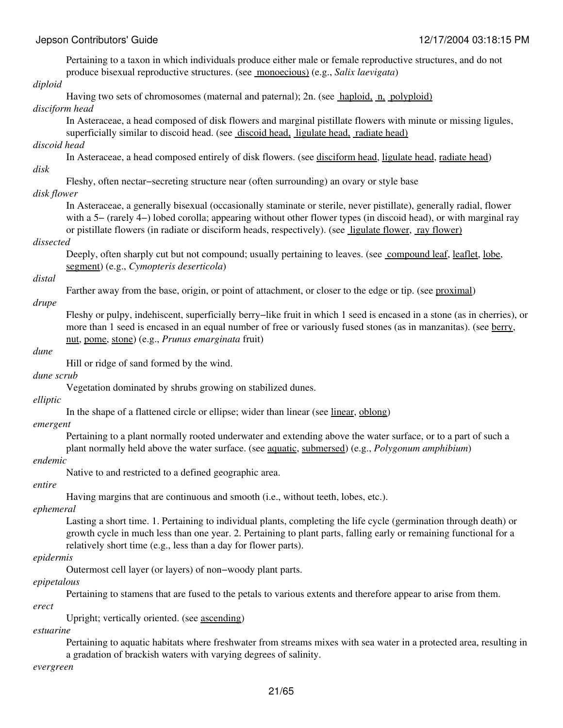Pertaining to a taxon in which individuals produce either male or female reproductive structures, and do not produce bisexual reproductive structures. (see [monoecious\)](#page-25-2) (e.g., *Salix laevigata*)

#### <span id="page-20-7"></span>*diploid*

<span id="page-20-6"></span>Having two sets of chromosomes (maternal and paternal); 2n. (see [haploid,](#page-22-2) [n,](#page-25-3) [polyploid\)](#page-28-4) *disciform head*

In Asteraceae, a head composed of disk flowers and marginal pistillate flowers with minute or missing ligules, superficially similar to discoid head. (see [discoid head,](#page-20-5) [ligulate head,](#page-24-2) [radiate head\)](#page-29-5)

#### <span id="page-20-5"></span>*discoid head*

In Asteraceae, a head composed entirely of disk flowers. (see [disciform head](#page-20-6), [ligulate head](#page-24-2), [radiate head](#page-29-5)) *disk*

Fleshy, often nectar−secreting structure near (often surrounding) an ovary or style base

#### <span id="page-20-8"></span>*disk flower*

In Asteraceae, a generally bisexual (occasionally staminate or sterile, never pistillate), generally radial, flower with a 5− (rarely 4−) lobed corolla; appearing without other flower types (in discoid head), or with marginal ray or pistillate flowers (in radiate or disciform heads, respectively). (see [ligulate flower](#page-24-2), [ray flower\)](#page-29-6)

#### <span id="page-20-3"></span>*dissected*

Deeply, often sharply cut but not compound; usually pertaining to leaves. (see [compound leaf,](#page-18-1) [leaflet,](#page-24-3) [lobe](#page-24-4), [segment\)](#page-30-1) (e.g., *Cymopteris deserticola*)

#### <span id="page-20-0"></span>*distal*

Farther away from the base, origin, or point of attachment, or closer to the edge or tip. (see [proximal\)](#page-29-3)

#### <span id="page-20-2"></span>*drupe*

Fleshy or pulpy, indehiscent, superficially berry−like fruit in which 1 seed is encased in a stone (as in cherries), or more than 1 seed is encased in an equal number of free or variously fused stones (as in manzanitas). (see [berry](#page-16-5), [nut](#page-25-4), [pome](#page-28-0), [stone\)](#page-32-2) (e.g., *Prunus emarginata* fruit)

#### *dune*

Hill or ridge of sand formed by the wind.

#### *dune scrub*

Vegetation dominated by shrubs growing on stabilized dunes.

#### <span id="page-20-9"></span>*elliptic*

In the shape of a flattened circle or ellipse; wider than linear (see [linear](#page-24-5), [oblong](#page-26-5))

#### <span id="page-20-11"></span>*emergent*

Pertaining to a plant normally rooted underwater and extending above the water surface, or to a part of such a plant normally held above the water surface. (see [aquatic,](#page-15-5) [submersed](#page-33-0)) (e.g., *Polygonum amphibium*)

#### *endemic*

Native to and restricted to a defined geographic area.

#### *entire*

Having margins that are continuous and smooth (i.e., without teeth, lobes, etc.).

#### <span id="page-20-10"></span>*ephemeral*

Lasting a short time. 1. Pertaining to individual plants, completing the life cycle (germination through death) or growth cycle in much less than one year. 2. Pertaining to plant parts, falling early or remaining functional for a relatively short time (e.g., less than a day for flower parts).

#### *epidermis*

Outermost cell layer (or layers) of non−woody plant parts.

#### *epipetalous*

Pertaining to stamens that are fused to the petals to various extents and therefore appear to arise from them.

### <span id="page-20-1"></span>*erect*

Upright; vertically oriented. (see [ascending](#page-15-4))

#### *estuarine*

Pertaining to aquatic habitats where freshwater from streams mixes with sea water in a protected area, resulting in a gradation of brackish waters with varying degrees of salinity.

#### <span id="page-20-4"></span>*evergreen*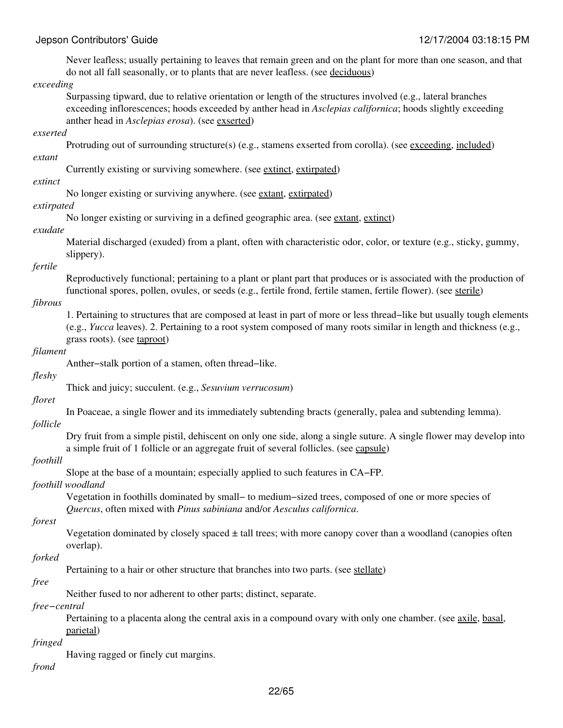Never leafless; usually pertaining to leaves that remain green and on the plant for more than one season, and that do not all fall seasonally, or to plants that are never leafless. (see [deciduous\)](#page-19-4)

#### <span id="page-21-2"></span>*exceeding*

Surpassing tipward, due to relative orientation or length of the structures involved (e.g., lateral branches exceeding inflorescences; hoods exceeded by anther head in *Asclepias californica*; hoods slightly exceeding anther head in *Asclepias erosa*). (see [exserted\)](#page-21-1)

#### <span id="page-21-1"></span>*exserted*

Protruding out of surrounding structure(s) (e.g., stamens exserted from corolla). (see [exceeding,](#page-21-2) [included](#page-23-2))

# <span id="page-21-5"></span>*extant*

Currently existing or surviving somewhere. (see [extinct,](#page-21-3) [extirpated](#page-21-4))

#### <span id="page-21-3"></span>*extinct*

No longer existing or surviving anywhere. (see [extant](#page-21-5), [extirpated\)](#page-21-4)

#### <span id="page-21-4"></span>*extirpated*

No longer existing or surviving in a defined geographic area. (see [extant](#page-21-5), [extinct\)](#page-21-3)

#### *exudate*

Material discharged (exuded) from a plant, often with characteristic odor, color, or texture (e.g., sticky, gummy, slippery).

#### <span id="page-21-8"></span>*fertile*

Reproductively functional; pertaining to a plant or plant part that produces or is associated with the production of functional spores, pollen, ovules, or seeds (e.g., fertile frond, fertile stamen, fertile flower). (see [sterile\)](#page-32-3)

#### <span id="page-21-9"></span>*fibrous*

1. Pertaining to structures that are composed at least in part of more or less thread−like but usually tough elements (e.g., *Yucca* leaves). 2. Pertaining to a root system composed of many roots similar in length and thickness (e.g., grass roots). (see [taproot](#page-33-1))

#### <span id="page-21-0"></span>*filament*

Anther−stalk portion of a stamen, often thread−like.

#### *fleshy*

Thick and juicy; succulent. (e.g., *Sesuvium verrucosum*)

### <span id="page-21-6"></span>*floret*

In Poaceae, a single flower and its immediately subtending bracts (generally, palea and subtending lemma).

#### *follicle*

Dry fruit from a simple pistil, dehiscent on only one side, along a single suture. A single flower may develop into a simple fruit of 1 follicle or an aggregate fruit of several follicles. (see [capsule\)](#page-17-2)

### *foothill*

Slope at the base of a mountain; especially applied to such features in CA−FP.

#### *foothill woodland*

Vegetation in foothills dominated by small− to medium−sized trees, composed of one or more species of *Quercus*, often mixed with *Pinus sabiniana* and/or *Aesculus californica*.

#### *forest*

Vegetation dominated by closely spaced  $\pm$  tall trees; with more canopy cover than a woodland (canopies often overlap).

#### <span id="page-21-7"></span>*forked*

Pertaining to a hair or other structure that branches into two parts. (see [stellate\)](#page-32-4)

#### *free*

Neither fused to nor adherent to other parts; distinct, separate.

#### *free−central*

Pertaining to a placenta along the central axis in a compound ovary with only one chamber. (see [axile](#page-15-6), [basal](#page-16-6), [parietal\)](#page-27-2)

#### *fringed*

Having ragged or finely cut margins.

#### *frond*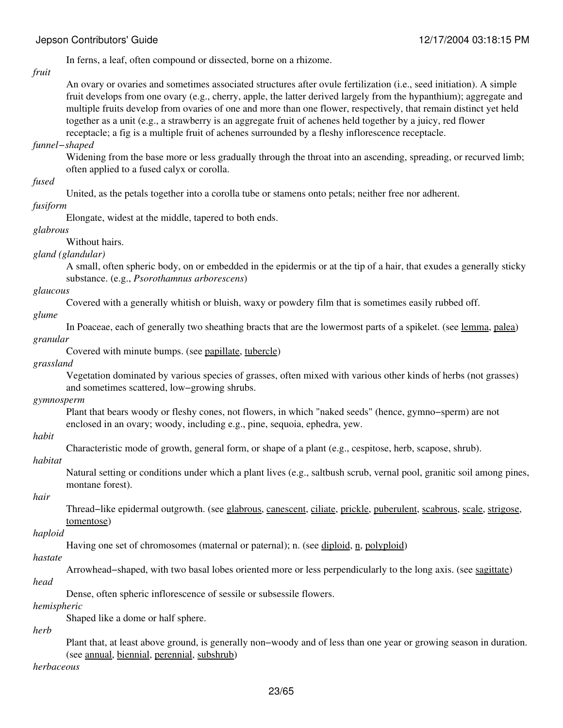In ferns, a leaf, often compound or dissected, borne on a rhizome.

#### *fruit*

An ovary or ovaries and sometimes associated structures after ovule fertilization (i.e., seed initiation). A simple fruit develops from one ovary (e.g., cherry, apple, the latter derived largely from the hypanthium); aggregate and multiple fruits develop from ovaries of one and more than one flower, respectively, that remain distinct yet held together as a unit (e.g., a strawberry is an aggregate fruit of achenes held together by a juicy, red flower receptacle; a fig is a multiple fruit of achenes surrounded by a fleshy inflorescence receptacle.

### <span id="page-22-5"></span>*funnel−shaped*

Widening from the base more or less gradually through the throat into an ascending, spreading, or recurved limb; often applied to a fused calyx or corolla.

#### <span id="page-22-0"></span>*fused*

United, as the petals together into a corolla tube or stamens onto petals; neither free nor adherent.

#### *fusiform*

Elongate, widest at the middle, tapered to both ends.

#### <span id="page-22-3"></span>*glabrous*

Without hairs.

#### *gland (glandular)*

A small, often spheric body, on or embedded in the epidermis or at the tip of a hair, that exudes a generally sticky substance. (e.g., *Psorothamnus arborescens*)

#### *glaucous*

Covered with a generally whitish or bluish, waxy or powdery film that is sometimes easily rubbed off.

#### <span id="page-22-4"></span>*glume*

In Poaceae, each of generally two sheathing bracts that are the lowermost parts of a spikelet. (see [lemma,](#page-24-6) [palea](#page-26-6)) *granular*

Covered with minute bumps. (see [papillate,](#page-26-7) [tubercle\)](#page-34-4)

#### *grassland*

Vegetation dominated by various species of grasses, often mixed with various other kinds of herbs (not grasses) and sometimes scattered, low−growing shrubs.

#### *gymnosperm*

Plant that bears woody or fleshy cones, not flowers, in which "naked seeds" (hence, gymno−sperm) are not enclosed in an ovary; woody, including e.g., pine, sequoia, ephedra, yew.

#### *habit*

Characteristic mode of growth, general form, or shape of a plant (e.g., cespitose, herb, scapose, shrub).

#### *habitat*

Natural setting or conditions under which a plant lives (e.g., saltbush scrub, vernal pool, granitic soil among pines, montane forest).

#### <span id="page-22-7"></span>*hair*

Thread−like epidermal outgrowth. (see [glabrous](#page-22-3), [canescent,](#page-17-3) [ciliate](#page-17-4), [prickle](#page-28-5), [puberulent,](#page-29-7) [scabrous,](#page-30-2) [scale](#page-30-3), [strigose,](#page-33-2) [tomentose](#page-34-5))

#### <span id="page-22-2"></span>*haploid*

Having one set of chromosomes (maternal or paternal); n. (see [diploid,](#page-20-7) n. [polyploid\)](#page-28-4)

#### <span id="page-22-6"></span>*hastate*

Arrowhead−shaped, with two basal lobes oriented more or less perpendicularly to the long axis. (see [sagittate\)](#page-30-4)

#### <span id="page-22-8"></span>*head*

Dense, often spheric inflorescence of sessile or subsessile flowers.

#### *hemispheric*

Shaped like a dome or half sphere.

#### <span id="page-22-1"></span>*herb*

Plant that, at least above ground, is generally non−woody and of less than one year or growing season in duration. (see [annual,](#page-15-2) [biennial,](#page-16-1) [perennial](#page-27-0), [subshrub](#page-33-3))

### *herbaceous*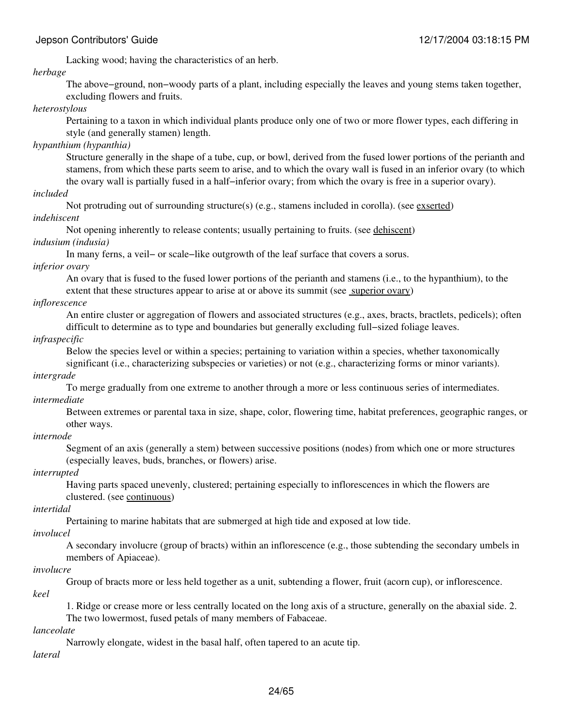Lacking wood; having the characteristics of an herb.

#### *herbage*

The above−ground, non−woody parts of a plant, including especially the leaves and young stems taken together, excluding flowers and fruits.

#### *heterostylous*

Pertaining to a taxon in which individual plants produce only one of two or more flower types, each differing in style (and generally stamen) length.

# <span id="page-23-4"></span>*hypanthium (hypanthia)*

Structure generally in the shape of a tube, cup, or bowl, derived from the fused lower portions of the perianth and stamens, from which these parts seem to arise, and to which the ovary wall is fused in an inferior ovary (to which the ovary wall is partially fused in a half−inferior ovary; from which the ovary is free in a superior ovary).

#### <span id="page-23-2"></span>*included*

Not protruding out of surrounding structure(s) (e.g., stamens included in corolla). (see [exserted\)](#page-21-1)

#### <span id="page-23-1"></span>*indehiscent*

Not opening inherently to release contents; usually pertaining to fruits. (see [dehiscent\)](#page-19-5) *indusium (indusia)*

In many ferns, a veil− or scale−like outgrowth of the leaf surface that covers a sorus.

#### <span id="page-23-5"></span>*inferior ovary*

An ovary that is fused to the fused lower portions of the perianth and stamens (i.e., to the hypanthium), to the extent that these structures appear to arise at or above its summit (see [superior ovary](#page-33-4))

#### *inflorescence*

An entire cluster or aggregation of flowers and associated structures (e.g., axes, bracts, bractlets, pedicels); often difficult to determine as to type and boundaries but generally excluding full−sized foliage leaves.

#### *infraspecific*

Below the species level or within a species; pertaining to variation within a species, whether taxonomically

significant (i.e., characterizing subspecies or varieties) or not (e.g., characterizing forms or minor variants). *intergrade*

#### To merge gradually from one extreme to another through a more or less continuous series of intermediates. *intermediate*

Between extremes or parental taxa in size, shape, color, flowering time, habitat preferences, geographic ranges, or other ways.

#### <span id="page-23-3"></span>*internode*

Segment of an axis (generally a stem) between successive positions (nodes) from which one or more structures (especially leaves, buds, branches, or flowers) arise.

#### <span id="page-23-0"></span>*interrupted*

Having parts spaced unevenly, clustered; pertaining especially to inflorescences in which the flowers are clustered. (see [continuous\)](#page-18-5)

#### *intertidal*

Pertaining to marine habitats that are submerged at high tide and exposed at low tide.

### *involucel*

A secondary involucre (group of bracts) within an inflorescence (e.g., those subtending the secondary umbels in members of Apiaceae).

#### *involucre*

Group of bracts more or less held together as a unit, subtending a flower, fruit (acorn cup), or inflorescence. *keel*

1. Ridge or crease more or less centrally located on the long axis of a structure, generally on the abaxial side. 2. The two lowermost, fused petals of many members of Fabaceae.

### *lanceolate*

Narrowly elongate, widest in the basal half, often tapered to an acute tip.

### <span id="page-23-6"></span>*lateral*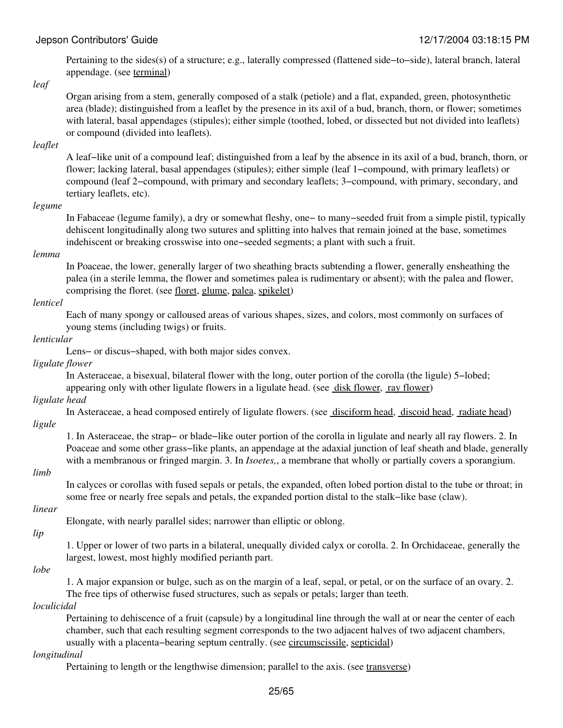Pertaining to the sides(s) of a structure; e.g., laterally compressed (flattened side−to−side), lateral branch, lateral appendage. (see [terminal\)](#page-33-5)

### *leaf*

Organ arising from a stem, generally composed of a stalk (petiole) and a flat, expanded, green, photosynthetic area (blade); distinguished from a leaflet by the presence in its axil of a bud, branch, thorn, or flower; sometimes with lateral, basal appendages (stipules); either simple (toothed, lobed, or dissected but not divided into leaflets) or compound (divided into leaflets).

#### <span id="page-24-3"></span>*leaflet*

A leaf−like unit of a compound leaf; distinguished from a leaf by the absence in its axil of a bud, branch, thorn, or flower; lacking lateral, basal appendages (stipules); either simple (leaf 1−compound, with primary leaflets) or compound (leaf 2−compound, with primary and secondary leaflets; 3−compound, with primary, secondary, and tertiary leaflets, etc).

#### *legume*

In Fabaceae (legume family), a dry or somewhat fleshy, one− to many−seeded fruit from a simple pistil, typically dehiscent longitudinally along two sutures and splitting into halves that remain joined at the base, sometimes indehiscent or breaking crosswise into one−seeded segments; a plant with such a fruit.

#### <span id="page-24-6"></span>*lemma*

In Poaceae, the lower, generally larger of two sheathing bracts subtending a flower, generally ensheathing the palea (in a sterile lemma, the flower and sometimes palea is rudimentary or absent); with the palea and flower, comprising the floret. (see [floret](#page-21-6), [glume](#page-22-4), [palea,](#page-26-6) [spikelet\)](#page-31-3)

### *lenticel*

Each of many spongy or calloused areas of various shapes, sizes, and colors, most commonly on surfaces of young stems (including twigs) or fruits.

### *lenticular*

Lens− or discus−shaped, with both major sides convex.

#### *ligulate flower*

In Asteraceae, a bisexual, bilateral flower with the long, outer portion of the corolla (the ligule) 5−lobed; appearing only with other ligulate flowers in a ligulate head. (see [disk flower,](#page-20-8) [ray flower](#page-29-6))

#### <span id="page-24-2"></span>*ligulate head*

In Asteraceae, a head composed entirely of ligulate flowers. (see [disciform head,](#page-20-6) [discoid head](#page-20-5), [radiate head\)](#page-29-5)

# *ligule*

1. In Asteraceae, the strap− or blade−like outer portion of the corolla in ligulate and nearly all ray flowers. 2. In Poaceae and some other grass−like plants, an appendage at the adaxial junction of leaf sheath and blade, generally with a membranous or fringed margin. 3. In *Isoetes*, a membrane that wholly or partially covers a sporangium.

#### <span id="page-24-1"></span>*limb*

In calyces or corollas with fused sepals or petals, the expanded, often lobed portion distal to the tube or throat; in some free or nearly free sepals and petals, the expanded portion distal to the stalk–like base (claw).

#### <span id="page-24-5"></span>*linear*

Elongate, with nearly parallel sides; narrower than elliptic or oblong.

#### *lip*

1. Upper or lower of two parts in a bilateral, unequally divided calyx or corolla. 2. In Orchidaceae, generally the largest, lowest, most highly modified perianth part.

#### <span id="page-24-4"></span>*lobe*

1. A major expansion or bulge, such as on the margin of a leaf, sepal, or petal, or on the surface of an ovary. 2. The free tips of otherwise fused structures, such as sepals or petals; larger than teeth.

#### <span id="page-24-0"></span>*loculicidal*

Pertaining to dehiscence of a fruit (capsule) by a longitudinal line through the wall at or near the center of each chamber, such that each resulting segment corresponds to the two adjacent halves of two adjacent chambers, usually with a placenta−bearing septum centrally. (see [circumscissile](#page-17-1), [septicidal](#page-31-0))

#### <span id="page-24-7"></span>*longitudinal*

Pertaining to length or the lengthwise dimension; parallel to the axis. (see [transverse](#page-34-6))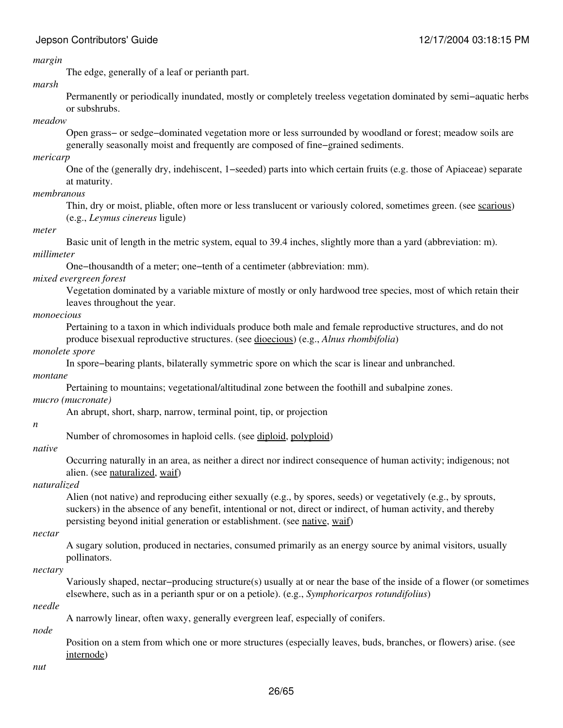#### *margin*

The edge, generally of a leaf or perianth part.

#### *marsh*

Permanently or periodically inundated, mostly or completely treeless vegetation dominated by semi−aquatic herbs or subshrubs.

#### *meadow*

Open grass− or sedge−dominated vegetation more or less surrounded by woodland or forest; meadow soils are generally seasonally moist and frequently are composed of fine−grained sediments.

#### *mericarp*

One of the (generally dry, indehiscent, 1−seeded) parts into which certain fruits (e.g. those of Apiaceae) separate at maturity.

#### <span id="page-25-5"></span>*membranous*

Thin, dry or moist, pliable, often more or less translucent or variously colored, sometimes green. (see [scarious](#page-30-5)) (e.g., *Leymus cinereus* ligule)

#### *meter*

Basic unit of length in the metric system, equal to 39.4 inches, slightly more than a yard (abbreviation: m).

#### *millimeter*

One−thousandth of a meter; one−tenth of a centimeter (abbreviation: mm).

#### *mixed evergreen forest*

Vegetation dominated by a variable mixture of mostly or only hardwood tree species, most of which retain their leaves throughout the year.

#### <span id="page-25-2"></span>*monoecious*

Pertaining to a taxon in which individuals produce both male and female reproductive structures, and do not produce bisexual reproductive structures. (see [dioecious\)](#page-19-1) (e.g., *Alnus rhombifolia*)

#### *monolete spore*

In spore−bearing plants, bilaterally symmetric spore on which the scar is linear and unbranched.

#### *montane*

Pertaining to mountains; vegetational/altitudinal zone between the foothill and subalpine zones.

#### *mucro (mucronate)*

An abrupt, short, sharp, narrow, terminal point, tip, or projection

#### <span id="page-25-3"></span>*n*

Number of chromosomes in haploid cells. (see [diploid,](#page-20-7) [polyploid\)](#page-28-4)

#### <span id="page-25-0"></span>*native*

Occurring naturally in an area, as neither a direct nor indirect consequence of human activity; indigenous; not alien. (see [naturalized](#page-25-1), [waif](#page-35-1))

#### <span id="page-25-1"></span>*naturalized*

Alien (not native) and reproducing either sexually (e.g., by spores, seeds) or vegetatively (e.g., by sprouts, suckers) in the absence of any benefit, intentional or not, direct or indirect, of human activity, and thereby persisting beyond initial generation or establishment. (see [native,](#page-25-0) [waif\)](#page-35-1)

#### *nectar*

A sugary solution, produced in nectaries, consumed primarily as an energy source by animal visitors, usually pollinators.

#### *nectary*

Variously shaped, nectar−producing structure(s) usually at or near the base of the inside of a flower (or sometimes elsewhere, such as in a perianth spur or on a petiole). (e.g., *Symphoricarpos rotundifolius*)

#### *needle*

A narrowly linear, often waxy, generally evergreen leaf, especially of conifers.

#### *node*

Position on a stem from which one or more structures (especially leaves, buds, branches, or flowers) arise. (see [internode\)](#page-23-3)

<span id="page-25-4"></span>*nut*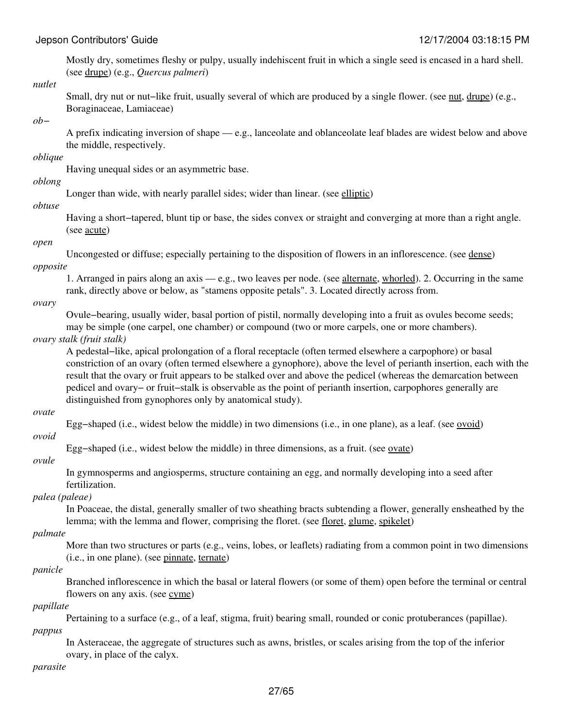Mostly dry, sometimes fleshy or pulpy, usually indehiscent fruit in which a single seed is encased in a hard shell. (see [drupe\)](#page-20-2) (e.g., *Quercus palmeri*)

### *nutlet*

Small, dry nut or nut−like fruit, usually several of which are produced by a single flower. (see [nut](#page-25-4), [drupe\)](#page-20-2) (e.g., Boraginaceae, Lamiaceae)

#### *ob−*

A prefix indicating inversion of shape — e.g., lanceolate and oblanceolate leaf blades are widest below and above the middle, respectively.

### *oblique*

Having unequal sides or an asymmetric base.

#### <span id="page-26-5"></span>*oblong*

Longer than wide, with nearly parallel sides; wider than linear. (see [elliptic](#page-20-9))

#### <span id="page-26-0"></span>*obtuse*

Having a short−tapered, blunt tip or base, the sides convex or straight and converging at more than a right angle. (see [acute\)](#page-14-5)

#### <span id="page-26-4"></span>*open*

<span id="page-26-1"></span>Uncongested or diffuse; especially pertaining to the disposition of flowers in an inflorescence. (see [dense\)](#page-19-6) *opposite*

1. Arranged in pairs along an axis — e.g., two leaves per node. (see [alternate](#page-15-7), [whorled\)](#page-35-2). 2. Occurring in the same rank, directly above or below, as "stamens opposite petals". 3. Located directly across from.

#### *ovary*

Ovule−bearing, usually wider, basal portion of pistil, normally developing into a fruit as ovules become seeds; may be simple (one carpel, one chamber) or compound (two or more carpels, one or more chambers).

### *ovary stalk (fruit stalk)*

A pedestal−like, apical prolongation of a floral receptacle (often termed elsewhere a carpophore) or basal constriction of an ovary (often termed elsewhere a gynophore), above the level of perianth insertion, each with the result that the ovary or fruit appears to be stalked over and above the pedicel (whereas the demarcation between pedicel and ovary− or fruit−stalk is observable as the point of perianth insertion, carpophores generally are distinguished from gynophores only by anatomical study).

#### <span id="page-26-9"></span>*ovate*

Egg−shaped (i.e., widest below the middle) in two dimensions (i.e., in one plane), as a leaf. (see [ovoid](#page-26-8))

#### <span id="page-26-8"></span>*ovoid*

Egg−shaped (i.e., widest below the middle) in three dimensions, as a fruit. (see [ovate](#page-26-9))

#### *ovule*

In gymnosperms and angiosperms, structure containing an egg, and normally developing into a seed after fertilization.

#### <span id="page-26-6"></span>*palea (paleae)*

In Poaceae, the distal, generally smaller of two sheathing bracts subtending a flower, generally ensheathed by the lemma; with the lemma and flower, comprising the floret. (see [floret,](#page-21-6) [glume,](#page-22-4) [spikelet\)](#page-31-3)

#### <span id="page-26-2"></span>*palmate*

More than two structures or parts (e.g., veins, lobes, or leaflets) radiating from a common point in two dimensions (i.e., in one plane). (see [pinnate](#page-27-1), [ternate\)](#page-33-6)

#### <span id="page-26-3"></span>*panicle*

Branched inflorescence in which the basal or lateral flowers (or some of them) open before the terminal or central flowers on any axis. (see [cyme\)](#page-19-7)

#### <span id="page-26-7"></span>*papillate*

Pertaining to a surface (e.g., of a leaf, stigma, fruit) bearing small, rounded or conic protuberances (papillae). *pappus*

In Asteraceae, the aggregate of structures such as awns, bristles, or scales arising from the top of the inferior ovary, in place of the calyx.

#### *parasite*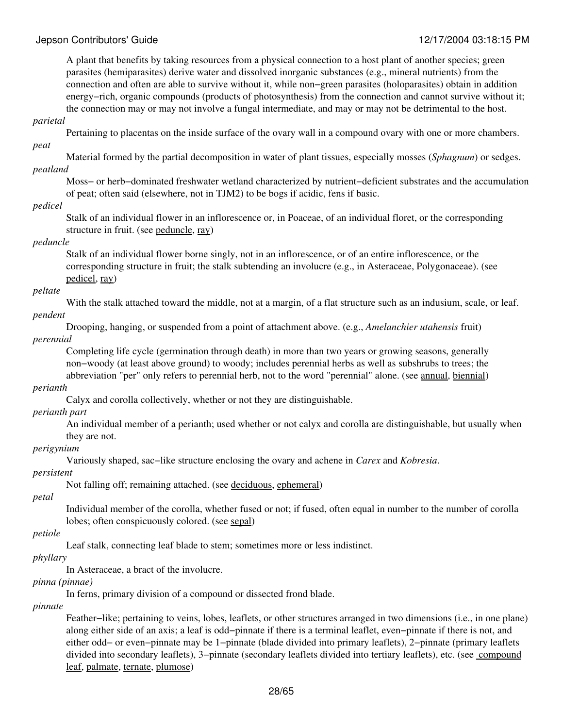A plant that benefits by taking resources from a physical connection to a host plant of another species; green parasites (hemiparasites) derive water and dissolved inorganic substances (e.g., mineral nutrients) from the connection and often are able to survive without it, while non−green parasites (holoparasites) obtain in addition energy–rich, organic compounds (products of photosynthesis) from the connection and cannot survive without it; the connection may or may not involve a fungal intermediate, and may or may not be detrimental to the host.

### <span id="page-27-2"></span>*parietal*

Pertaining to placentas on the inside surface of the ovary wall in a compound ovary with one or more chambers.

*peat*

Material formed by the partial decomposition in water of plant tissues, especially mosses (*Sphagnum*) or sedges. *peatland*

Moss− or herb−dominated freshwater wetland characterized by nutrient−deficient substrates and the accumulation of peat; often said (elsewhere, not in TJM2) to be bogs if acidic, fens if basic.

#### <span id="page-27-4"></span>*pedicel*

Stalk of an individual flower in an inflorescence or, in Poaceae, of an individual floret, or the corresponding structure in fruit. (see [peduncle](#page-27-3), [ray\)](#page-29-6)

#### <span id="page-27-3"></span>*peduncle*

Stalk of an individual flower borne singly, not in an inflorescence, or of an entire inflorescence, or the corresponding structure in fruit; the stalk subtending an involucre (e.g., in Asteraceae, Polygonaceae). (see [pedicel,](#page-27-4) [ray](#page-29-6))

#### *peltate*

With the stalk attached toward the middle, not at a margin, of a flat structure such as an indusium, scale, or leaf. *pendent*

<span id="page-27-0"></span>Drooping, hanging, or suspended from a point of attachment above. (e.g., *Amelanchier utahensis* fruit) *perennial*

Completing life cycle (germination through death) in more than two years or growing seasons, generally non−woody (at least above ground) to woody; includes perennial herbs as well as subshrubs to trees; the abbreviation "per" only refers to perennial herb, not to the word "perennial" alone. (see [annual](#page-15-2), [biennial](#page-16-1))

#### *perianth*

Calyx and corolla collectively, whether or not they are distinguishable.

### *perianth part*

An individual member of a perianth; used whether or not calyx and corolla are distinguishable, but usually when they are not.

### *perigynium*

Variously shaped, sac−like structure enclosing the ovary and achene in *Carex* and *Kobresia*.

#### *persistent*

Not falling off; remaining attached. (see [deciduous,](#page-19-4) [ephemeral](#page-20-10))

#### <span id="page-27-5"></span>*petal*

Individual member of the corolla, whether fused or not; if fused, often equal in number to the number of corolla lobes; often conspicuously colored. (see [sepal\)](#page-31-4)

#### *petiole*

Leaf stalk, connecting leaf blade to stem; sometimes more or less indistinct.

#### *phyllary*

In Asteraceae, a bract of the involucre.

### *pinna (pinnae)*

In ferns, primary division of a compound or dissected frond blade.

### <span id="page-27-1"></span>*pinnate*

Feather−like; pertaining to veins, lobes, leaflets, or other structures arranged in two dimensions (i.e., in one plane) along either side of an axis; a leaf is odd−pinnate if there is a terminal leaflet, even−pinnate if there is not, and either odd− or even−pinnate may be 1−pinnate (blade divided into primary leaflets), 2−pinnate (primary leaflets divided into secondary leaflets), 3-pinnate (secondary leaflets divided into tertiary leaflets), etc. (see [compound](#page-18-1) [leaf](#page-18-1), [palmate,](#page-26-2) [ternate](#page-33-6), [plumose](#page-28-6))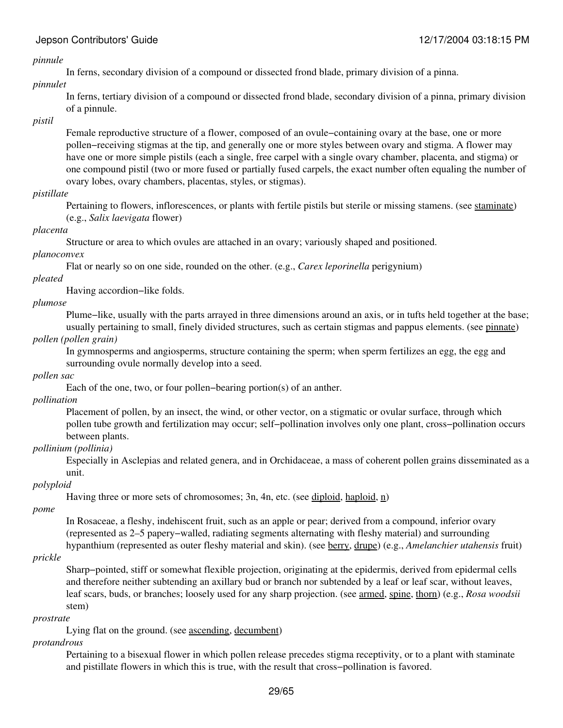### *pinnule*

In ferns, secondary division of a compound or dissected frond blade, primary division of a pinna.

#### *pinnulet*

In ferns, tertiary division of a compound or dissected frond blade, secondary division of a pinna, primary division of a pinnule.

#### <span id="page-28-2"></span>*pistil*

Female reproductive structure of a flower, composed of an ovule−containing ovary at the base, one or more pollen−receiving stigmas at the tip, and generally one or more styles between ovary and stigma. A flower may have one or more simple pistils (each a single, free carpel with a single ovary chamber, placenta, and stigma) or one compound pistil (two or more fused or partially fused carpels, the exact number often equaling the number of ovary lobes, ovary chambers, placentas, styles, or stigmas).

### <span id="page-28-1"></span>*pistillate*

Pertaining to flowers, inflorescences, or plants with fertile pistils but sterile or missing stamens. (see [staminate](#page-32-0)) (e.g., *Salix laevigata* flower)

#### *placenta*

Structure or area to which ovules are attached in an ovary; variously shaped and positioned.

### *planoconvex*

Flat or nearly so on one side, rounded on the other. (e.g., *Carex leporinella* perigynium)

### *pleated*

Having accordion−like folds.

#### <span id="page-28-6"></span>*plumose*

Plume−like, usually with the parts arrayed in three dimensions around an axis, or in tufts held together at the base; usually pertaining to small, finely divided structures, such as certain stigmas and pappus elements. (see [pinnate\)](#page-27-1)

# *pollen (pollen grain)*

In gymnosperms and angiosperms, structure containing the sperm; when sperm fertilizes an egg, the egg and surrounding ovule normally develop into a seed.

#### *pollen sac*

Each of the one, two, or four pollen−bearing portion(s) of an anther.

### *pollination*

Placement of pollen, by an insect, the wind, or other vector, on a stigmatic or ovular surface, through which pollen tube growth and fertilization may occur; self−pollination involves only one plant, cross−pollination occurs between plants.

### *pollinium (pollinia)*

Especially in Asclepias and related genera, and in Orchidaceae, a mass of coherent pollen grains disseminated as a unit.

#### <span id="page-28-4"></span>*polyploid*

Having three or more sets of chromosomes; 3n, 4n, etc. (see [diploid](#page-20-7), [haploid,](#page-22-2) [n\)](#page-25-3)

#### <span id="page-28-0"></span>*pome*

In Rosaceae, a fleshy, indehiscent fruit, such as an apple or pear; derived from a compound, inferior ovary (represented as 2–5 papery−walled, radiating segments alternating with fleshy material) and surrounding hypanthium (represented as outer fleshy material and skin). (see [berry,](#page-16-5) [drupe](#page-20-2)) (e.g., *Amelanchier utahensis* fruit)

#### <span id="page-28-5"></span>*prickle*

Sharp−pointed, stiff or somewhat flexible projection, originating at the epidermis, derived from epidermal cells and therefore neither subtending an axillary bud or branch nor subtended by a leaf or leaf scar, without leaves, leaf scars, buds, or branches; loosely used for any sharp projection. (see [armed](#page-15-8), [spine,](#page-31-5) [thorn\)](#page-33-7) (e.g., *Rosa woodsii* stem)

#### <span id="page-28-3"></span>*prostrate*

Lying flat on the ground. (see [ascending,](#page-15-4) [decumbent](#page-19-0))

### *protandrous*

Pertaining to a bisexual flower in which pollen release precedes stigma receptivity, or to a plant with staminate and pistillate flowers in which this is true, with the result that cross−pollination is favored.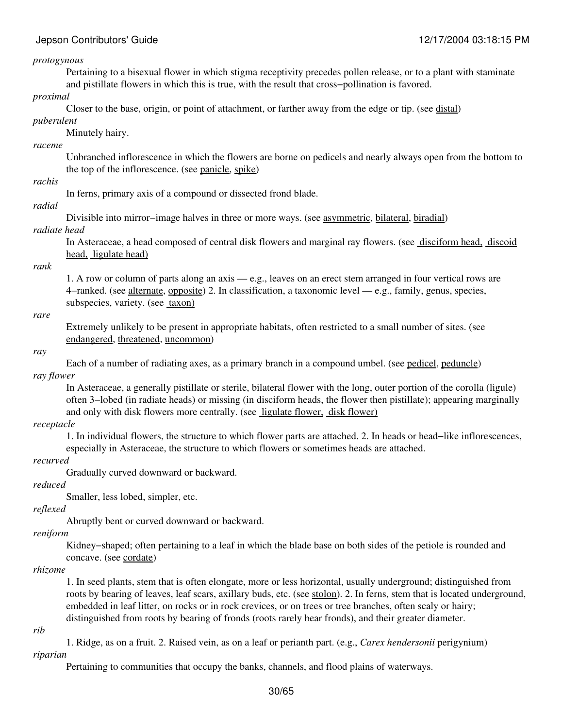#### *protogynous*

Pertaining to a bisexual flower in which stigma receptivity precedes pollen release, or to a plant with staminate and pistillate flowers in which this is true, with the result that cross−pollination is favored.

#### <span id="page-29-3"></span>*proximal*

Closer to the base, origin, or point of attachment, or farther away from the edge or tip. (see [distal\)](#page-20-0)

# <span id="page-29-7"></span>*puberulent*

Minutely hairy.

### <span id="page-29-9"></span>*raceme*

Unbranched inflorescence in which the flowers are borne on pedicels and nearly always open from the bottom to the top of the inflorescence. (see [panicle,](#page-26-3) [spike](#page-31-6))

### *rachis*

In ferns, primary axis of a compound or dissected frond blade.

# <span id="page-29-2"></span>*radial*

Divisible into mirror−image halves in three or more ways. (see [asymmetric,](#page-15-3) [bilateral](#page-16-2), [biradial\)](#page-16-3)

#### <span id="page-29-5"></span>*radiate head*

In Asteraceae, a head composed of central disk flowers and marginal ray flowers. (see [disciform head,](#page-20-6) [discoid](#page-20-5) [head,](#page-20-5) [ligulate head\)](#page-24-2)

#### <span id="page-29-1"></span>*rank*

1. A row or column of parts along an axis — e.g., leaves on an erect stem arranged in four vertical rows are 4−ranked. (see [alternate,](#page-15-7) [opposite](#page-26-1)) 2. In classification, a taxonomic level — e.g., family, genus, species, subspecies, variety. (see [taxon\)](#page-33-8)

#### <span id="page-29-0"></span>*rare*

Extremely unlikely to be present in appropriate habitats, often restricted to a small number of sites. (see endangered, threatened, [uncommon](#page-34-0))

#### *ray*

<span id="page-29-6"></span>Each of a number of radiating axes, as a primary branch in a compound umbel. (see [pedicel,](#page-27-4) [peduncle\)](#page-27-3) *ray flower*

In Asteraceae, a generally pistillate or sterile, bilateral flower with the long, outer portion of the corolla (ligule) often 3−lobed (in radiate heads) or missing (in disciform heads, the flower then pistillate); appearing marginally and only with disk flowers more centrally. (see [ligulate flower,](#page-24-2) [disk flower\)](#page-20-8)

#### *receptacle*

1. In individual flowers, the structure to which flower parts are attached. 2. In heads or head−like inflorescences, especially in Asteraceae, the structure to which flowers or sometimes heads are attached.

#### *recurved*

Gradually curved downward or backward.

# *reduced*

Smaller, less lobed, simpler, etc.

#### *reflexed*

Abruptly bent or curved downward or backward.

#### <span id="page-29-4"></span>*reniform*

Kidney−shaped; often pertaining to a leaf in which the blade base on both sides of the petiole is rounded and concave. (see [cordate](#page-18-6))

#### <span id="page-29-8"></span>*rhizome*

1. In seed plants, stem that is often elongate, more or less horizontal, usually underground; distinguished from roots by bearing of leaves, leaf scars, axillary buds, etc. (see [stolon](#page-32-5)). 2. In ferns, stem that is located underground, embedded in leaf litter, on rocks or in rock crevices, or on trees or tree branches, often scaly or hairy; distinguished from roots by bearing of fronds (roots rarely bear fronds), and their greater diameter.

#### *rib*

1. Ridge, as on a fruit. 2. Raised vein, as on a leaf or perianth part. (e.g., *Carex hendersonii* perigynium) *riparian*

Pertaining to communities that occupy the banks, channels, and flood plains of waterways.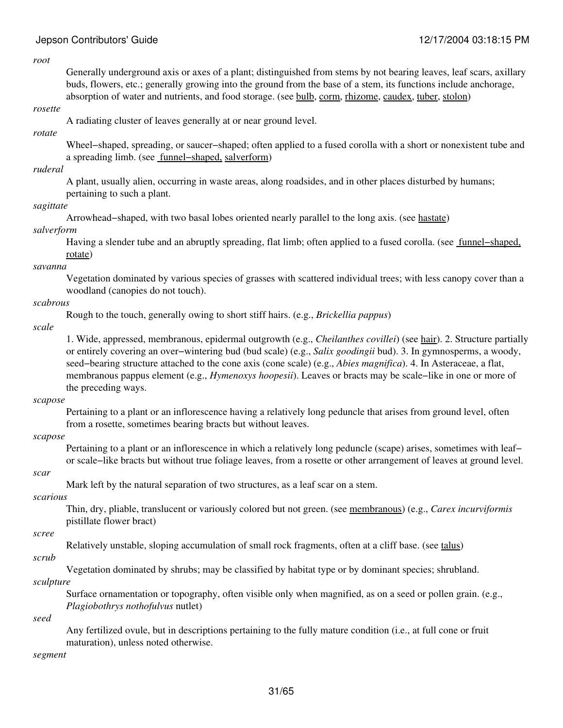#### <span id="page-30-8"></span>*root*

Generally underground axis or axes of a plant; distinguished from stems by not bearing leaves, leaf scars, axillary buds, flowers, etc.; generally growing into the ground from the base of a stem, its functions include anchorage, absorption of water and nutrients, and food storage. (see [bulb,](http://ucjeps.berkeley.edu:80/bulb) [corm,](#page-19-2) [rhizome](#page-29-8), [caudex](#page-17-0), [tuber](#page-34-3), [stolon\)](#page-32-5)

#### *rosette*

A radiating cluster of leaves generally at or near ground level.

#### <span id="page-30-7"></span>*rotate*

Wheel−shaped, spreading, or saucer−shaped; often applied to a fused corolla with a short or nonexistent tube and a spreading limb. (see [funnel−shaped,](#page-22-5) [salverform](#page-30-6))

#### <span id="page-30-0"></span>*ruderal*

A plant, usually alien, occurring in waste areas, along roadsides, and in other places disturbed by humans;

### pertaining to such a plant.

#### <span id="page-30-4"></span>*sagittate*

Arrowhead−shaped, with two basal lobes oriented nearly parallel to the long axis. (see [hastate](#page-22-6))

#### <span id="page-30-6"></span>*salverform*

Having a slender tube and an abruptly spreading, flat limb; often applied to a fused corolla. (see funnel–shaped, [rotate](#page-30-7))

#### *savanna*

Vegetation dominated by various species of grasses with scattered individual trees; with less canopy cover than a woodland (canopies do not touch).

# <span id="page-30-2"></span>*scabrous*

Rough to the touch, generally owing to short stiff hairs. (e.g., *Brickellia pappus*)

#### <span id="page-30-3"></span>*scale*

1. Wide, appressed, membranous, epidermal outgrowth (e.g., *Cheilanthes covillei*) (see [hair\)](#page-22-7). 2. Structure partially or entirely covering an over−wintering bud (bud scale) (e.g., *Salix goodingii* bud). 3. In gymnosperms, a woody, seed−bearing structure attached to the cone axis (cone scale) (e.g., *Abies magnifica*). 4. In Asteraceae, a flat, membranous pappus element (e.g., *Hymenoxys hoopesii*). Leaves or bracts may be scale−like in one or more of the preceding ways.

#### *scapose*

Pertaining to a plant or an inflorescence having a relatively long peduncle that arises from ground level, often from a rosette, sometimes bearing bracts but without leaves.

#### *scapose*

Pertaining to a plant or an inflorescence in which a relatively long peduncle (scape) arises, sometimes with leaf− or scale−like bracts but without true foliage leaves, from a rosette or other arrangement of leaves at ground level.

#### *scar*

Mark left by the natural separation of two structures, as a leaf scar on a stem.

#### <span id="page-30-5"></span>*scarious*

Thin, dry, pliable, translucent or variously colored but not green. (see [membranous](#page-25-5)) (e.g., *Carex incurviformis* pistillate flower bract)

#### <span id="page-30-9"></span>*scree*

Relatively unstable, sloping accumulation of small rock fragments, often at a cliff base. (see [talus\)](#page-33-9)

#### *scrub*

Vegetation dominated by shrubs; may be classified by habitat type or by dominant species; shrubland.

#### *sculpture*

Surface ornamentation or topography, often visible only when magnified, as on a seed or pollen grain. (e.g., *Plagiobothrys nothofulvus* nutlet)

#### *seed*

Any fertilized ovule, but in descriptions pertaining to the fully mature condition (i.e., at full cone or fruit maturation), unless noted otherwise.

#### <span id="page-30-1"></span>*segment*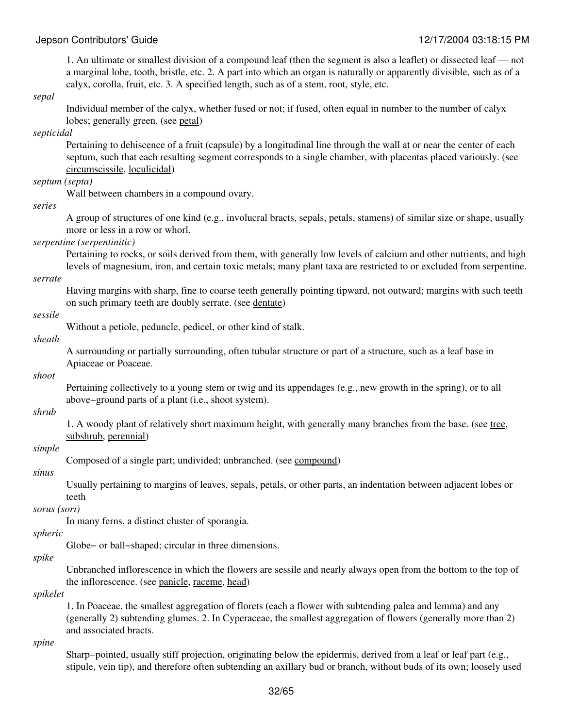1. An ultimate or smallest division of a compound leaf (then the segment is also a leaflet) or dissected leaf — not a marginal lobe, tooth, bristle, etc. 2. A part into which an organ is naturally or apparently divisible, such as of a calyx, corolla, fruit, etc. 3. A specified length, such as of a stem, root, style, etc.

#### <span id="page-31-4"></span>*sepal*

Individual member of the calyx, whether fused or not; if fused, often equal in number to the number of calyx lobes; generally green. (see [petal](#page-27-5))

#### <span id="page-31-0"></span>*septicidal*

Pertaining to dehiscence of a fruit (capsule) by a longitudinal line through the wall at or near the center of each septum, such that each resulting segment corresponds to a single chamber, with placentas placed variously. (see [circumscissile](#page-17-1), [loculicidal](#page-24-0))

#### *septum (septa)*

Wall between chambers in a compound ovary.

#### *series*

A group of structures of one kind (e.g., involucral bracts, sepals, petals, stamens) of similar size or shape, usually more or less in a row or whorl.

#### *serpentine (serpentinitic)*

Pertaining to rocks, or soils derived from them, with generally low levels of calcium and other nutrients, and high levels of magnesium, iron, and certain toxic metals; many plant taxa are restricted to or excluded from serpentine.

#### <span id="page-31-2"></span>*serrate*

Having margins with sharp, fine to coarse teeth generally pointing tipward, not outward; margins with such teeth on such primary teeth are doubly serrate. (see [dentate\)](#page-19-8)

#### *sessile*

Without a petiole, peduncle, pedicel, or other kind of stalk.

#### *sheath*

A surrounding or partially surrounding, often tubular structure or part of a structure, such as a leaf base in Apiaceae or Poaceae.

#### *shoot*

Pertaining collectively to a young stem or twig and its appendages (e.g., new growth in the spring), or to all above−ground parts of a plant (i.e., shoot system).

#### <span id="page-31-7"></span>*shrub*

1. A woody plant of relatively short maximum height, with generally many branches from the base. (see [tree,](#page-34-7) [subshrub,](#page-33-3) [perennial](#page-27-0))

#### <span id="page-31-1"></span>*simple*

Composed of a single part; undivided; unbranched. (see [compound\)](#page-18-1)

#### *sinus*

Usually pertaining to margins of leaves, sepals, petals, or other parts, an indentation between adjacent lobes or teeth

#### *sorus (sori)*

In many ferns, a distinct cluster of sporangia.

#### *spheric*

Globe− or ball−shaped; circular in three dimensions.

#### <span id="page-31-6"></span>*spike*

Unbranched inflorescence in which the flowers are sessile and nearly always open from the bottom to the top of the inflorescence. (see [panicle,](#page-26-3) [raceme,](#page-29-9) [head](#page-22-8))

#### <span id="page-31-3"></span>*spikelet*

1. In Poaceae, the smallest aggregation of florets (each a flower with subtending palea and lemma) and any (generally 2) subtending glumes. 2. In Cyperaceae, the smallest aggregation of flowers (generally more than 2) and associated bracts.

<span id="page-31-5"></span>*spine*

Sharp−pointed, usually stiff projection, originating below the epidermis, derived from a leaf or leaf part (e.g., stipule, vein tip), and therefore often subtending an axillary bud or branch, without buds of its own; loosely used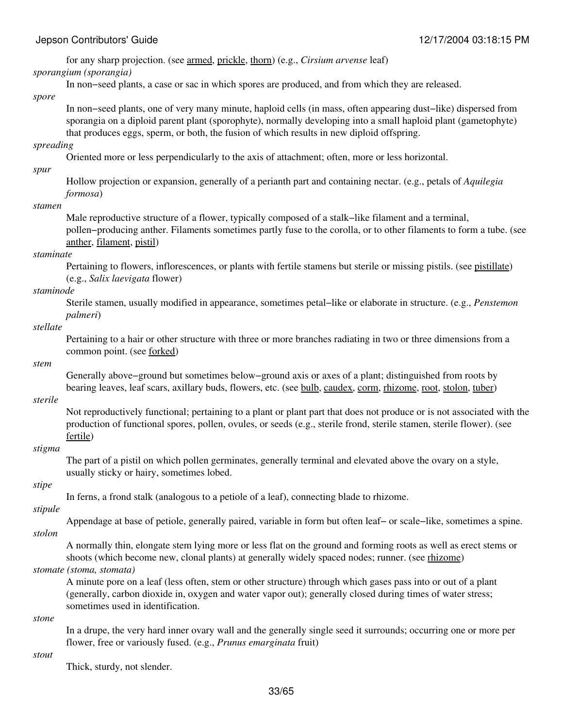for any sharp projection. (see [armed,](#page-15-8) [prickle,](#page-28-5) [thorn\)](#page-33-7) (e.g., *Cirsium arvense* leaf)

*sporangium (sporangia)*

In non−seed plants, a case or sac in which spores are produced, and from which they are released.

#### *spore*

In non−seed plants, one of very many minute, haploid cells (in mass, often appearing dust−like) dispersed from sporangia on a diploid parent plant (sporophyte), normally developing into a small haploid plant (gametophyte) that produces eggs, sperm, or both, the fusion of which results in new diploid offspring.

#### *spreading*

Oriented more or less perpendicularly to the axis of attachment; often, more or less horizontal.

#### *spur*

Hollow projection or expansion, generally of a perianth part and containing nectar. (e.g., petals of *Aquilegia formosa*)

#### *stamen*

Male reproductive structure of a flower, typically composed of a stalk−like filament and a terminal, pollen−producing anther. Filaments sometimes partly fuse to the corolla, or to other filaments to form a tube. (see [anther,](#page-15-9) [filament,](#page-21-0) [pistil](#page-28-2))

#### <span id="page-32-0"></span>*staminate*

Pertaining to flowers, inflorescences, or plants with fertile stamens but sterile or missing pistils. (see [pistillate](#page-28-1)) (e.g., *Salix laevigata* flower)

#### *staminode*

Sterile stamen, usually modified in appearance, sometimes petal−like or elaborate in structure. (e.g., *Penstemon palmeri*)

#### <span id="page-32-4"></span>*stellate*

Pertaining to a hair or other structure with three or more branches radiating in two or three dimensions from a common point. (see [forked](#page-21-7))

#### <span id="page-32-1"></span>*stem*

Generally above−ground but sometimes below−ground axis or axes of a plant; distinguished from roots by bearing leaves, leaf scars, axillary buds, flowers, etc. (see [bulb,](#page-16-4) [caudex,](#page-17-0) [corm,](#page-19-2) [rhizome](#page-29-8), [root](#page-30-8), [stolon,](#page-32-5) [tuber\)](#page-34-3)

#### <span id="page-32-3"></span>*sterile*

Not reproductively functional; pertaining to a plant or plant part that does not produce or is not associated with the production of functional spores, pollen, ovules, or seeds (e.g., sterile frond, sterile stamen, sterile flower). (see [fertile](#page-21-8))

#### *stigma*

The part of a pistil on which pollen germinates, generally terminal and elevated above the ovary on a style, usually sticky or hairy, sometimes lobed.

# *stipe*

In ferns, a frond stalk (analogous to a petiole of a leaf), connecting blade to rhizome.

#### *stipule*

<span id="page-32-5"></span>Appendage at base of petiole, generally paired, variable in form but often leaf− or scale−like, sometimes a spine. *stolon*

A normally thin, elongate stem lying more or less flat on the ground and forming roots as well as erect stems or shoots (which become new, clonal plants) at generally widely spaced nodes; runner. (see [rhizome](#page-29-8))

#### *stomate (stoma, stomata)*

A minute pore on a leaf (less often, stem or other structure) through which gases pass into or out of a plant (generally, carbon dioxide in, oxygen and water vapor out); generally closed during times of water stress; sometimes used in identification.

#### <span id="page-32-2"></span>*stone*

In a drupe, the very hard inner ovary wall and the generally single seed it surrounds; occurring one or more per flower, free or variously fused. (e.g., *Prunus emarginata* fruit)

#### *stout*

Thick, sturdy, not slender.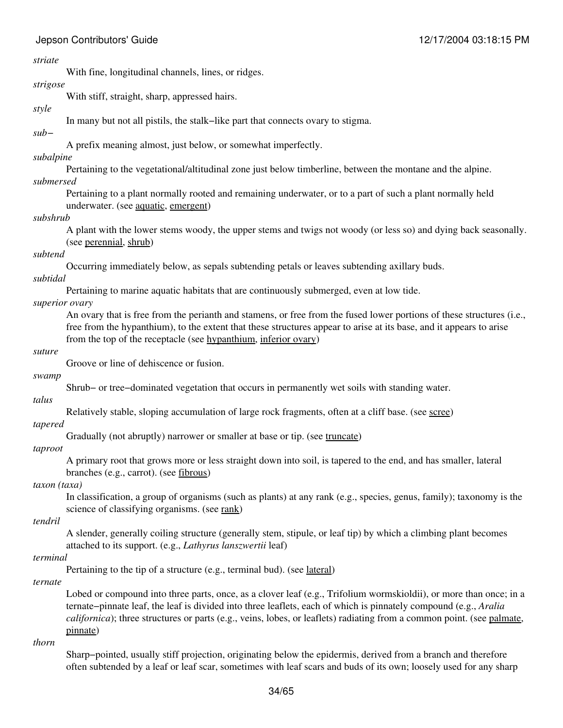#### *striate*

With fine, longitudinal channels, lines, or ridges.

### <span id="page-33-2"></span>*strigose*

With stiff, straight, sharp, appressed hairs.

#### *style*

In many but not all pistils, the stalk−like part that connects ovary to stigma.

*sub−*

A prefix meaning almost, just below, or somewhat imperfectly.

#### *subalpine*

Pertaining to the vegetational/altitudinal zone just below timberline, between the montane and the alpine.

#### <span id="page-33-0"></span>*submersed*

Pertaining to a plant normally rooted and remaining underwater, or to a part of such a plant normally held underwater. (see [aquatic](#page-15-5), [emergent\)](#page-20-11)

#### <span id="page-33-3"></span>*subshrub*

A plant with the lower stems woody, the upper stems and twigs not woody (or less so) and dying back seasonally. (see [perennial](#page-27-0), [shrub](#page-31-7))

#### *subtend*

Occurring immediately below, as sepals subtending petals or leaves subtending axillary buds.

#### *subtidal*

Pertaining to marine aquatic habitats that are continuously submerged, even at low tide.

#### <span id="page-33-4"></span>*superior ovary*

An ovary that is free from the perianth and stamens, or free from the fused lower portions of these structures (i.e., free from the hypanthium), to the extent that these structures appear to arise at its base, and it appears to arise from the top of the receptacle (see [hypanthium,](#page-23-4) [inferior ovary\)](#page-23-5)

#### *suture*

Groove or line of dehiscence or fusion.

#### *swamp*

Shrub− or tree−dominated vegetation that occurs in permanently wet soils with standing water.

#### <span id="page-33-9"></span>*talus*

Relatively stable, sloping accumulation of large rock fragments, often at a cliff base. (see [scree\)](#page-30-9)

#### <span id="page-33-10"></span>*tapered*

Gradually (not abruptly) narrower or smaller at base or tip. (see [truncate\)](#page-34-8)

#### <span id="page-33-1"></span>*taproot*

A primary root that grows more or less straight down into soil, is tapered to the end, and has smaller, lateral branches (e.g., carrot). (see [fibrous](#page-21-9))

#### <span id="page-33-8"></span>*taxon (taxa)*

In classification, a group of organisms (such as plants) at any rank (e.g., species, genus, family); taxonomy is the science of classifying organisms. (see [rank](#page-29-1))

#### *tendril*

A slender, generally coiling structure (generally stem, stipule, or leaf tip) by which a climbing plant becomes attached to its support. (e.g., *Lathyrus lanszwertii* leaf)

#### <span id="page-33-5"></span>*terminal*

Pertaining to the tip of a structure (e.g., terminal bud). (see <u>lateral</u>)

#### <span id="page-33-6"></span>*ternate*

Lobed or compound into three parts, once, as a clover leaf (e.g., Trifolium wormskioldii), or more than once; in a ternate−pinnate leaf, the leaf is divided into three leaflets, each of which is pinnately compound (e.g., *Aralia californica*); three structures or parts (e.g., veins, lobes, or leaflets) radiating from a common point. (see [palmate,](#page-26-2) [pinnate](#page-27-1))

#### <span id="page-33-7"></span>*thorn*

Sharp−pointed, usually stiff projection, originating below the epidermis, derived from a branch and therefore often subtended by a leaf or leaf scar, sometimes with leaf scars and buds of its own; loosely used for any sharp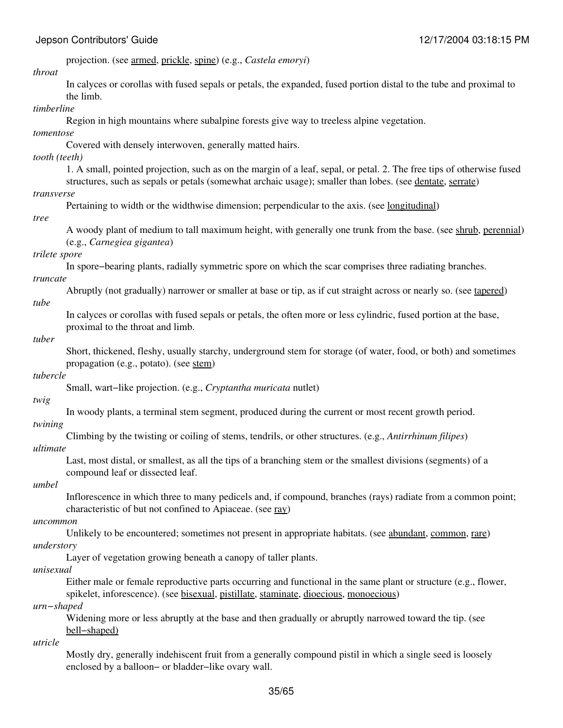projection. (see [armed](#page-15-8), [prickle](#page-28-5), [spine\)](#page-31-5) (e.g., *Castela emoryi*)

In calyces or corollas with fused sepals or petals, the expanded, fused portion distal to the tube and proximal to the limb.

#### *timberline*

*throat*

Region in high mountains where subalpine forests give way to treeless alpine vegetation.

#### <span id="page-34-5"></span>*tomentose*

Covered with densely interwoven, generally matted hairs.

#### *tooth (teeth)*

1. A small, pointed projection, such as on the margin of a leaf, sepal, or petal. 2. The free tips of otherwise fused structures, such as sepals or petals (somewhat archaic usage); smaller than lobes. (see [dentate,](#page-19-8) [serrate\)](#page-31-2)

#### <span id="page-34-6"></span>*transverse*

Pertaining to width or the widthwise dimension; perpendicular to the axis. (see [longitudinal](#page-24-7))

#### <span id="page-34-7"></span>*tree*

A woody plant of medium to tall maximum height, with generally one trunk from the base. (see [shrub](#page-31-7), [perennial\)](#page-27-0) (e.g., *Carnegiea gigantea*)

#### *trilete spore*

In spore−bearing plants, radially symmetric spore on which the scar comprises three radiating branches.

#### <span id="page-34-8"></span>*truncate*

Abruptly (not gradually) narrower or smaller at base or tip, as if cut straight across or nearly so. (see [tapered](#page-33-10))

#### *tube*

In calyces or corollas with fused sepals or petals, the often more or less cylindric, fused portion at the base, proximal to the throat and limb.

#### <span id="page-34-3"></span>*tuber*

Short, thickened, fleshy, usually starchy, underground stem for storage (of water, food, or both) and sometimes propagation (e.g., potato). (see [stem](#page-32-1))

#### <span id="page-34-4"></span>*tubercle*

Small, wart−like projection. (e.g., *Cryptantha muricata* nutlet)

#### *twig*

In woody plants, a terminal stem segment, produced during the current or most recent growth period.

#### *twining*

Climbing by the twisting or coiling of stems, tendrils, or other structures. (e.g., *Antirrhinum filipes*)

#### *ultimate*

Last, most distal, or smallest, as all the tips of a branching stem or the smallest divisions (segments) of a compound leaf or dissected leaf.

#### *umbel*

Inflorescence in which three to many pedicels and, if compound, branches (rays) radiate from a common point; characteristic of but not confined to Apiaceae. (see [ray](#page-29-6))

#### <span id="page-34-0"></span>*uncommon*

Unlikely to be encountered; sometimes not present in appropriate habitats. (see [abundant](#page-14-4), [common](#page-18-0), [rare\)](#page-29-0) *understory*

Layer of vegetation growing beneath a canopy of taller plants.

#### <span id="page-34-2"></span>*unisexual*

Either male or female reproductive parts occurring and functional in the same plant or structure (e.g., flower, spikelet, inforescence). (see [bisexual,](#page-16-7) [pistillate,](#page-28-1) [staminate,](#page-32-0) [dioecious](#page-19-1), [monoecious\)](#page-25-2)

#### <span id="page-34-1"></span>*urn−shaped*

Widening more or less abruptly at the base and then gradually or abruptly narrowed toward the tip. (see [bell−shaped\)](#page-16-8)

#### *utricle*

Mostly dry, generally indehiscent fruit from a generally compound pistil in which a single seed is loosely enclosed by a balloon− or bladder−like ovary wall.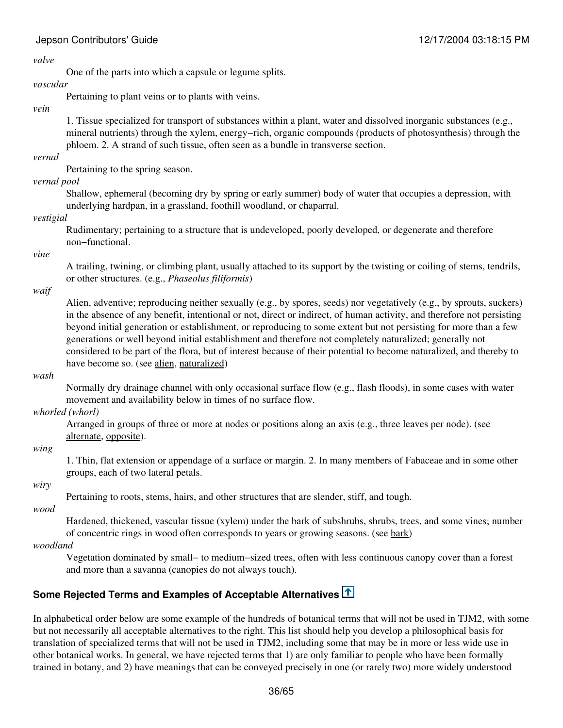#### *valve*

One of the parts into which a capsule or legume splits.

*vascular*

Pertaining to plant veins or to plants with veins.

#### *vein*

1. Tissue specialized for transport of substances within a plant, water and dissolved inorganic substances (e.g., mineral nutrients) through the xylem, energy−rich, organic compounds (products of photosynthesis) through the phloem. 2. A strand of such tissue, often seen as a bundle in transverse section.

#### *vernal*

Pertaining to the spring season.

#### *vernal pool*

Shallow, ephemeral (becoming dry by spring or early summer) body of water that occupies a depression, with underlying hardpan, in a grassland, foothill woodland, or chaparral.

#### *vestigial*

Rudimentary; pertaining to a structure that is undeveloped, poorly developed, or degenerate and therefore non−functional.

#### *vine*

A trailing, twining, or climbing plant, usually attached to its support by the twisting or coiling of stems, tendrils, or other structures. (e.g., *Phaseolus filiformis*)

#### <span id="page-35-1"></span>*waif*

Alien, adventive; reproducing neither sexually (e.g., by spores, seeds) nor vegetatively (e.g., by sprouts, suckers) in the absence of any benefit, intentional or not, direct or indirect, of human activity, and therefore not persisting beyond initial generation or establishment, or reproducing to some extent but not persisting for more than a few generations or well beyond initial establishment and therefore not completely naturalized; generally not considered to be part of the flora, but of interest because of their potential to become naturalized, and thereby to have become so. (see [alien,](#page-14-6) [naturalized\)](#page-25-1)

#### *wash*

Normally dry drainage channel with only occasional surface flow (e.g., flash floods), in some cases with water movement and availability below in times of no surface flow.

### <span id="page-35-2"></span>*whorled (whorl)*

Arranged in groups of three or more at nodes or positions along an axis (e.g., three leaves per node). (see [alternate,](#page-15-7) [opposite\)](#page-26-1).

#### *wing*

1. Thin, flat extension or appendage of a surface or margin. 2. In many members of Fabaceae and in some other groups, each of two lateral petals.

# *wiry*

Pertaining to roots, stems, hairs, and other structures that are slender, stiff, and tough.

### <span id="page-35-3"></span>*wood*

Hardened, thickened, vascular tissue (xylem) under the bark of subshrubs, shrubs, trees, and some vines; number of concentric rings in wood often corresponds to years or growing seasons. (see [bark\)](#page-16-9)

#### *woodland*

Vegetation dominated by small− to medium−sized trees, often with less continuous canopy cover than a forest and more than a savanna (canopies do not always touch).

# <span id="page-35-0"></span>**Some Rejected Terms and Examples of Acceptable Alternatives**

In alphabetical order below are some example of the hundreds of botanical terms that will not be used in TJM2, with some but not necessarily all acceptable alternatives to the right. This list should help you develop a philosophical basis for translation of specialized terms that will not be used in TJM2, including some that may be in more or less wide use in other botanical works. In general, we have rejected terms that 1) are only familiar to people who have been formally trained in botany, and 2) have meanings that can be conveyed precisely in one (or rarely two) more widely understood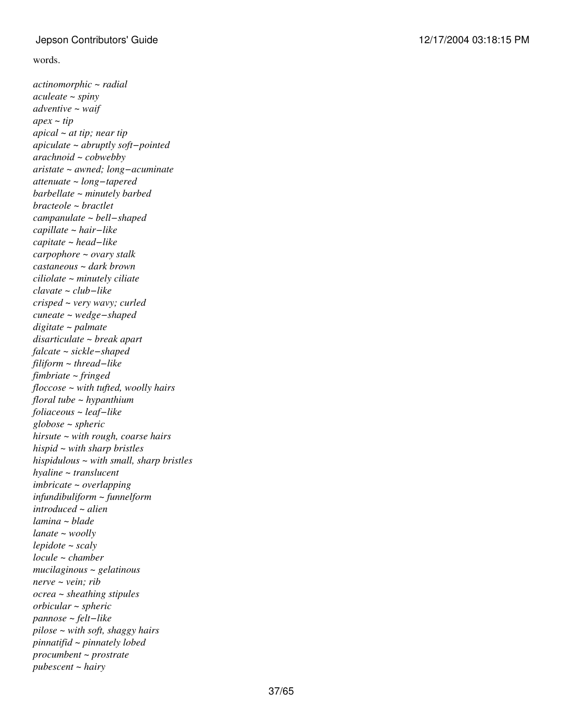words.

*actinomorphic ~ radial aculeate ~ spiny adventive ~ waif apex ~ tip apical ~ at tip; near tip apiculate ~ abruptly soft−pointed arachnoid ~ cobwebby aristate ~ awned; long−acuminate attenuate ~ long−tapered barbellate ~ minutely barbed bracteole ~ bractlet campanulate ~ bell−shaped capillate ~ hair−like capitate ~ head−like carpophore ~ ovary stalk castaneous ~ dark brown ciliolate ~ minutely ciliate clavate ~ club−like crisped ~ very wavy; curled cuneate ~ wedge−shaped digitate ~ palmate disarticulate ~ break apart falcate ~ sickle−shaped filiform ~ thread−like fimbriate ~ fringed floccose ~ with tufted, woolly hairs floral tube ~ hypanthium foliaceous ~ leaf−like globose ~ spheric hirsute ~ with rough, coarse hairs hispid ~ with sharp bristles hispidulous ~ with small, sharp bristles hyaline ~ translucent imbricate ~ overlapping infundibuliform ~ funnelform introduced ~ alien lamina ~ blade lanate ~ woolly lepidote ~ scaly locule ~ chamber mucilaginous ~ gelatinous nerve ~ vein; rib ocrea ~ sheathing stipules orbicular ~ spheric pannose ~ felt−like pilose ~ with soft, shaggy hairs pinnatifid ~ pinnately lobed procumbent ~ prostrate pubescent ~ hairy*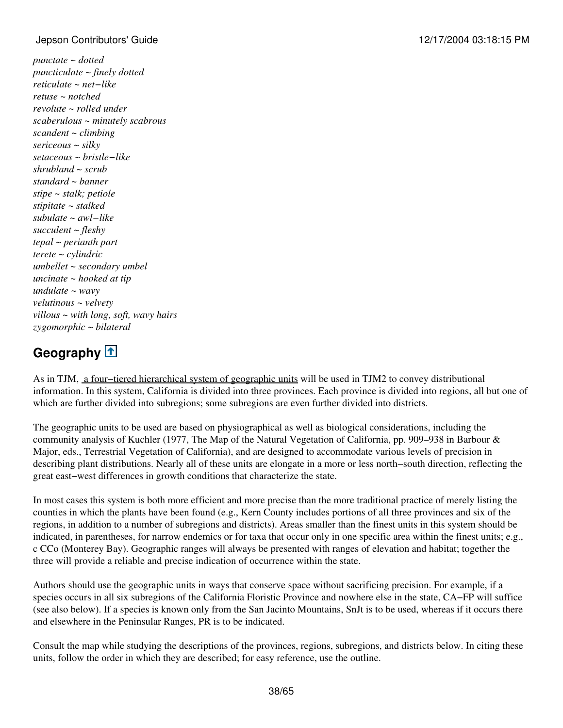*punctate ~ dotted puncticulate ~ finely dotted reticulate ~ net−like retuse ~ notched revolute ~ rolled under scaberulous ~ minutely scabrous scandent ~ climbing sericeous ~ silky setaceous ~ bristle−like shrubland ~ scrub standard ~ banner stipe ~ stalk; petiole stipitate ~ stalked subulate ~ awl−like succulent ~ fleshy tepal ~ perianth part terete ~ cylindric umbellet ~ secondary umbel uncinate ~ hooked at tip undulate ~ wavy velutinous ~ velvety villous ~ with long, soft, wavy hairs zygomorphic ~ bilateral*

# <span id="page-37-0"></span>**Geography**

As in TJM, [a four−tiered hierarchical system of geographic units](#page-47-0) will be used in TJM2 to convey distributional information. In this system, California is divided into three provinces. Each province is divided into regions, all but one of which are further divided into subregions; some subregions are even further divided into districts.

The geographic units to be used are based on physiographical as well as biological considerations, including the community analysis of Kuchler (1977, The Map of the Natural Vegetation of California, pp. 909–938 in Barbour & Major, eds., Terrestrial Vegetation of California), and are designed to accommodate various levels of precision in describing plant distributions. Nearly all of these units are elongate in a more or less north−south direction, reflecting the great east−west differences in growth conditions that characterize the state.

In most cases this system is both more efficient and more precise than the more traditional practice of merely listing the counties in which the plants have been found (e.g., Kern County includes portions of all three provinces and six of the regions, in addition to a number of subregions and districts). Areas smaller than the finest units in this system should be indicated, in parentheses, for narrow endemics or for taxa that occur only in one specific area within the finest units; e.g., c CCo (Monterey Bay). Geographic ranges will always be presented with ranges of elevation and habitat; together the three will provide a reliable and precise indication of occurrence within the state.

Authors should use the geographic units in ways that conserve space without sacrificing precision. For example, if a species occurs in all six subregions of the California Floristic Province and nowhere else in the state, CA–FP will suffice (see also below). If a species is known only from the San Jacinto Mountains, SnJt is to be used, whereas if it occurs there and elsewhere in the Peninsular Ranges, PR is to be indicated.

Consult the map while studying the descriptions of the provinces, regions, subregions, and districts below. In citing these units, follow the order in which they are described; for easy reference, use the outline.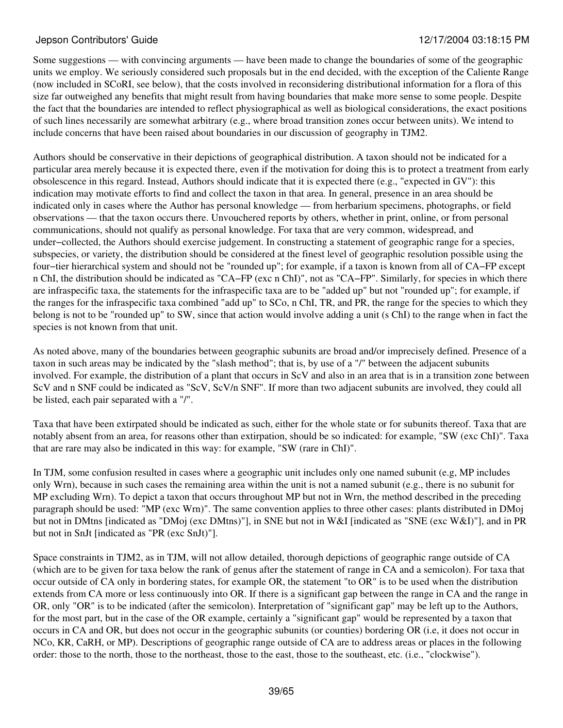Some suggestions — with convincing arguments — have been made to change the boundaries of some of the geographic units we employ. We seriously considered such proposals but in the end decided, with the exception of the Caliente Range (now included in SCoRI, see below), that the costs involved in reconsidering distributional information for a flora of this size far outweighed any benefits that might result from having boundaries that make more sense to some people. Despite the fact that the boundaries are intended to reflect physiographical as well as biological considerations, the exact positions of such lines necessarily are somewhat arbitrary (e.g., where broad transition zones occur between units). We intend to include concerns that have been raised about boundaries in our discussion of geography in TJM2.

Authors should be conservative in their depictions of geographical distribution. A taxon should not be indicated for a particular area merely because it is expected there, even if the motivation for doing this is to protect a treatment from early obsolescence in this regard. Instead, Authors should indicate that it is expected there (e.g., "expected in GV"): this indication may motivate efforts to find and collect the taxon in that area. In general, presence in an area should be indicated only in cases where the Author has personal knowledge — from herbarium specimens, photographs, or field observations — that the taxon occurs there. Unvouchered reports by others, whether in print, online, or from personal communications, should not qualify as personal knowledge. For taxa that are very common, widespread, and under−collected, the Authors should exercise judgement. In constructing a statement of geographic range for a species, subspecies, or variety, the distribution should be considered at the finest level of geographic resolution possible using the four−tier hierarchical system and should not be "rounded up"; for example, if a taxon is known from all of CA−FP except n ChI, the distribution should be indicated as "CA−FP (exc n ChI)", not as "CA−FP". Similarly, for species in which there are infraspecific taxa, the statements for the infraspecific taxa are to be "added up" but not "rounded up"; for example, if the ranges for the infraspecific taxa combined "add up" to SCo, n ChI, TR, and PR, the range for the species to which they belong is not to be "rounded up" to SW, since that action would involve adding a unit (s ChI) to the range when in fact the species is not known from that unit.

As noted above, many of the boundaries between geographic subunits are broad and/or imprecisely defined. Presence of a taxon in such areas may be indicated by the "slash method"; that is, by use of a "/" between the adjacent subunits involved. For example, the distribution of a plant that occurs in ScV and also in an area that is in a transition zone between ScV and n SNF could be indicated as "ScV, ScV/n SNF". If more than two adjacent subunits are involved, they could all be listed, each pair separated with a "/".

Taxa that have been extirpated should be indicated as such, either for the whole state or for subunits thereof. Taxa that are notably absent from an area, for reasons other than extirpation, should be so indicated: for example, "SW (exc ChI)". Taxa that are rare may also be indicated in this way: for example, "SW (rare in ChI)".

In TJM, some confusion resulted in cases where a geographic unit includes only one named subunit (e.g, MP includes only Wrn), because in such cases the remaining area within the unit is not a named subunit (e.g., there is no subunit for MP excluding Wrn). To depict a taxon that occurs throughout MP but not in Wrn, the method described in the preceding paragraph should be used: "MP (exc Wrn)". The same convention applies to three other cases: plants distributed in DMoj but not in DMtns [indicated as "DMoj (exc DMtns)"], in SNE but not in W&I [indicated as "SNE (exc W&I)"], and in PR but not in SnJt [indicated as "PR (exc SnJt)"].

Space constraints in TJM2, as in TJM, will not allow detailed, thorough depictions of geographic range outside of CA (which are to be given for taxa below the rank of genus after the statement of range in CA and a semicolon). For taxa that occur outside of CA only in bordering states, for example OR, the statement "to OR" is to be used when the distribution extends from CA more or less continuously into OR. If there is a significant gap between the range in CA and the range in OR, only "OR" is to be indicated (after the semicolon). Interpretation of "significant gap" may be left up to the Authors, for the most part, but in the case of the OR example, certainly a "significant gap" would be represented by a taxon that occurs in CA and OR, but does not occur in the geographic subunits (or counties) bordering OR (i.e, it does not occur in NCo, KR, CaRH, or MP). Descriptions of geographic range outside of CA are to address areas or places in the following order: those to the north, those to the northeast, those to the east, those to the southeast, etc. (i.e., "clockwise").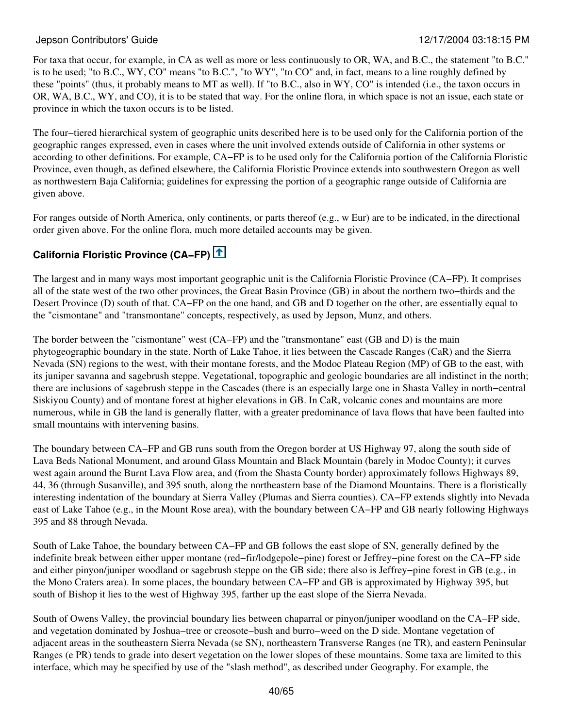For taxa that occur, for example, in CA as well as more or less continuously to OR, WA, and B.C., the statement "to B.C." is to be used; "to B.C., WY, CO" means "to B.C.", "to WY", "to CO" and, in fact, means to a line roughly defined by these "points" (thus, it probably means to MT as well). If "to B.C., also in WY, CO" is intended (i.e., the taxon occurs in OR, WA, B.C., WY, and CO), it is to be stated that way. For the online flora, in which space is not an issue, each state or province in which the taxon occurs is to be listed.

The four–tiered hierarchical system of geographic units described here is to be used only for the California portion of the geographic ranges expressed, even in cases where the unit involved extends outside of California in other systems or according to other definitions. For example, CA−FP is to be used only for the California portion of the California Floristic Province, even though, as defined elsewhere, the California Floristic Province extends into southwestern Oregon as well as northwestern Baja California; guidelines for expressing the portion of a geographic range outside of California are given above.

For ranges outside of North America, only continents, or parts thereof (e.g., w Eur) are to be indicated, in the directional order given above. For the online flora, much more detailed accounts may be given.

# <span id="page-39-0"></span>**California Floristic Province (CA−FP)**

The largest and in many ways most important geographic unit is the California Floristic Province (CA−FP). It comprises all of the state west of the two other provinces, the Great Basin Province (GB) in about the northern two−thirds and the Desert Province (D) south of that. CA−FP on the one hand, and GB and D together on the other, are essentially equal to the "cismontane" and "transmontane" concepts, respectively, as used by Jepson, Munz, and others.

The border between the "cismontane" west (CA−FP) and the "transmontane" east (GB and D) is the main phytogeographic boundary in the state. North of Lake Tahoe, it lies between the Cascade Ranges (CaR) and the Sierra Nevada (SN) regions to the west, with their montane forests, and the Modoc Plateau Region (MP) of GB to the east, with its juniper savanna and sagebrush steppe. Vegetational, topographic and geologic boundaries are all indistinct in the north; there are inclusions of sagebrush steppe in the Cascades (there is an especially large one in Shasta Valley in north−central Siskiyou County) and of montane forest at higher elevations in GB. In CaR, volcanic cones and mountains are more numerous, while in GB the land is generally flatter, with a greater predominance of lava flows that have been faulted into small mountains with intervening basins.

The boundary between CA−FP and GB runs south from the Oregon border at US Highway 97, along the south side of Lava Beds National Monument, and around Glass Mountain and Black Mountain (barely in Modoc County); it curves west again around the Burnt Lava Flow area, and (from the Shasta County border) approximately follows Highways 89, 44, 36 (through Susanville), and 395 south, along the northeastern base of the Diamond Mountains. There is a floristically interesting indentation of the boundary at Sierra Valley (Plumas and Sierra counties). CA−FP extends slightly into Nevada east of Lake Tahoe (e.g., in the Mount Rose area), with the boundary between CA−FP and GB nearly following Highways 395 and 88 through Nevada.

South of Lake Tahoe, the boundary between CA−FP and GB follows the east slope of SN, generally defined by the indefinite break between either upper montane (red−fir/lodgepole−pine) forest or Jeffrey−pine forest on the CA−FP side and either pinyon/juniper woodland or sagebrush steppe on the GB side; there also is Jeffrey−pine forest in GB (e.g., in the Mono Craters area). In some places, the boundary between CA−FP and GB is approximated by Highway 395, but south of Bishop it lies to the west of Highway 395, farther up the east slope of the Sierra Nevada.

South of Owens Valley, the provincial boundary lies between chaparral or pinyon/juniper woodland on the CA−FP side, and vegetation dominated by Joshua−tree or creosote−bush and burro−weed on the D side. Montane vegetation of adjacent areas in the southeastern Sierra Nevada (se SN), northeastern Transverse Ranges (ne TR), and eastern Peninsular Ranges (e PR) tends to grade into desert vegetation on the lower slopes of these mountains. Some taxa are limited to this interface, which may be specified by use of the "slash method", as described under Geography. For example, the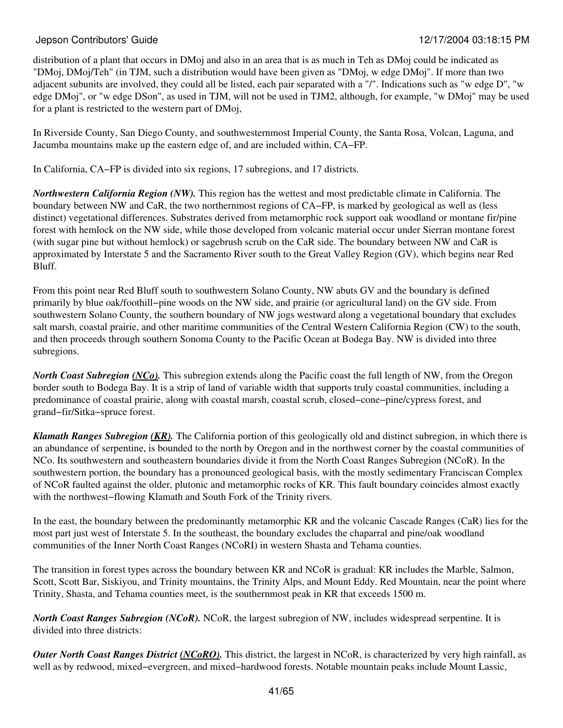distribution of a plant that occurs in DMoj and also in an area that is as much in Teh as DMoj could be indicated as "DMoj, DMoj/Teh" (in TJM, such a distribution would have been given as "DMoj, w edge DMoj". If more than two adjacent subunits are involved, they could all be listed, each pair separated with a "/". Indications such as "w edge D", "w edge DMoj", or "w edge DSon", as used in TJM, will not be used in TJM2, although, for example, "w DMoj" may be used for a plant is restricted to the western part of DMoj,

In Riverside County, San Diego County, and southwesternmost Imperial County, the Santa Rosa, Volcan, Laguna, and Jacumba mountains make up the eastern edge of, and are included within, CA−FP.

In California, CA−FP is divided into six regions, 17 subregions, and 17 districts.

*Northwestern California Region (NW).* This region has the wettest and most predictable climate in California. The boundary between NW and CaR, the two northernmost regions of CA−FP, is marked by geological as well as (less distinct) vegetational differences. Substrates derived from metamorphic rock support oak woodland or montane fir/pine forest with hemlock on the NW side, while those developed from volcanic material occur under Sierran montane forest (with sugar pine but without hemlock) or sagebrush scrub on the CaR side. The boundary between NW and CaR is approximated by Interstate 5 and the Sacramento River south to the Great Valley Region (GV), which begins near Red Bluff.

From this point near Red Bluff south to southwestern Solano County, NW abuts GV and the boundary is defined primarily by blue oak/foothill−pine woods on the NW side, and prairie (or agricultural land) on the GV side. From southwestern Solano County, the southern boundary of NW jogs westward along a vegetational boundary that excludes salt marsh, coastal prairie, and other maritime communities of the Central Western California Region (CW) to the south, and then proceeds through southern Sonoma County to the Pacific Ocean at Bodega Bay. NW is divided into three subregions.

*North Coast Subregion [\(NCo\).](http://128.32.109.44/cgi-bin/show_bior.pl?bior=NCo)* This subregion extends along the Pacific coast the full length of NW, from the Oregon border south to Bodega Bay. It is a strip of land of variable width that supports truly coastal communities, including a predominance of coastal prairie, along with coastal marsh, coastal scrub, closed−cone−pine/cypress forest, and grand−fir/Sitka−spruce forest.

*Klamath Ranges Subregion [\(KR\)](http://128.32.109.44/cgi-bin/show_bior.pl?bior=KR).* The California portion of this geologically old and distinct subregion, in which there is an abundance of serpentine, is bounded to the north by Oregon and in the northwest corner by the coastal communities of NCo. Its southwestern and southeastern boundaries divide it from the North Coast Ranges Subregion (NCoR). In the southwestern portion, the boundary has a pronounced geological basis, with the mostly sedimentary Franciscan Complex of NCoR faulted against the older, plutonic and metamorphic rocks of KR. This fault boundary coincides almost exactly with the northwest−flowing Klamath and South Fork of the Trinity rivers.

In the east, the boundary between the predominantly metamorphic KR and the volcanic Cascade Ranges (CaR) lies for the most part just west of Interstate 5. In the southeast, the boundary excludes the chaparral and pine/oak woodland communities of the Inner North Coast Ranges (NCoRI) in western Shasta and Tehama counties.

The transition in forest types across the boundary between KR and NCoR is gradual: KR includes the Marble, Salmon, Scott, Scott Bar, Siskiyou, and Trinity mountains, the Trinity Alps, and Mount Eddy. Red Mountain, near the point where Trinity, Shasta, and Tehama counties meet, is the southernmost peak in KR that exceeds 1500 m.

*North Coast Ranges Subregion (NCoR).* NCoR, the largest subregion of NW, includes widespread serpentine. It is divided into three districts:

*Outer North Coast Ranges District [\(NCoRO\)](http://128.32.109.44/cgi-bin/show_bior.pl?bior=NCoRO).* This district, the largest in NCoR, is characterized by very high rainfall, as well as by redwood, mixed−evergreen, and mixed−hardwood forests. Notable mountain peaks include Mount Lassic,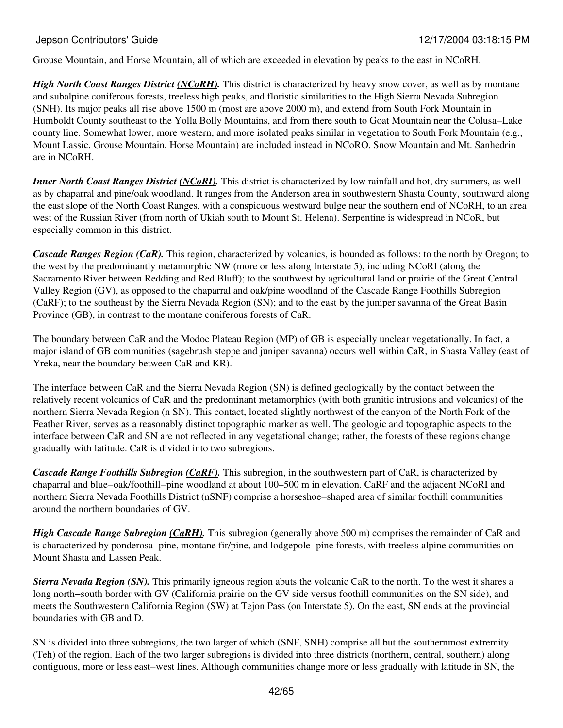Grouse Mountain, and Horse Mountain, all of which are exceeded in elevation by peaks to the east in NCoRH.

*High North Coast Ranges District [\(NCoRH\).](http://128.32.109.44/cgi-bin/show_bior.pl?bior=NCoRH)* This district is characterized by heavy snow cover, as well as by montane and subalpine coniferous forests, treeless high peaks, and floristic similarities to the High Sierra Nevada Subregion (SNH). Its major peaks all rise above 1500 m (most are above 2000 m), and extend from South Fork Mountain in Humboldt County southeast to the Yolla Bolly Mountains, and from there south to Goat Mountain near the Colusa−Lake county line. Somewhat lower, more western, and more isolated peaks similar in vegetation to South Fork Mountain (e.g., Mount Lassic, Grouse Mountain, Horse Mountain) are included instead in NCoRO. Snow Mountain and Mt. Sanhedrin are in NCoRH.

*Inner North Coast Ranges District [\(NCoRI\).](http://128.32.109.44/cgi-bin/show_bior.pl?bior=NCoRI)* This district is characterized by low rainfall and hot, dry summers, as well as by chaparral and pine/oak woodland. It ranges from the Anderson area in southwestern Shasta County, southward along the east slope of the North Coast Ranges, with a conspicuous westward bulge near the southern end of NCoRH, to an area west of the Russian River (from north of Ukiah south to Mount St. Helena). Serpentine is widespread in NCoR, but especially common in this district.

*Cascade Ranges Region (CaR).* This region, characterized by volcanics, is bounded as follows: to the north by Oregon; to the west by the predominantly metamorphic NW (more or less along Interstate 5), including NCoRI (along the Sacramento River between Redding and Red Bluff); to the southwest by agricultural land or prairie of the Great Central Valley Region (GV), as opposed to the chaparral and oak/pine woodland of the Cascade Range Foothills Subregion (CaRF); to the southeast by the Sierra Nevada Region (SN); and to the east by the juniper savanna of the Great Basin Province (GB), in contrast to the montane coniferous forests of CaR.

The boundary between CaR and the Modoc Plateau Region (MP) of GB is especially unclear vegetationally. In fact, a major island of GB communities (sagebrush steppe and juniper savanna) occurs well within CaR, in Shasta Valley (east of Yreka, near the boundary between CaR and KR).

The interface between CaR and the Sierra Nevada Region (SN) is defined geologically by the contact between the relatively recent volcanics of CaR and the predominant metamorphics (with both granitic intrusions and volcanics) of the northern Sierra Nevada Region (n SN). This contact, located slightly northwest of the canyon of the North Fork of the Feather River, serves as a reasonably distinct topographic marker as well. The geologic and topographic aspects to the interface between CaR and SN are not reflected in any vegetational change; rather, the forests of these regions change gradually with latitude. CaR is divided into two subregions.

*Cascade Range Foothills Subregion [\(CaRF\)](http://128.32.109.44/cgi-bin/show_bior.pl?bior=CaRF).* This subregion, in the southwestern part of CaR, is characterized by chaparral and blue−oak/foothill−pine woodland at about 100–500 m in elevation. CaRF and the adjacent NCoRI and northern Sierra Nevada Foothills District (nSNF) comprise a horseshoe−shaped area of similar foothill communities around the northern boundaries of GV.

*High Cascade Range Subregion [\(CaRH\).](http://128.32.109.44/cgi-bin/show_bior.pl?bior=CaRH)* This subregion (generally above 500 m) comprises the remainder of CaR and is characterized by ponderosa−pine, montane fir/pine, and lodgepole−pine forests, with treeless alpine communities on Mount Shasta and Lassen Peak.

*Sierra Nevada Region (SN).* This primarily igneous region abuts the volcanic CaR to the north. To the west it shares a long north−south border with GV (California prairie on the GV side versus foothill communities on the SN side), and meets the Southwestern California Region (SW) at Tejon Pass (on Interstate 5). On the east, SN ends at the provincial boundaries with GB and D.

SN is divided into three subregions, the two larger of which (SNF, SNH) comprise all but the southernmost extremity (Teh) of the region. Each of the two larger subregions is divided into three districts (northern, central, southern) along contiguous, more or less east−west lines. Although communities change more or less gradually with latitude in SN, the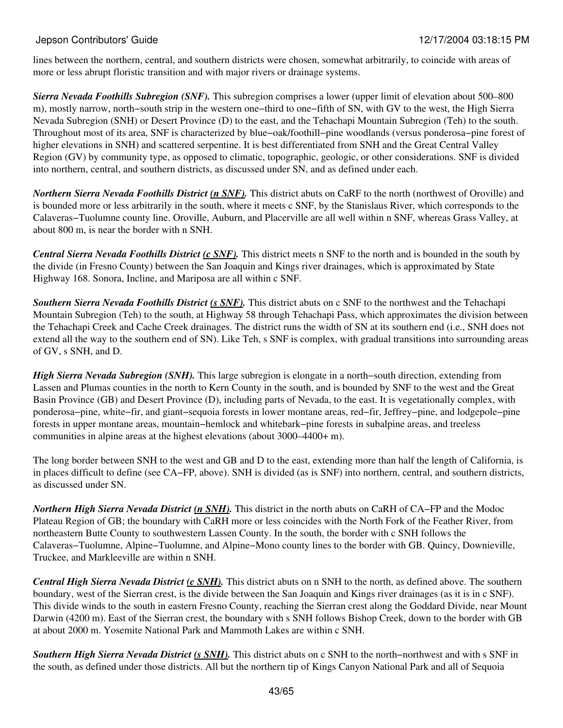lines between the northern, central, and southern districts were chosen, somewhat arbitrarily, to coincide with areas of more or less abrupt floristic transition and with major rivers or drainage systems.

*Sierra Nevada Foothills Subregion (SNF).* This subregion comprises a lower (upper limit of elevation about 500–800 m), mostly narrow, north−south strip in the western one−third to one−fifth of SN, with GV to the west, the High Sierra Nevada Subregion (SNH) or Desert Province (D) to the east, and the Tehachapi Mountain Subregion (Teh) to the south. Throughout most of its area, SNF is characterized by blue−oak/foothill−pine woodlands (versus ponderosa−pine forest of higher elevations in SNH) and scattered serpentine. It is best differentiated from SNH and the Great Central Valley Region (GV) by community type, as opposed to climatic, topographic, geologic, or other considerations. SNF is divided into northern, central, and southern districts, as discussed under SN, and as defined under each.

*Northern Sierra Nevada Foothills District [\(n SNF\)](http://128.32.109.44/cgi-bin/show_bior.pl?bior=nSNF).* This district abuts on CaRF to the north (northwest of Oroville) and is bounded more or less arbitrarily in the south, where it meets c SNF, by the Stanislaus River, which corresponds to the Calaveras−Tuolumne county line. Oroville, Auburn, and Placerville are all well within n SNF, whereas Grass Valley, at about 800 m, is near the border with n SNH.

*Central Sierra Nevada Foothills District [\(c SNF\)](http://128.32.109.44/cgi-bin/show_bior.pl?bior=cSNF).* This district meets n SNF to the north and is bounded in the south by the divide (in Fresno County) between the San Joaquin and Kings river drainages, which is approximated by State Highway 168. Sonora, Incline, and Mariposa are all within c SNF.

*Southern Sierra Nevada Foothills District [\(s SNF\).](http://128.32.109.44/cgi-bin/show_bior.pl?bior=sSNF)* This district abuts on c SNF to the northwest and the Tehachapi Mountain Subregion (Teh) to the south, at Highway 58 through Tehachapi Pass, which approximates the division between the Tehachapi Creek and Cache Creek drainages. The district runs the width of SN at its southern end (i.e., SNH does not extend all the way to the southern end of SN). Like Teh, s SNF is complex, with gradual transitions into surrounding areas of GV, s SNH, and D.

*High Sierra Nevada Subregion (SNH)*. This large subregion is elongate in a north–south direction, extending from Lassen and Plumas counties in the north to Kern County in the south, and is bounded by SNF to the west and the Great Basin Province (GB) and Desert Province (D), including parts of Nevada, to the east. It is vegetationally complex, with ponderosa−pine, white−fir, and giant−sequoia forests in lower montane areas, red−fir, Jeffrey−pine, and lodgepole−pine forests in upper montane areas, mountain−hemlock and whitebark−pine forests in subalpine areas, and treeless communities in alpine areas at the highest elevations (about 3000–4400+ m).

The long border between SNH to the west and GB and D to the east, extending more than half the length of California, is in places difficult to define (see CA−FP, above). SNH is divided (as is SNF) into northern, central, and southern districts, as discussed under SN.

*Northern High Sierra Nevada District* (*n SNH*). This district in the north abuts on CaRH of CA−FP and the Modoc Plateau Region of GB; the boundary with CaRH more or less coincides with the North Fork of the Feather River, from northeastern Butte County to southwestern Lassen County. In the south, the border with c SNH follows the Calaveras−Tuolumne, Alpine−Tuolumne, and Alpine−Mono county lines to the border with GB. Quincy, Downieville, Truckee, and Markleeville are within n SNH.

*Central High Sierra Nevada District [\(c SNH\).](http://128.32.109.44/cgi-bin/show_bior.pl?bior=cSNH)* This district abuts on n SNH to the north, as defined above. The southern boundary, west of the Sierran crest, is the divide between the San Joaquin and Kings river drainages (as it is in c SNF). This divide winds to the south in eastern Fresno County, reaching the Sierran crest along the Goddard Divide, near Mount Darwin (4200 m). East of the Sierran crest, the boundary with s SNH follows Bishop Creek, down to the border with GB at about 2000 m. Yosemite National Park and Mammoth Lakes are within c SNH.

*Southern High Sierra Nevada District [\(s SNH\)](http://128.32.109.44/cgi-bin/show_bior.pl?bior=sSNH).* This district abuts on c SNH to the north−northwest and with s SNF in the south, as defined under those districts. All but the northern tip of Kings Canyon National Park and all of Sequoia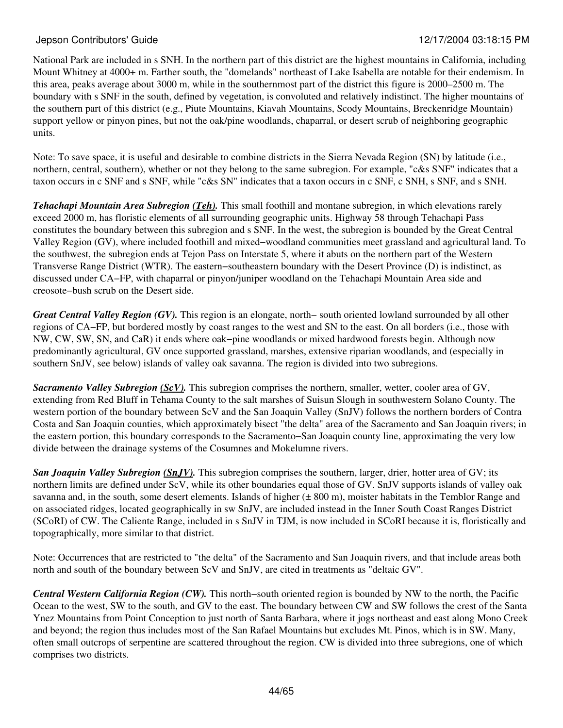National Park are included in s SNH. In the northern part of this district are the highest mountains in California, including Mount Whitney at 4000+ m. Farther south, the "domelands" northeast of Lake Isabella are notable for their endemism. In this area, peaks average about 3000 m, while in the southernmost part of the district this figure is 2000–2500 m. The boundary with s SNF in the south, defined by vegetation, is convoluted and relatively indistinct. The higher mountains of the southern part of this district (e.g., Piute Mountains, Kiavah Mountains, Scody Mountains, Breckenridge Mountain) support yellow or pinyon pines, but not the oak/pine woodlands, chaparral, or desert scrub of neighboring geographic units.

Note: To save space, it is useful and desirable to combine districts in the Sierra Nevada Region (SN) by latitude (i.e., northern, central, southern), whether or not they belong to the same subregion. For example, "c&s SNF" indicates that a taxon occurs in c SNF and s SNF, while "c&s SN" indicates that a taxon occurs in c SNF, c SNH, s SNF, and s SNH.

*Tehachapi Mountain Area Subregion [\(Teh\).](http://128.32.109.44/cgi-bin/show_bior.pl?bior=Teh)* This small foothill and montane subregion, in which elevations rarely exceed 2000 m, has floristic elements of all surrounding geographic units. Highway 58 through Tehachapi Pass constitutes the boundary between this subregion and s SNF. In the west, the subregion is bounded by the Great Central Valley Region (GV), where included foothill and mixed−woodland communities meet grassland and agricultural land. To the southwest, the subregion ends at Tejon Pass on Interstate 5, where it abuts on the northern part of the Western Transverse Range District (WTR). The eastern−southeastern boundary with the Desert Province (D) is indistinct, as discussed under CA−FP, with chaparral or pinyon/juniper woodland on the Tehachapi Mountain Area side and creosote−bush scrub on the Desert side.

*Great Central Valley Region (GV).* This region is an elongate, north− south oriented lowland surrounded by all other regions of CA−FP, but bordered mostly by coast ranges to the west and SN to the east. On all borders (i.e., those with NW, CW, SW, SN, and CaR) it ends where oak−pine woodlands or mixed hardwood forests begin. Although now predominantly agricultural, GV once supported grassland, marshes, extensive riparian woodlands, and (especially in southern SnJV, see below) islands of valley oak savanna. The region is divided into two subregions.

*Sacramento Valley Subregion [\(ScV\)](http://128.32.109.44/cgi-bin/show_bior.pl?bior=ScV).* This subregion comprises the northern, smaller, wetter, cooler area of GV, extending from Red Bluff in Tehama County to the salt marshes of Suisun Slough in southwestern Solano County. The western portion of the boundary between ScV and the San Joaquin Valley (SnJV) follows the northern borders of Contra Costa and San Joaquin counties, which approximately bisect "the delta" area of the Sacramento and San Joaquin rivers; in the eastern portion, this boundary corresponds to the Sacramento−San Joaquin county line, approximating the very low divide between the drainage systems of the Cosumnes and Mokelumne rivers.

*San Joaquin Valley Subregion [\(SnJV\)](http://128.32.109.44/cgi-bin/show_bior.pl?bior=SnJV).* This subregion comprises the southern, larger, drier, hotter area of GV; its northern limits are defined under ScV, while its other boundaries equal those of GV. SnJV supports islands of valley oak savanna and, in the south, some desert elements. Islands of higher  $(\pm 800 \text{ m})$ , moister habitats in the Temblor Range and on associated ridges, located geographically in sw SnJV, are included instead in the Inner South Coast Ranges District (SCoRI) of CW. The Caliente Range, included in s SnJV in TJM, is now included in SCoRI because it is, floristically and topographically, more similar to that district.

Note: Occurrences that are restricted to "the delta" of the Sacramento and San Joaquin rivers, and that include areas both north and south of the boundary between ScV and SnJV, are cited in treatments as "deltaic GV".

*Central Western California Region (CW).* This north−south oriented region is bounded by NW to the north, the Pacific Ocean to the west, SW to the south, and GV to the east. The boundary between CW and SW follows the crest of the Santa Ynez Mountains from Point Conception to just north of Santa Barbara, where it jogs northeast and east along Mono Creek and beyond; the region thus includes most of the San Rafael Mountains but excludes Mt. Pinos, which is in SW. Many, often small outcrops of serpentine are scattered throughout the region. CW is divided into three subregions, one of which comprises two districts.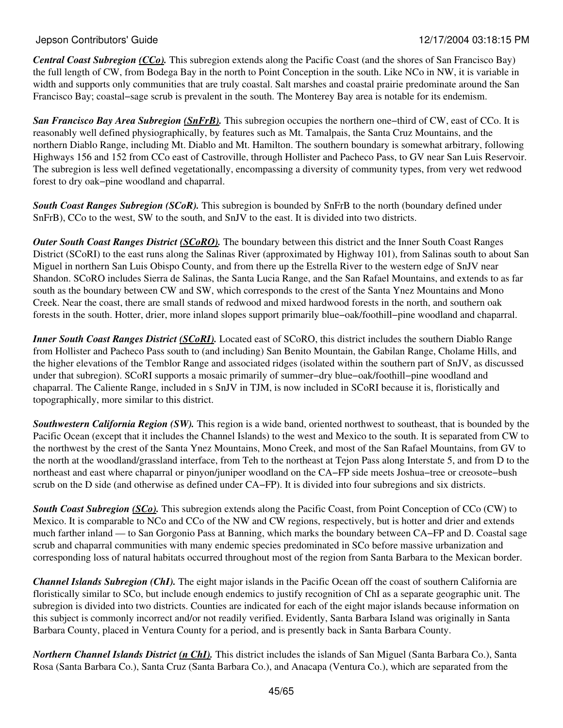*Central Coast Subregion [\(CCo\).](http://128.32.109.44/cgi-bin/show_bior.pl?bior=CCo)* This subregion extends along the Pacific Coast (and the shores of San Francisco Bay) the full length of CW, from Bodega Bay in the north to Point Conception in the south. Like NCo in NW, it is variable in width and supports only communities that are truly coastal. Salt marshes and coastal prairie predominate around the San Francisco Bay; coastal−sage scrub is prevalent in the south. The Monterey Bay area is notable for its endemism.

*San Francisco Bay Area Subregion [\(SnFrB\).](http://128.32.109.44/cgi-bin/show_bior.pl?bior=SnFrB)* This subregion occupies the northern one−third of CW, east of CCo. It is reasonably well defined physiographically, by features such as Mt. Tamalpais, the Santa Cruz Mountains, and the northern Diablo Range, including Mt. Diablo and Mt. Hamilton. The southern boundary is somewhat arbitrary, following Highways 156 and 152 from CCo east of Castroville, through Hollister and Pacheco Pass, to GV near San Luis Reservoir. The subregion is less well defined vegetationally, encompassing a diversity of community types, from very wet redwood forest to dry oak−pine woodland and chaparral.

*South Coast Ranges Subregion (SCoR).* This subregion is bounded by SnFrB to the north (boundary defined under SnFrB), CCo to the west, SW to the south, and SnJV to the east. It is divided into two districts.

*Outer South Coast Ranges District [\(SCoRO\)](http://128.32.109.44/cgi-bin/show_bior.pl?bior=SCoRO).* The boundary between this district and the Inner South Coast Ranges District (SCoRI) to the east runs along the Salinas River (approximated by Highway 101), from Salinas south to about San Miguel in northern San Luis Obispo County, and from there up the Estrella River to the western edge of SnJV near Shandon. SCoRO includes Sierra de Salinas, the Santa Lucia Range, and the San Rafael Mountains, and extends to as far south as the boundary between CW and SW, which corresponds to the crest of the Santa Ynez Mountains and Mono Creek. Near the coast, there are small stands of redwood and mixed hardwood forests in the north, and southern oak forests in the south. Hotter, drier, more inland slopes support primarily blue−oak/foothill−pine woodland and chaparral.

*Inner South Coast Ranges District [\(SCoRI\)](http://128.32.109.44/cgi-bin/show_bior.pl?bior=SCoRI).* Located east of SCoRO, this district includes the southern Diablo Range from Hollister and Pacheco Pass south to (and including) San Benito Mountain, the Gabilan Range, Cholame Hills, and the higher elevations of the Temblor Range and associated ridges (isolated within the southern part of SnJV, as discussed under that subregion). SCoRI supports a mosaic primarily of summer−dry blue−oak/foothill−pine woodland and chaparral. The Caliente Range, included in s SnJV in TJM, is now included in SCoRI because it is, floristically and topographically, more similar to this district.

*Southwestern California Region (SW).* This region is a wide band, oriented northwest to southeast, that is bounded by the Pacific Ocean (except that it includes the Channel Islands) to the west and Mexico to the south. It is separated from CW to the northwest by the crest of the Santa Ynez Mountains, Mono Creek, and most of the San Rafael Mountains, from GV to the north at the woodland/grassland interface, from Teh to the northeast at Tejon Pass along Interstate 5, and from D to the northeast and east where chaparral or pinyon/juniper woodland on the CA−FP side meets Joshua−tree or creosote−bush scrub on the D side (and otherwise as defined under CA−FP). It is divided into four subregions and six districts.

*South Coast Subregion [\(SCo\)](http://128.32.109.44/cgi-bin/show_bior.pl?bior=SCo).* This subregion extends along the Pacific Coast, from Point Conception of CCo (CW) to Mexico. It is comparable to NCo and CCo of the NW and CW regions, respectively, but is hotter and drier and extends much farther inland — to San Gorgonio Pass at Banning, which marks the boundary between CA−FP and D. Coastal sage scrub and chaparral communities with many endemic species predominated in SCo before massive urbanization and corresponding loss of natural habitats occurred throughout most of the region from Santa Barbara to the Mexican border.

*Channel Islands Subregion (ChI).* The eight major islands in the Pacific Ocean off the coast of southern California are floristically similar to SCo, but include enough endemics to justify recognition of ChI as a separate geographic unit. The subregion is divided into two districts. Counties are indicated for each of the eight major islands because information on this subject is commonly incorrect and/or not readily verified. Evidently, Santa Barbara Island was originally in Santa Barbara County, placed in Ventura County for a period, and is presently back in Santa Barbara County.

*Northern Channel Islands District [\(n ChI\).](http://128.32.109.44/cgi-bin/show_bior.pl?bior=nChI)* This district includes the islands of San Miguel (Santa Barbara Co.), Santa Rosa (Santa Barbara Co.), Santa Cruz (Santa Barbara Co.), and Anacapa (Ventura Co.), which are separated from the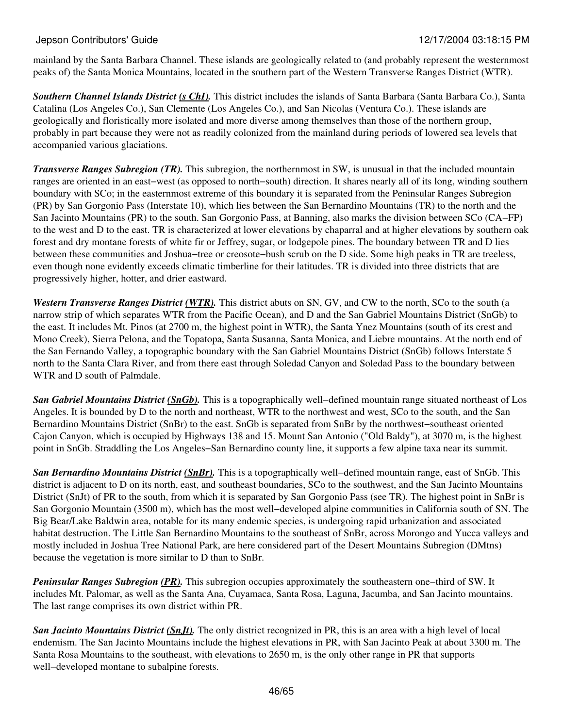mainland by the Santa Barbara Channel. These islands are geologically related to (and probably represent the westernmost peaks of) the Santa Monica Mountains, located in the southern part of the Western Transverse Ranges District (WTR).

*Southern Channel Islands District [\(s ChI\)](http://128.32.109.44/cgi-bin/show_bior.pl?bior=sChI).* This district includes the islands of Santa Barbara (Santa Barbara Co.), Santa Catalina (Los Angeles Co.), San Clemente (Los Angeles Co.), and San Nicolas (Ventura Co.). These islands are geologically and floristically more isolated and more diverse among themselves than those of the northern group, probably in part because they were not as readily colonized from the mainland during periods of lowered sea levels that accompanied various glaciations.

*Transverse Ranges Subregion (TR).* This subregion, the northernmost in SW, is unusual in that the included mountain ranges are oriented in an east−west (as opposed to north−south) direction. It shares nearly all of its long, winding southern boundary with SCo; in the easternmost extreme of this boundary it is separated from the Peninsular Ranges Subregion (PR) by San Gorgonio Pass (Interstate 10), which lies between the San Bernardino Mountains (TR) to the north and the San Jacinto Mountains (PR) to the south. San Gorgonio Pass, at Banning, also marks the division between SCo (CA−FP) to the west and D to the east. TR is characterized at lower elevations by chaparral and at higher elevations by southern oak forest and dry montane forests of white fir or Jeffrey, sugar, or lodgepole pines. The boundary between TR and D lies between these communities and Joshua−tree or creosote−bush scrub on the D side. Some high peaks in TR are treeless, even though none evidently exceeds climatic timberline for their latitudes. TR is divided into three districts that are progressively higher, hotter, and drier eastward.

*Western Transverse Ranges District [\(WTR\).](http://128.32.109.44/cgi-bin/show_bior.pl?bior=WTR)* This district abuts on SN, GV, and CW to the north, SCo to the south (a narrow strip of which separates WTR from the Pacific Ocean), and D and the San Gabriel Mountains District (SnGb) to the east. It includes Mt. Pinos (at 2700 m, the highest point in WTR), the Santa Ynez Mountains (south of its crest and Mono Creek), Sierra Pelona, and the Topatopa, Santa Susanna, Santa Monica, and Liebre mountains. At the north end of the San Fernando Valley, a topographic boundary with the San Gabriel Mountains District (SnGb) follows Interstate 5 north to the Santa Clara River, and from there east through Soledad Canyon and Soledad Pass to the boundary between WTR and D south of Palmdale.

*San Gabriel Mountains District [\(SnGb\)](http://128.32.109.44/cgi-bin/show_bior.pl?bior=SnGb).* This is a topographically well−defined mountain range situated northeast of Los Angeles. It is bounded by D to the north and northeast, WTR to the northwest and west, SCo to the south, and the San Bernardino Mountains District (SnBr) to the east. SnGb is separated from SnBr by the northwest−southeast oriented Cajon Canyon, which is occupied by Highways 138 and 15. Mount San Antonio ("Old Baldy"), at 3070 m, is the highest point in SnGb. Straddling the Los Angeles−San Bernardino county line, it supports a few alpine taxa near its summit.

*San Bernardino Mountains District [\(SnBr\).](http://128.32.109.44/cgi-bin/show_bior.pl?bior=SnBr)* This is a topographically well−defined mountain range, east of SnGb. This district is adjacent to D on its north, east, and southeast boundaries, SCo to the southwest, and the San Jacinto Mountains District (SnJt) of PR to the south, from which it is separated by San Gorgonio Pass (see TR). The highest point in SnBr is San Gorgonio Mountain (3500 m), which has the most well−developed alpine communities in California south of SN. The Big Bear/Lake Baldwin area, notable for its many endemic species, is undergoing rapid urbanization and associated habitat destruction. The Little San Bernardino Mountains to the southeast of SnBr, across Morongo and Yucca valleys and mostly included in Joshua Tree National Park, are here considered part of the Desert Mountains Subregion (DMtns) because the vegetation is more similar to D than to SnBr.

*Peninsular Ranges Subregion [\(PR\)](http://128.32.109.44/cgi-bin/show_bior.pl?bior=PR)*. This subregion occupies approximately the southeastern one–third of SW. It includes Mt. Palomar, as well as the Santa Ana, Cuyamaca, Santa Rosa, Laguna, Jacumba, and San Jacinto mountains. The last range comprises its own district within PR.

*San Jacinto Mountains District [\(SnJt\).](http://128.32.109.44/cgi-bin/show_bior.pl?bior=SnJt)* The only district recognized in PR, this is an area with a high level of local endemism. The San Jacinto Mountains include the highest elevations in PR, with San Jacinto Peak at about 3300 m. The Santa Rosa Mountains to the southeast, with elevations to 2650 m, is the only other range in PR that supports well−developed montane to subalpine forests.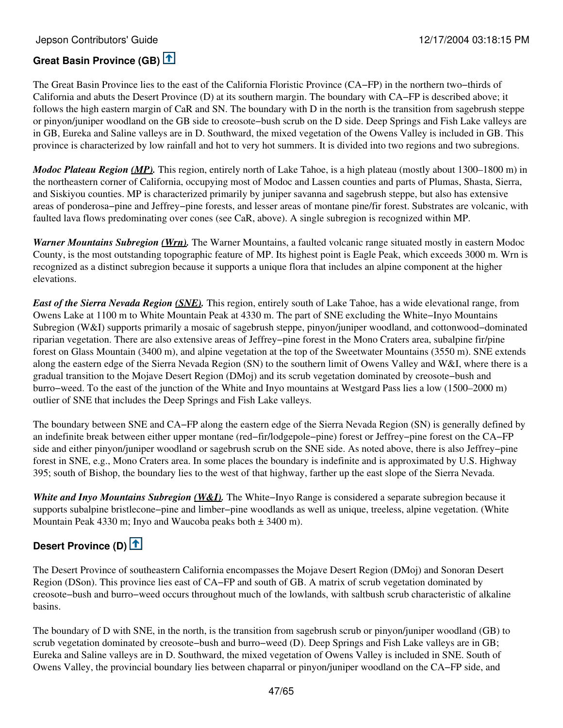# <span id="page-46-0"></span>**Great Basin Province (GB)**

The Great Basin Province lies to the east of the California Floristic Province (CA−FP) in the northern two−thirds of California and abuts the Desert Province (D) at its southern margin. The boundary with CA−FP is described above; it follows the high eastern margin of CaR and SN. The boundary with D in the north is the transition from sagebrush steppe or pinyon/juniper woodland on the GB side to creosote−bush scrub on the D side. Deep Springs and Fish Lake valleys are in GB, Eureka and Saline valleys are in D. Southward, the mixed vegetation of the Owens Valley is included in GB. This province is characterized by low rainfall and hot to very hot summers. It is divided into two regions and two subregions.

*Modoc Plateau Region [\(MP\)](http://128.32.109.44/cgi-bin/show_bior.pl?bior=MP)*. This region, entirely north of Lake Tahoe, is a high plateau (mostly about 1300–1800 m) in the northeastern corner of California, occupying most of Modoc and Lassen counties and parts of Plumas, Shasta, Sierra, and Siskiyou counties. MP is characterized primarily by juniper savanna and sagebrush steppe, but also has extensive areas of ponderosa−pine and Jeffrey−pine forests, and lesser areas of montane pine/fir forest. Substrates are volcanic, with faulted lava flows predominating over cones (see CaR, above). A single subregion is recognized within MP.

*Warner Mountains Subregion <i>[\(Wrn\)](http://128.32.109.44/cgi-bin/show_bior.pl?bior=Wrn)*. The Warner Mountains, a faulted volcanic range situated mostly in eastern Modoc County, is the most outstanding topographic feature of MP. Its highest point is Eagle Peak, which exceeds 3000 m. Wrn is recognized as a distinct subregion because it supports a unique flora that includes an alpine component at the higher elevations.

*East of the Sierra Nevada Region [\(SNE\)](http://128.32.109.44/cgi-bin/show_bior.pl?bior=SNE).* This region, entirely south of Lake Tahoe, has a wide elevational range, from Owens Lake at 1100 m to White Mountain Peak at 4330 m. The part of SNE excluding the White−Inyo Mountains Subregion (W&I) supports primarily a mosaic of sagebrush steppe, pinyon/juniper woodland, and cottonwood−dominated riparian vegetation. There are also extensive areas of Jeffrey−pine forest in the Mono Craters area, subalpine fir/pine forest on Glass Mountain (3400 m), and alpine vegetation at the top of the Sweetwater Mountains (3550 m). SNE extends along the eastern edge of the Sierra Nevada Region (SN) to the southern limit of Owens Valley and W&I, where there is a gradual transition to the Mojave Desert Region (DMoj) and its scrub vegetation dominated by creosote−bush and burro−weed. To the east of the junction of the White and Inyo mountains at Westgard Pass lies a low (1500–2000 m) outlier of SNE that includes the Deep Springs and Fish Lake valleys.

The boundary between SNE and CA−FP along the eastern edge of the Sierra Nevada Region (SN) is generally defined by an indefinite break between either upper montane (red−fir/lodgepole−pine) forest or Jeffrey−pine forest on the CA−FP side and either pinyon/juniper woodland or sagebrush scrub on the SNE side. As noted above, there is also Jeffrey−pine forest in SNE, e.g., Mono Craters area. In some places the boundary is indefinite and is approximated by U.S. Highway 395; south of Bishop, the boundary lies to the west of that highway, farther up the east slope of the Sierra Nevada.

*White and Inyo Mountains Subregion [\(W&I\)](http://128.32.109.44/cgi-bin/show_bior.pl?bior=WaI).* The White−Inyo Range is considered a separate subregion because it supports subalpine bristlecone−pine and limber–pine woodlands as well as unique, treeless, alpine vegetation. (White Mountain Peak 4330 m; Inyo and Waucoba peaks both  $\pm$  3400 m).

# <span id="page-46-1"></span>**Desert Province (D)**

The Desert Province of southeastern California encompasses the Mojave Desert Region (DMoj) and Sonoran Desert Region (DSon). This province lies east of CA−FP and south of GB. A matrix of scrub vegetation dominated by creosote−bush and burro−weed occurs throughout much of the lowlands, with saltbush scrub characteristic of alkaline basins.

The boundary of D with SNE, in the north, is the transition from sagebrush scrub or pinyon/juniper woodland (GB) to scrub vegetation dominated by creosote−bush and burro–weed (D). Deep Springs and Fish Lake valleys are in GB; Eureka and Saline valleys are in D. Southward, the mixed vegetation of Owens Valley is included in SNE. South of Owens Valley, the provincial boundary lies between chaparral or pinyon/juniper woodland on the CA−FP side, and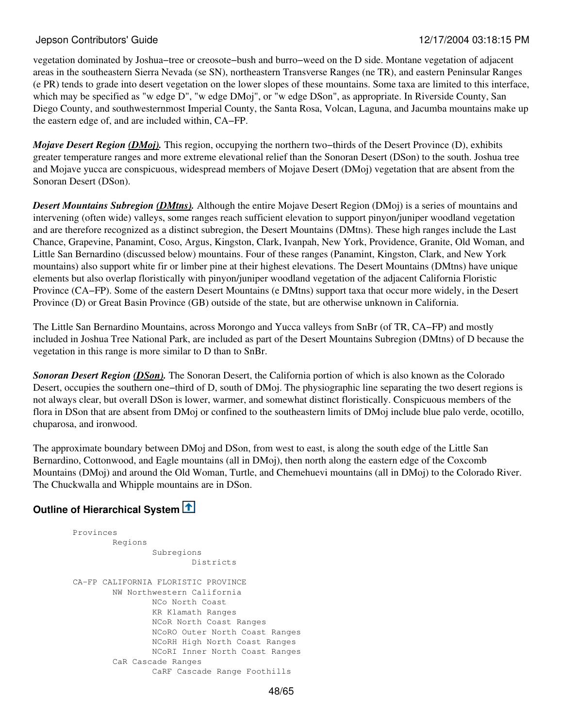vegetation dominated by Joshua−tree or creosote−bush and burro−weed on the D side. Montane vegetation of adjacent areas in the southeastern Sierra Nevada (se SN), northeastern Transverse Ranges (ne TR), and eastern Peninsular Ranges (e PR) tends to grade into desert vegetation on the lower slopes of these mountains. Some taxa are limited to this interface, which may be specified as "w edge D", "w edge DMoj", or "w edge DSon", as appropriate. In Riverside County, San Diego County, and southwesternmost Imperial County, the Santa Rosa, Volcan, Laguna, and Jacumba mountains make up the eastern edge of, and are included within, CA−FP.

*Mojave Desert Region [\(DMoj\)](http://128.32.109.44/cgi-bin/show_bior.pl?bior=DMoj)*. This region, occupying the northern two–thirds of the Desert Province (D), exhibits greater temperature ranges and more extreme elevational relief than the Sonoran Desert (DSon) to the south. Joshua tree and Mojave yucca are conspicuous, widespread members of Mojave Desert (DMoj) vegetation that are absent from the Sonoran Desert (DSon).

*Desert Mountains Subregion [\(DMtns\).](http://128.32.109.44/cgi-bin/show_bior.pl?bior=DMtns)* Although the entire Mojave Desert Region (DMoj) is a series of mountains and intervening (often wide) valleys, some ranges reach sufficient elevation to support pinyon/juniper woodland vegetation and are therefore recognized as a distinct subregion, the Desert Mountains (DMtns). These high ranges include the Last Chance, Grapevine, Panamint, Coso, Argus, Kingston, Clark, Ivanpah, New York, Providence, Granite, Old Woman, and Little San Bernardino (discussed below) mountains. Four of these ranges (Panamint, Kingston, Clark, and New York mountains) also support white fir or limber pine at their highest elevations. The Desert Mountains (DMtns) have unique elements but also overlap floristically with pinyon/juniper woodland vegetation of the adjacent California Floristic Province (CA−FP). Some of the eastern Desert Mountains (e DMtns) support taxa that occur more widely, in the Desert Province (D) or Great Basin Province (GB) outside of the state, but are otherwise unknown in California.

The Little San Bernardino Mountains, across Morongo and Yucca valleys from SnBr (of TR, CA−FP) and mostly included in Joshua Tree National Park, are included as part of the Desert Mountains Subregion (DMtns) of D because the vegetation in this range is more similar to D than to SnBr.

*Sonoran Desert Region [\(DSon\)](http://128.32.109.44/cgi-bin/show_bior.pl?bior=DSon).* The Sonoran Desert, the California portion of which is also known as the Colorado Desert, occupies the southern one−third of D, south of DMoj. The physiographic line separating the two desert regions is not always clear, but overall DSon is lower, warmer, and somewhat distinct floristically. Conspicuous members of the flora in DSon that are absent from DMoj or confined to the southeastern limits of DMoj include blue palo verde, ocotillo, chuparosa, and ironwood.

The approximate boundary between DMoj and DSon, from west to east, is along the south edge of the Little San Bernardino, Cottonwood, and Eagle mountains (all in DMoj), then north along the eastern edge of the Coxcomb Mountains (DMoj) and around the Old Woman, Turtle, and Chemehuevi mountains (all in DMoj) to the Colorado River. The Chuckwalla and Whipple mountains are in DSon.

# <span id="page-47-0"></span>**Outline of Hierarchical System**

```
 Provinces
         Regions
                 Subregions
                          Districts
 CA−FP CALIFORNIA FLORISTIC PROVINCE
         NW Northwestern California
                 NCo North Coast
                 KR Klamath Ranges
                 NCoR North Coast Ranges
                 NCoRO Outer North Coast Ranges
                 NCoRH High North Coast Ranges
                 NCoRI Inner North Coast Ranges
         CaR Cascade Ranges
                 CaRF Cascade Range Foothills
```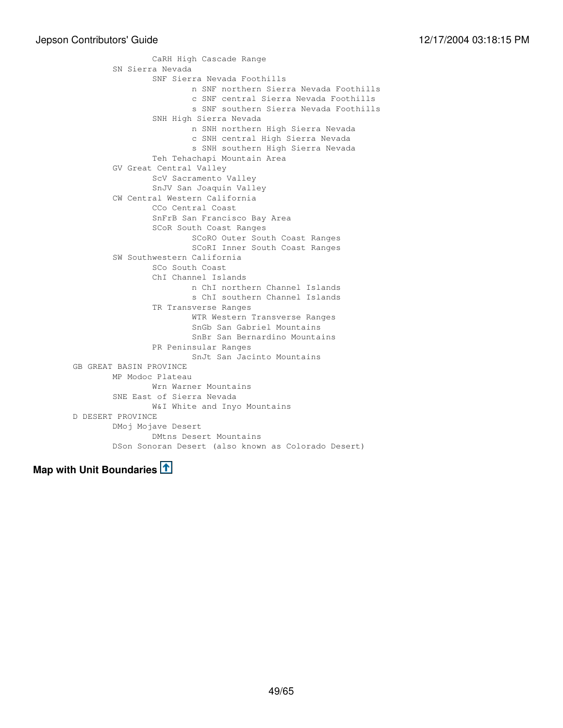CaRH High Cascade Range SN Sierra Nevada SNF Sierra Nevada Foothills n SNF northern Sierra Nevada Foothills c SNF central Sierra Nevada Foothills s SNF southern Sierra Nevada Foothills SNH High Sierra Nevada n SNH northern High Sierra Nevada c SNH central High Sierra Nevada s SNH southern High Sierra Nevada Teh Tehachapi Mountain Area GV Great Central Valley ScV Sacramento Valley SnJV San Joaquin Valley CW Central Western California CCo Central Coast SnFrB San Francisco Bay Area SCoR South Coast Ranges SCoRO Outer South Coast Ranges SCoRI Inner South Coast Ranges SW Southwestern California SCo South Coast ChI Channel Islands n ChI northern Channel Islands s ChI southern Channel Islands TR Transverse Ranges WTR Western Transverse Ranges SnGb San Gabriel Mountains SnBr San Bernardino Mountains PR Peninsular Ranges SnJt San Jacinto Mountains GB GREAT BASIN PROVINCE MP Modoc Plateau Wrn Warner Mountains SNE East of Sierra Nevada W&I White and Inyo Mountains D DESERT PROVINCE DMoj Mojave Desert DMtns Desert Mountains DSon Sonoran Desert (also known as Colorado Desert)

<span id="page-48-0"></span>**Map with Unit Boundaries**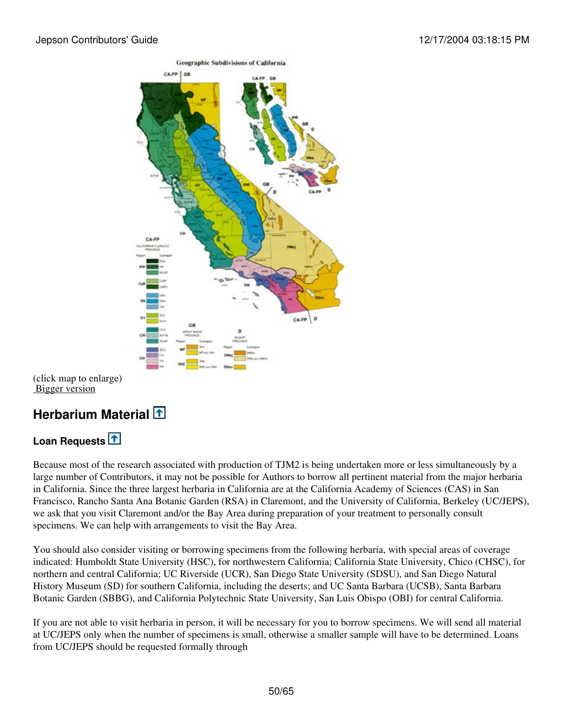

(click map to enlarge) **Bigger** version

# <span id="page-49-0"></span>**Herbarium Material**

<span id="page-49-1"></span>

Because most of the research associated with production of TJM2 is being undertaken more or less simultaneously by a large number of Contributors, it may not be possible for Authors to borrow all pertinent material from the major herbaria in California. Since the three largest herbaria in California are at the California Academy of Sciences (CAS) in San Francisco, Rancho Santa Ana Botanic Garden (RSA) in Claremont, and the University of California, Berkeley (UC/JEPS), we ask that you visit Claremont and/or the Bay Area during preparation of your treatment to personally consult specimens. We can help with arrangements to visit the Bay Area.

You should also consider visiting or borrowing specimens from the following herbaria, with special areas of coverage indicated: Humboldt State University (HSC), for northwestern California; California State University, Chico (CHSC), for northern and central California; UC Riverside (UCR), San Diego State University (SDSU), and San Diego Natural History Museum (SD) for southern California, including the deserts; and UC Santa Barbara (UCSB), Santa Barbara Botanic Garden (SBBG), and California Polytechnic State University, San Luis Obispo (OBI) for central California.

If you are not able to visit herbaria in person, it will be necessary for you to borrow specimens. We will send all material at UC/JEPS only when the number of specimens is small, otherwise a smaller sample will have to be determined. Loans from UC/JEPS should be requested formally through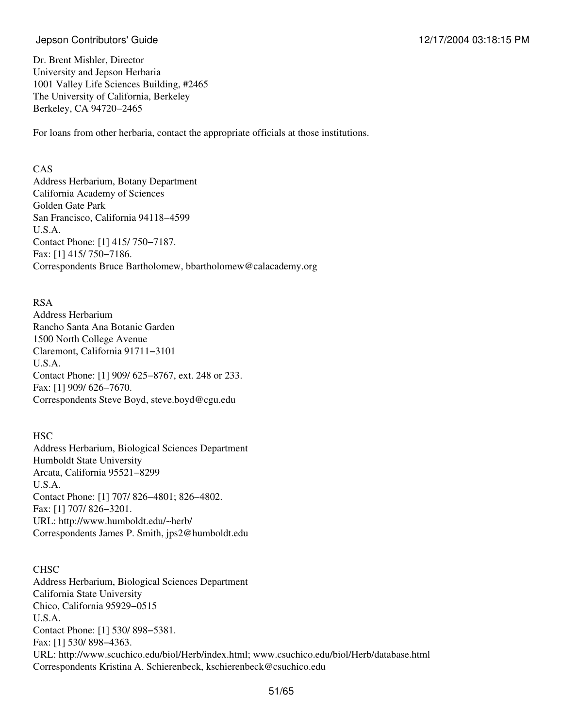Dr. Brent Mishler, Director University and Jepson Herbaria 1001 Valley Life Sciences Building, #2465 The University of California, Berkeley Berkeley, CA 94720−2465

For loans from other herbaria, contact the appropriate officials at those institutions.

# CAS

Address Herbarium, Botany Department California Academy of Sciences Golden Gate Park San Francisco, California 94118−4599 U.S.A. Contact Phone: [1] 415/ 750−7187. Fax: [1] 415/ 750−7186. Correspondents Bruce Bartholomew, bbartholomew@calacademy.org

# RSA

Address Herbarium Rancho Santa Ana Botanic Garden 1500 North College Avenue Claremont, California 91711−3101 U.S.A. Contact Phone: [1] 909/ 625−8767, ext. 248 or 233. Fax: [1] 909/ 626−7670. Correspondents Steve Boyd, steve.boyd@cgu.edu

# **HSC**

Address Herbarium, Biological Sciences Department Humboldt State University Arcata, California 95521−8299 U.S.A. Contact Phone: [1] 707/ 826−4801; 826−4802. Fax: [1] 707/ 826−3201. URL: http://www.humboldt.edu/~herb/ Correspondents James P. Smith, jps2@humboldt.edu

# **CHSC**

Address Herbarium, Biological Sciences Department California State University Chico, California 95929−0515 U.S.A. Contact Phone: [1] 530/ 898−5381. Fax: [1] 530/ 898−4363. URL: http://www.scuchico.edu/biol/Herb/index.html; www.csuchico.edu/biol/Herb/database.html Correspondents Kristina A. Schierenbeck, kschierenbeck@csuchico.edu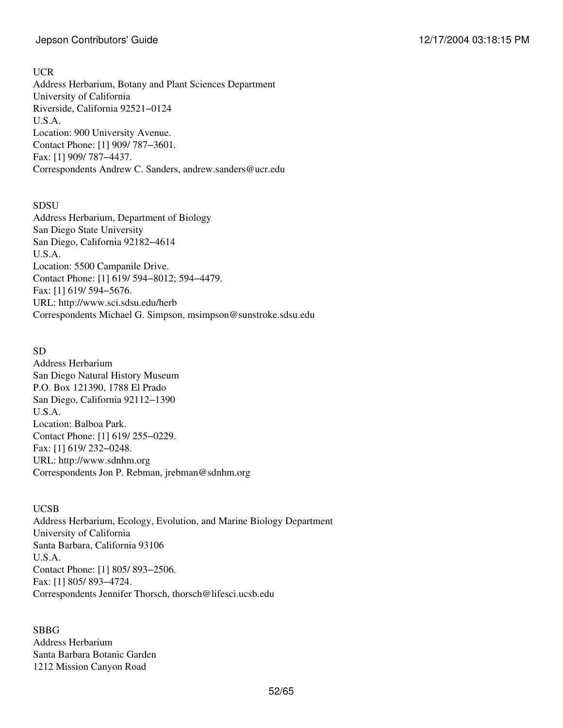# UCR

Address Herbarium, Botany and Plant Sciences Department University of California Riverside, California 92521−0124 U.S.A. Location: 900 University Avenue. Contact Phone: [1] 909/ 787−3601. Fax: [1] 909/ 787−4437. Correspondents Andrew C. Sanders, andrew.sanders@ucr.edu

# SDSU

Address Herbarium, Department of Biology San Diego State University San Diego, California 92182−4614 U.S.A. Location: 5500 Campanile Drive. Contact Phone: [1] 619/ 594−8012; 594−4479. Fax: [1] 619/ 594−5676. URL: http://www.sci.sdsu.edu/herb Correspondents Michael G. Simpson, msimpson@sunstroke.sdsu.edu

# SD

Address Herbarium San Diego Natural History Museum P.O. Box 121390, 1788 El Prado San Diego, California 92112−1390 U.S.A. Location: Balboa Park. Contact Phone: [1] 619/ 255−0229. Fax: [1] 619/ 232−0248. URL: http://www.sdnhm.org Correspondents Jon P. Rebman, jrebman@sdnhm.org

# UCSB

Address Herbarium, Ecology, Evolution, and Marine Biology Department University of California Santa Barbara, California 93106 U.S.A. Contact Phone: [1] 805/ 893−2506. Fax: [1] 805/ 893−4724. Correspondents Jennifer Thorsch, thorsch@lifesci.ucsb.edu

# SBBG

Address Herbarium Santa Barbara Botanic Garden 1212 Mission Canyon Road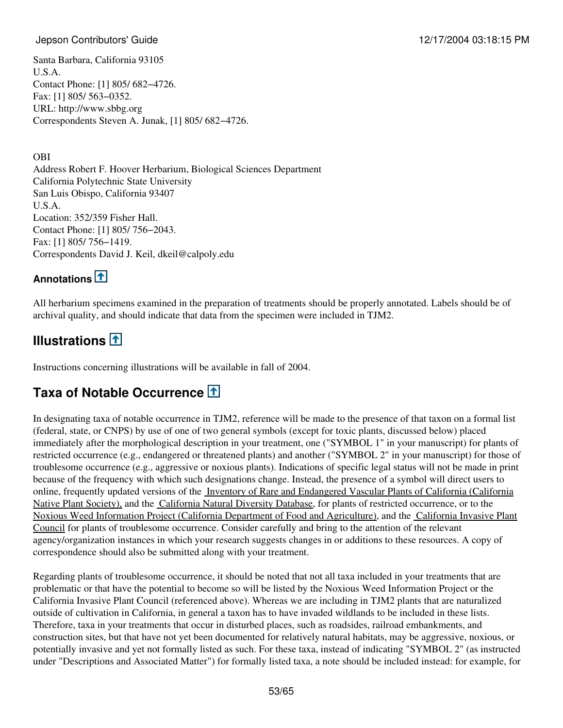Santa Barbara, California 93105 U.S.A. Contact Phone: [1] 805/ 682−4726. Fax: [1] 805/ 563−0352. URL: http://www.sbbg.org Correspondents Steven A. Junak, [1] 805/ 682−4726.

OBI Address Robert F. Hoover Herbarium, Biological Sciences Department California Polytechnic State University San Luis Obispo, California 93407 U.S.A. Location: 352/359 Fisher Hall. Contact Phone: [1] 805/ 756−2043. Fax: [1] 805/ 756−1419. Correspondents David J. Keil, dkeil@calpoly.edu

# <span id="page-52-0"></span>**Annotations**

All herbarium specimens examined in the preparation of treatments should be properly annotated. Labels should be of archival quality, and should indicate that data from the specimen were included in TJM2.

# <span id="page-52-1"></span>**Illustrations**

Instructions concerning illustrations will be available in fall of 2004.

# <span id="page-52-2"></span>**Taxa of Notable Occurrence**

In designating taxa of notable occurrence in TJM2, reference will be made to the presence of that taxon on a formal list (federal, state, or CNPS) by use of one of two general symbols (except for toxic plants, discussed below) placed immediately after the morphological description in your treatment, one ("SYMBOL 1" in your manuscript) for plants of restricted occurrence (e.g., endangered or threatened plants) and another ("SYMBOL 2" in your manuscript) for those of troublesome occurrence (e.g., aggressive or noxious plants). Indications of specific legal status will not be made in print because of the frequency with which such designations change. Instead, the presence of a symbol will direct users to online, frequently updated versions of the [Inventory of Rare and Endangered Vascular Plants of California \(California](http://www.northcoast.com/~cnps/cgi-bin/cnps/sensinv.cgi) [Native Plant Society\),](http://www.northcoast.com/~cnps/cgi-bin/cnps/sensinv.cgi) and the [California Natural Diversity Database](http://www.dfg.ca.gov/whdab/html/cnddb.html), for plants of restricted occurrence, or to the [Noxious Weed Information Project \(California Department of Food and Agriculture\),](http://www.cdfa.ca.gov/phpps/ipc/noxweedinfo/noxweedinfo_hp.htm) and the [California Invasive Plant](http://www.cal-ipc.org/) [Council](http://www.cal-ipc.org/) for plants of troublesome occurrence. Consider carefully and bring to the attention of the relevant agency/organization instances in which your research suggests changes in or additions to these resources. A copy of correspondence should also be submitted along with your treatment.

Regarding plants of troublesome occurrence, it should be noted that not all taxa included in your treatments that are problematic or that have the potential to become so will be listed by the Noxious Weed Information Project or the California Invasive Plant Council (referenced above). Whereas we are including in TJM2 plants that are naturalized outside of cultivation in California, in general a taxon has to have invaded wildlands to be included in these lists. Therefore, taxa in your treatments that occur in disturbed places, such as roadsides, railroad embankments, and construction sites, but that have not yet been documented for relatively natural habitats, may be aggressive, noxious, or potentially invasive and yet not formally listed as such. For these taxa, instead of indicating "SYMBOL 2" (as instructed under "Descriptions and Associated Matter") for formally listed taxa, a note should be included instead: for example, for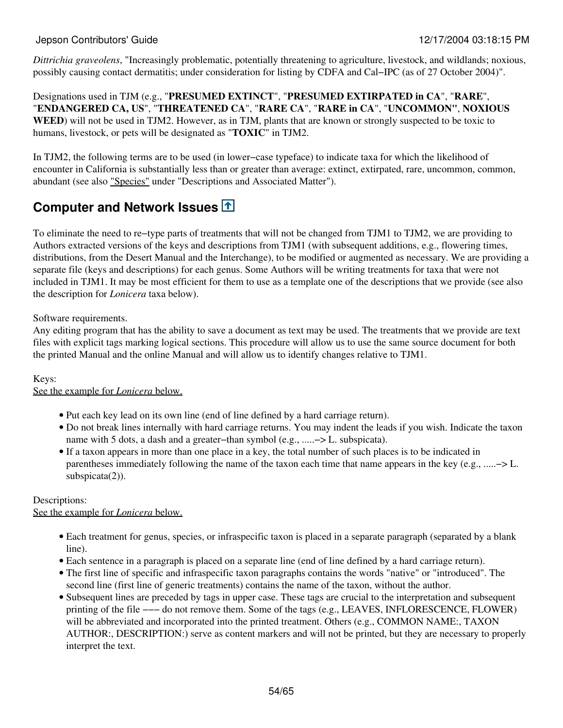*Dittrichia graveolens*, "Increasingly problematic, potentially threatening to agriculture, livestock, and wildlands; noxious, possibly causing contact dermatitis; under consideration for listing by CDFA and Cal−IPC (as of 27 October 2004)".

Designations used in TJM (e.g., "**PRESUMED EXTINCT**", "**PRESUMED EXTIRPATED in CA**", "**RARE**", "**ENDANGERED CA, US**", "**THREATENED CA**", "**RARE CA**", "**RARE in CA**", "**UNCOMMON"**, **NOXIOUS WEED**) will not be used in TJM2. However, as in TJM, plants that are known or strongly suspected to be toxic to humans, livestock, or pets will be designated as "**TOXIC**" in TJM2.

In TJM2, the following terms are to be used (in lower−case typeface) to indicate taxa for which the likelihood of encounter in California is substantially less than or greater than average: extinct, extirpated, rare, uncommon, common, abundant (see also ["Species"](#page-60-3) under "Descriptions and Associated Matter").

# <span id="page-53-0"></span>**Computer and Network Issues**

To eliminate the need to re−type parts of treatments that will not be changed from TJM1 to TJM2, we are providing to Authors extracted versions of the keys and descriptions from TJM1 (with subsequent additions, e.g., flowering times, distributions, from the Desert Manual and the Interchange), to be modified or augmented as necessary. We are providing a separate file (keys and descriptions) for each genus. Some Authors will be writing treatments for taxa that were not included in TJM1. It may be most efficient for them to use as a template one of the descriptions that we provide (see also the description for *Lonicera* taxa below).

Software requirements.

Any editing program that has the ability to save a document as text may be used. The treatments that we provide are text files with explicit tags marking logical sections. This procedure will allow us to use the same source document for both the printed Manual and the online Manual and will allow us to identify changes relative to TJM1.

### Keys:

# [See the example for](#page-55-0) *Lonicera* below.

- Put each key lead on its own line (end of line defined by a hard carriage return).
- Do not break lines internally with hard carriage returns. You may indent the leads if you wish. Indicate the taxon name with 5 dots, a dash and a greater–than symbol (e.g., .....–> L. subspicata).
- If a taxon appears in more than one place in a key, the total number of such places is to be indicated in parentheses immediately following the name of the taxon each time that name appears in the key (e.g., .....–> L. subspicata(2)).

# Descriptions:

[See the example for](#page-54-0) *Lonicera* below.

- Each treatment for genus, species, or infraspecific taxon is placed in a separate paragraph (separated by a blank line).
- Each sentence in a paragraph is placed on a separate line (end of line defined by a hard carriage return).
- The first line of specific and infraspecific taxon paragraphs contains the words "native" or "introduced". The second line (first line of generic treatments) contains the name of the taxon, without the author.
- Subsequent lines are preceded by tags in upper case. These tags are crucial to the interpretation and subsequent printing of the file −−− do not remove them. Some of the tags (e.g., LEAVES, INFLORESCENCE, FLOWER) will be abbreviated and incorporated into the printed treatment. Others (e.g., COMMON NAME:, TAXON AUTHOR:, DESCRIPTION:) serve as content markers and will not be printed, but they are necessary to properly interpret the text.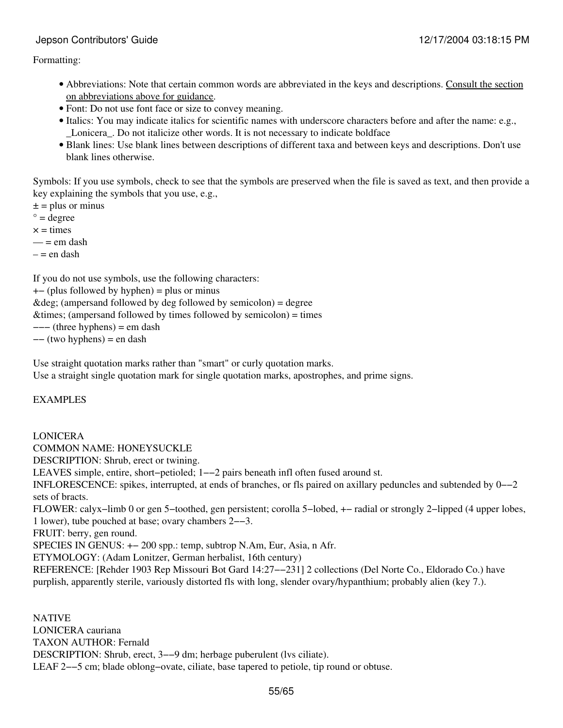Formatting:

- Abbreviations: Note that certain common words are abbreviated in the keys and descriptions. [Consult the section](#page-10-1) [on abbreviations above for guidance](#page-10-1).
- Font: Do not use font face or size to convey meaning.
- Italics: You may indicate italics for scientific names with underscore characters before and after the name: e.g., \_Lonicera\_. Do not italicize other words. It is not necessary to indicate boldface
- Blank lines: Use blank lines between descriptions of different taxa and between keys and descriptions. Don't use blank lines otherwise.

Symbols: If you use symbols, check to see that the symbols are preserved when the file is saved as text, and then provide a key explaining the symbols that you use, e.g.,

- $\pm$  = plus or minus
- $\degree$  = degree
- $x = times$
- $=$  = em dash
- $-$  = en dash

If you do not use symbols, use the following characters:

+− (plus followed by hyphen) = plus or minus

 $\&$  deg; (ampersand followed by deg followed by semicolon) = degree

 $×$  (ampersand followed by times followed by semicolon) = times

−−− (three hyphens) = em dash

−− (two hyphens) = en dash

Use straight quotation marks rather than "smart" or curly quotation marks.

Use a straight single quotation mark for single quotation marks, apostrophes, and prime signs.

### EXAMPLES

### <span id="page-54-0"></span>LONICERA

COMMON NAME: HONEYSUCKLE

DESCRIPTION: Shrub, erect or twining.

LEAVES simple, entire, short−petioled; 1−−2 pairs beneath infl often fused around st.

INFLORESCENCE: spikes, interrupted, at ends of branches, or fls paired on axillary peduncles and subtended by 0−−2 sets of bracts.

FLOWER: calyx−limb 0 or gen 5−toothed, gen persistent; corolla 5−lobed, +− radial or strongly 2−lipped (4 upper lobes, 1 lower), tube pouched at base; ovary chambers 2−−3.

FRUIT: berry, gen round.

SPECIES IN GENUS: +− 200 spp.: temp, subtrop N.Am, Eur, Asia, n Afr.

ETYMOLOGY: (Adam Lonitzer, German herbalist, 16th century)

REFERENCE: [Rehder 1903 Rep Missouri Bot Gard 14:27−−231] 2 collections (Del Norte Co., Eldorado Co.) have purplish, apparently sterile, variously distorted fls with long, slender ovary/hypanthium; probably alien (key 7.).

NATIVE LONICERA cauriana TAXON AUTHOR: Fernald DESCRIPTION: Shrub, erect, 3−−9 dm; herbage puberulent (lvs ciliate). LEAF 2−−5 cm; blade oblong−ovate, ciliate, base tapered to petiole, tip round or obtuse.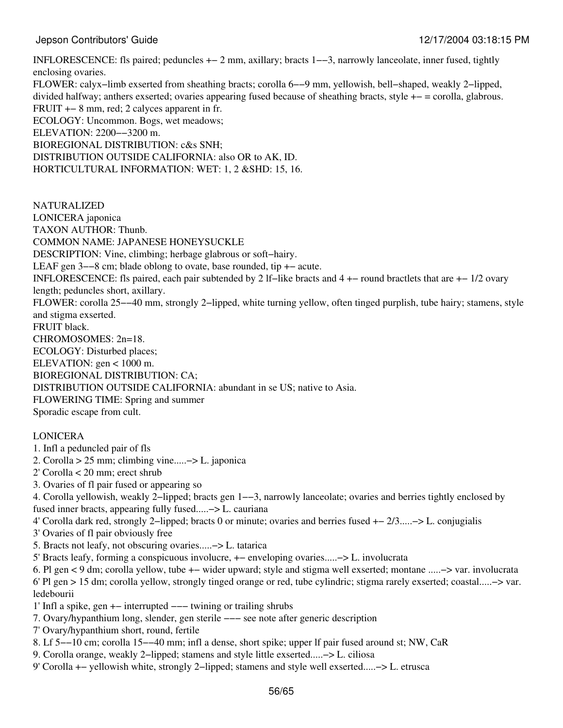INFLORESCENCE: fls paired; peduncles +− 2 mm, axillary; bracts 1−−3, narrowly lanceolate, inner fused, tightly enclosing ovaries. FLOWER: calyx−limb exserted from sheathing bracts; corolla 6−−9 mm, yellowish, bell−shaped, weakly 2−lipped, divided halfway; anthers exserted; ovaries appearing fused because of sheathing bracts, style +− = corolla, glabrous. FRUIT +− 8 mm, red; 2 calyces apparent in fr. ECOLOGY: Uncommon. Bogs, wet meadows; ELEVATION: 2200−−3200 m. BIOREGIONAL DISTRIBUTION: c&s SNH; DISTRIBUTION OUTSIDE CALIFORNIA: also OR to AK, ID. HORTICULTURAL INFORMATION: WET: 1, 2 &SHD: 15, 16.

NATURALIZED LONICERA japonica TAXON AUTHOR: Thunb. COMMON NAME: JAPANESE HONEYSUCKLE DESCRIPTION: Vine, climbing; herbage glabrous or soft−hairy. LEAF gen 3−−8 cm; blade oblong to ovate, base rounded, tip +− acute. INFLORESCENCE: fls paired, each pair subtended by 2 lf−like bracts and 4 +− round bractlets that are +− 1/2 ovary length; peduncles short, axillary. FLOWER: corolla 25−−40 mm, strongly 2−lipped, white turning yellow, often tinged purplish, tube hairy; stamens, style and stigma exserted. FRUIT black. CHROMOSOMES: 2n=18. ECOLOGY: Disturbed places; ELEVATION: gen < 1000 m. BIOREGIONAL DISTRIBUTION: CA; DISTRIBUTION OUTSIDE CALIFORNIA: abundant in se US; native to Asia. FLOWERING TIME: Spring and summer

<span id="page-55-0"></span>Sporadic escape from cult.

### LONICERA

- 1. Infl a peduncled pair of fls
- 2. Corolla > 25 mm; climbing vine.....−> L. japonica
- 2' Corolla < 20 mm; erect shrub
- 3. Ovaries of fl pair fused or appearing so
- 4. Corolla yellowish, weakly 2−lipped; bracts gen 1−−3, narrowly lanceolate; ovaries and berries tightly enclosed by fused inner bracts, appearing fully fused.....−> L. cauriana
- 4' Corolla dark red, strongly 2−lipped; bracts 0 or minute; ovaries and berries fused +− 2/3.....−> L. conjugialis
- 3' Ovaries of fl pair obviously free
- 5. Bracts not leafy, not obscuring ovaries.....−> L. tatarica
- 5' Bracts leafy, forming a conspicuous involucre, +− enveloping ovaries.....−> L. involucrata
- 6. Pl gen < 9 dm; corolla yellow, tube +− wider upward; style and stigma well exserted; montane .....−> var. involucrata
- 6' Pl gen > 15 dm; corolla yellow, strongly tinged orange or red, tube cylindric; stigma rarely exserted; coastal.....−> var. ledebourii
- 1' Infl a spike, gen +− interrupted −−− twining or trailing shrubs
- 7. Ovary/hypanthium long, slender, gen sterile −−− see note after generic description
- 7' Ovary/hypanthium short, round, fertile
- 8. Lf 5−−10 cm; corolla 15−−40 mm; infl a dense, short spike; upper lf pair fused around st; NW, CaR
- 9. Corolla orange, weakly 2–lipped; stamens and style little exserted.....–> L. ciliosa
- 9' Corolla +− yellowish white, strongly 2−lipped; stamens and style well exserted.....−> L. etrusca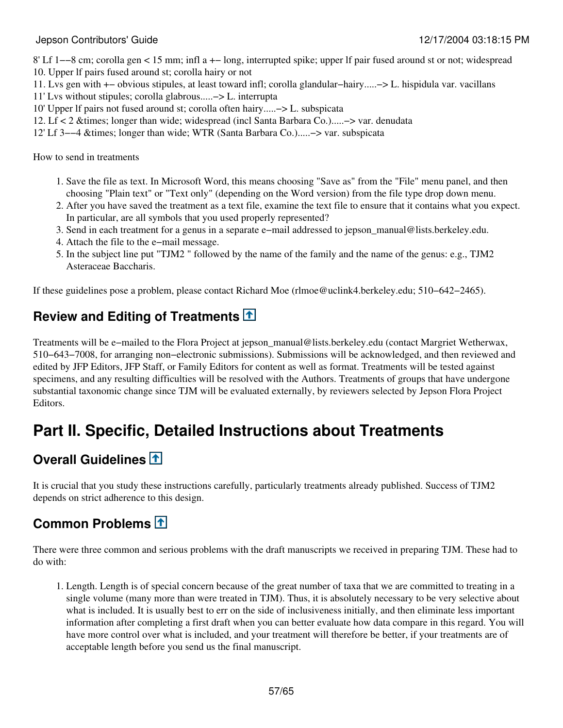8' Lf 1−−8 cm; corolla gen < 15 mm; infl a +− long, interrupted spike; upper lf pair fused around st or not; widespread 10. Upper lf pairs fused around st; corolla hairy or not

11. Lvs gen with +− obvious stipules, at least toward infl; corolla glandular−hairy.....−> L. hispidula var. vacillans

11' Lvs without stipules; corolla glabrous.....−> L. interrupta

10' Upper lf pairs not fused around st; corolla often hairy.....−> L. subspicata

12. Lf < 2 & times; longer than wide; widespread (incl Santa Barbara Co.)..... -> var. denudata

12' Lf 3−−4 × longer than wide; WTR (Santa Barbara Co.).....−> var. subspicata

How to send in treatments

- 1. Save the file as text. In Microsoft Word, this means choosing "Save as" from the "File" menu panel, and then choosing "Plain text" or "Text only" (depending on the Word version) from the file type drop down menu.
- 2. After you have saved the treatment as a text file, examine the text file to ensure that it contains what you expect. In particular, are all symbols that you used properly represented?
- 3. Send in each treatment for a genus in a separate e−mail addressed to jepson\_manual@lists.berkeley.edu.
- 4. Attach the file to the e−mail message.
- 5. In the subject line put "TJM2" followed by the name of the family and the name of the genus: e.g., TJM2 Asteraceae Baccharis.

If these guidelines pose a problem, please contact Richard Moe (rlmoe@uclink4.berkeley.edu; 510−642−2465).

# <span id="page-56-0"></span>**Review and Editing of Treatments**

Treatments will be e−mailed to the Flora Project at jepson\_manual@lists.berkeley.edu (contact Margriet Wetherwax, 510−643−7008, for arranging non−electronic submissions). Submissions will be acknowledged, and then reviewed and edited by JFP Editors, JFP Staff, or Family Editors for content as well as format. Treatments will be tested against specimens, and any resulting difficulties will be resolved with the Authors. Treatments of groups that have undergone substantial taxonomic change since TJM will be evaluated externally, by reviewers selected by Jepson Flora Project Editors.

# <span id="page-56-1"></span>**Part II. Specific, Detailed Instructions about Treatments**

# <span id="page-56-2"></span>**Overall Guidelines**

It is crucial that you study these instructions carefully, particularly treatments already published. Success of TJM2 depends on strict adherence to this design.

# <span id="page-56-3"></span>**Common Problems**

<span id="page-56-4"></span>There were three common and serious problems with the draft manuscripts we received in preparing TJM. These had to do with:

Length. Length is of special concern because of the great number of taxa that we are committed to treating in a 1. single volume (many more than were treated in TJM). Thus, it is absolutely necessary to be very selective about what is included. It is usually best to err on the side of inclusiveness initially, and then eliminate less important information after completing a first draft when you can better evaluate how data compare in this regard. You will have more control over what is included, and your treatment will therefore be better, if your treatments are of acceptable length before you send us the final manuscript.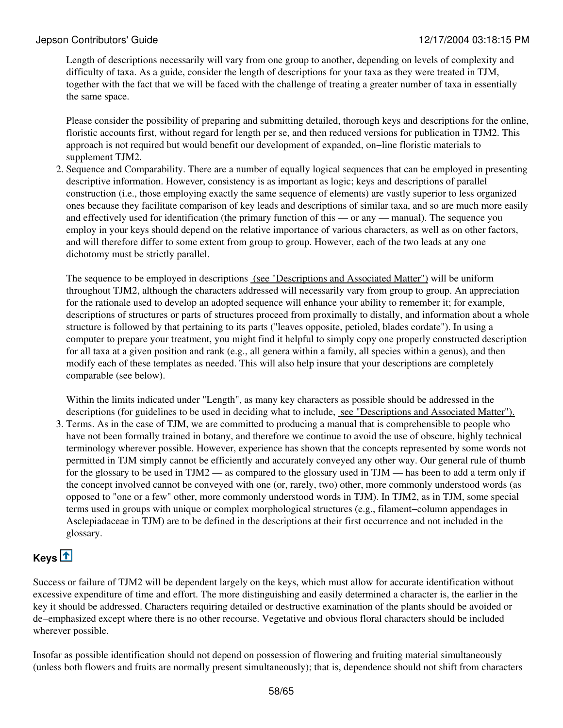Length of descriptions necessarily will vary from one group to another, depending on levels of complexity and difficulty of taxa. As a guide, consider the length of descriptions for your taxa as they were treated in TJM, together with the fact that we will be faced with the challenge of treating a greater number of taxa in essentially the same space.

Please consider the possibility of preparing and submitting detailed, thorough keys and descriptions for the online, floristic accounts first, without regard for length per se, and then reduced versions for publication in TJM2. This approach is not required but would benefit our development of expanded, on−line floristic materials to supplement TJM2.

<span id="page-57-0"></span>2. Sequence and Comparability. There are a number of equally logical sequences that can be employed in presenting descriptive information. However, consistency is as important as logic; keys and descriptions of parallel construction (i.e., those employing exactly the same sequence of elements) are vastly superior to less organized ones because they facilitate comparison of key leads and descriptions of similar taxa, and so are much more easily and effectively used for identification (the primary function of this — or any — manual). The sequence you employ in your keys should depend on the relative importance of various characters, as well as on other factors, and will therefore differ to some extent from group to group. However, each of the two leads at any one dichotomy must be strictly parallel.

The sequence to be employed in descriptions [\(see "Descriptions and Associated Matter"\)](#page-59-0) will be uniform throughout TJM2, although the characters addressed will necessarily vary from group to group. An appreciation for the rationale used to develop an adopted sequence will enhance your ability to remember it; for example, descriptions of structures or parts of structures proceed from proximally to distally, and information about a whole structure is followed by that pertaining to its parts ("leaves opposite, petioled, blades cordate"). In using a computer to prepare your treatment, you might find it helpful to simply copy one properly constructed description for all taxa at a given position and rank (e.g., all genera within a family, all species within a genus), and then modify each of these templates as needed. This will also help insure that your descriptions are completely comparable (see below).

Within the limits indicated under "Length", as many key characters as possible should be addressed in the descriptions (for guidelines to be used in deciding what to include, [see "Descriptions and Associated Matter"\).](#page-59-0)

<span id="page-57-1"></span>Terms. As in the case of TJM, we are committed to producing a manual that is comprehensible to people who 3. have not been formally trained in botany, and therefore we continue to avoid the use of obscure, highly technical terminology wherever possible. However, experience has shown that the concepts represented by some words not permitted in TJM simply cannot be efficiently and accurately conveyed any other way. Our general rule of thumb for the glossary to be used in TJM2 — as compared to the glossary used in TJM — has been to add a term only if the concept involved cannot be conveyed with one (or, rarely, two) other, more commonly understood words (as opposed to "one or a few" other, more commonly understood words in TJM). In TJM2, as in TJM, some special terms used in groups with unique or complex morphological structures (e.g., filament−column appendages in Asclepiadaceae in TJM) are to be defined in the descriptions at their first occurrence and not included in the glossary.

# <span id="page-57-2"></span> $Keys$ <sup><sup>1</sup></sup>

Success or failure of TJM2 will be dependent largely on the keys, which must allow for accurate identification without excessive expenditure of time and effort. The more distinguishing and easily determined a character is, the earlier in the key it should be addressed. Characters requiring detailed or destructive examination of the plants should be avoided or de−emphasized except where there is no other recourse. Vegetative and obvious floral characters should be included wherever possible.

Insofar as possible identification should not depend on possession of flowering and fruiting material simultaneously (unless both flowers and fruits are normally present simultaneously); that is, dependence should not shift from characters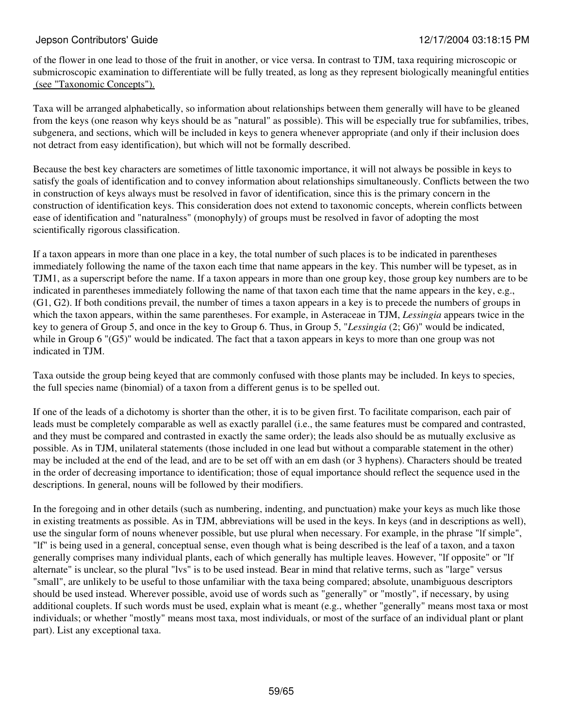of the flower in one lead to those of the fruit in another, or vice versa. In contrast to TJM, taxa requiring microscopic or submicroscopic examination to differentiate will be fully treated, as long as they represent biologically meaningful entities  [\(see "Taxonomic Concepts"\).](#page-7-0)

Taxa will be arranged alphabetically, so information about relationships between them generally will have to be gleaned from the keys (one reason why keys should be as "natural" as possible). This will be especially true for subfamilies, tribes, subgenera, and sections, which will be included in keys to genera whenever appropriate (and only if their inclusion does not detract from easy identification), but which will not be formally described.

Because the best key characters are sometimes of little taxonomic importance, it will not always be possible in keys to satisfy the goals of identification and to convey information about relationships simultaneously. Conflicts between the two in construction of keys always must be resolved in favor of identification, since this is the primary concern in the construction of identification keys. This consideration does not extend to taxonomic concepts, wherein conflicts between ease of identification and "naturalness" (monophyly) of groups must be resolved in favor of adopting the most scientifically rigorous classification.

If a taxon appears in more than one place in a key, the total number of such places is to be indicated in parentheses immediately following the name of the taxon each time that name appears in the key. This number will be typeset, as in TJM1, as a superscript before the name. If a taxon appears in more than one group key, those group key numbers are to be indicated in parentheses immediately following the name of that taxon each time that the name appears in the key, e.g., (G1, G2). If both conditions prevail, the number of times a taxon appears in a key is to precede the numbers of groups in which the taxon appears, within the same parentheses. For example, in Asteraceae in TJM, *Lessingia* appears twice in the key to genera of Group 5, and once in the key to Group 6. Thus, in Group 5, "*Lessingia* (2; G6)" would be indicated, while in Group 6 "(G5)" would be indicated. The fact that a taxon appears in keys to more than one group was not indicated in TJM.

Taxa outside the group being keyed that are commonly confused with those plants may be included. In keys to species, the full species name (binomial) of a taxon from a different genus is to be spelled out.

If one of the leads of a dichotomy is shorter than the other, it is to be given first. To facilitate comparison, each pair of leads must be completely comparable as well as exactly parallel (i.e., the same features must be compared and contrasted, and they must be compared and contrasted in exactly the same order); the leads also should be as mutually exclusive as possible. As in TJM, unilateral statements (those included in one lead but without a comparable statement in the other) may be included at the end of the lead, and are to be set off with an em dash (or 3 hyphens). Characters should be treated in the order of decreasing importance to identification; those of equal importance should reflect the sequence used in the descriptions. In general, nouns will be followed by their modifiers.

In the foregoing and in other details (such as numbering, indenting, and punctuation) make your keys as much like those in existing treatments as possible. As in TJM, abbreviations will be used in the keys. In keys (and in descriptions as well), use the singular form of nouns whenever possible, but use plural when necessary. For example, in the phrase "lf simple", "lf" is being used in a general, conceptual sense, even though what is being described is the leaf of a taxon, and a taxon generally comprises many individual plants, each of which generally has multiple leaves. However, "lf opposite" or "lf alternate" is unclear, so the plural "lvs" is to be used instead. Bear in mind that relative terms, such as "large" versus "small", are unlikely to be useful to those unfamiliar with the taxa being compared; absolute, unambiguous descriptors should be used instead. Wherever possible, avoid use of words such as "generally" or "mostly", if necessary, by using additional couplets. If such words must be used, explain what is meant (e.g., whether "generally" means most taxa or most individuals; or whether "mostly" means most taxa, most individuals, or most of the surface of an individual plant or plant part). List any exceptional taxa.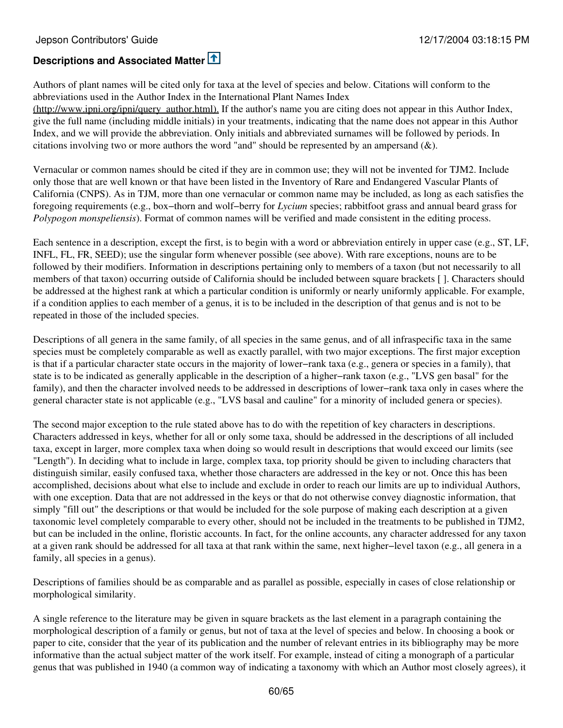# <span id="page-59-0"></span>**Descriptions and Associated Matter**

Authors of plant names will be cited only for taxa at the level of species and below. Citations will conform to the abbreviations used in the Author Index in the International Plant Names Index

[\(http://www.ipni.org/ipni/query\\_author.html\).](http://www.ipni.org/ipni/query_author.html) If the author's name you are citing does not appear in this Author Index, give the full name (including middle initials) in your treatments, indicating that the name does not appear in this Author Index, and we will provide the abbreviation. Only initials and abbreviated surnames will be followed by periods. In citations involving two or more authors the word "and" should be represented by an ampersand  $(\&)$ .

<span id="page-59-1"></span>Vernacular or common names should be cited if they are in common use; they will not be invented for TJM2. Include only those that are well known or that have been listed in the Inventory of Rare and Endangered Vascular Plants of California (CNPS). As in TJM, more than one vernacular or common name may be included, as long as each satisfies the foregoing requirements (e.g., box−thorn and wolf−berry for *Lycium* species; rabbitfoot grass and annual beard grass for *Polypogon monspeliensis*). Format of common names will be verified and made consistent in the editing process.

Each sentence in a description, except the first, is to begin with a word or abbreviation entirely in upper case (e.g., ST, LF, INFL, FL, FR, SEED); use the singular form whenever possible (see above). With rare exceptions, nouns are to be followed by their modifiers. Information in descriptions pertaining only to members of a taxon (but not necessarily to all members of that taxon) occurring outside of California should be included between square brackets [ ]. Characters should be addressed at the highest rank at which a particular condition is uniformly or nearly uniformly applicable. For example, if a condition applies to each member of a genus, it is to be included in the description of that genus and is not to be repeated in those of the included species.

Descriptions of all genera in the same family, of all species in the same genus, and of all infraspecific taxa in the same species must be completely comparable as well as exactly parallel, with two major exceptions. The first major exception is that if a particular character state occurs in the majority of lower−rank taxa (e.g., genera or species in a family), that state is to be indicated as generally applicable in the description of a higher−rank taxon (e.g., "LVS gen basal" for the family), and then the character involved needs to be addressed in descriptions of lower−rank taxa only in cases where the general character state is not applicable (e.g., "LVS basal and cauline" for a minority of included genera or species).

The second major exception to the rule stated above has to do with the repetition of key characters in descriptions. Characters addressed in keys, whether for all or only some taxa, should be addressed in the descriptions of all included taxa, except in larger, more complex taxa when doing so would result in descriptions that would exceed our limits (see "Length"). In deciding what to include in large, complex taxa, top priority should be given to including characters that distinguish similar, easily confused taxa, whether those characters are addressed in the key or not. Once this has been accomplished, decisions about what else to include and exclude in order to reach our limits are up to individual Authors, with one exception. Data that are not addressed in the keys or that do not otherwise convey diagnostic information, that simply "fill out" the descriptions or that would be included for the sole purpose of making each description at a given taxonomic level completely comparable to every other, should not be included in the treatments to be published in TJM2, but can be included in the online, floristic accounts. In fact, for the online accounts, any character addressed for any taxon at a given rank should be addressed for all taxa at that rank within the same, next higher−level taxon (e.g., all genera in a family, all species in a genus).

Descriptions of families should be as comparable and as parallel as possible, especially in cases of close relationship or morphological similarity.

A single reference to the literature may be given in square brackets as the last element in a paragraph containing the morphological description of a family or genus, but not of taxa at the level of species and below. In choosing a book or paper to cite, consider that the year of its publication and the number of relevant entries in its bibliography may be more informative than the actual subject matter of the work itself. For example, instead of citing a monograph of a particular genus that was published in 1940 (a common way of indicating a taxonomy with which an Author most closely agrees), it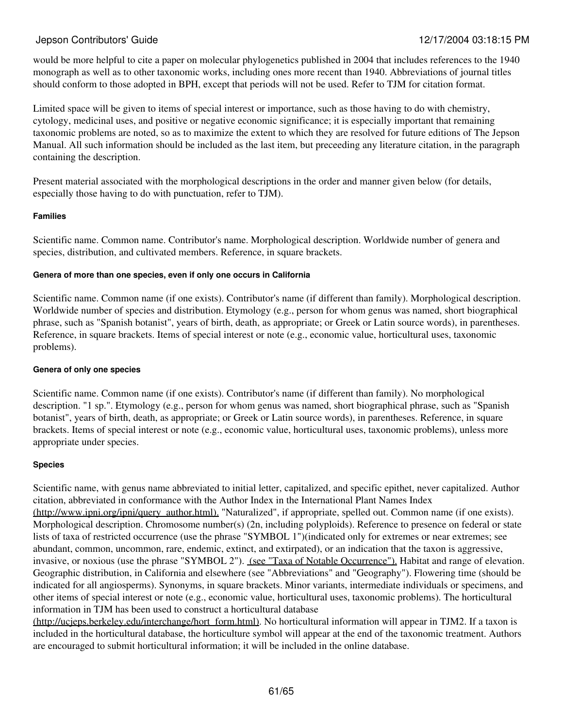would be more helpful to cite a paper on molecular phylogenetics published in 2004 that includes references to the 1940 monograph as well as to other taxonomic works, including ones more recent than 1940. Abbreviations of journal titles should conform to those adopted in BPH, except that periods will not be used. Refer to TJM for citation format.

Limited space will be given to items of special interest or importance, such as those having to do with chemistry, cytology, medicinal uses, and positive or negative economic significance; it is especially important that remaining taxonomic problems are noted, so as to maximize the extent to which they are resolved for future editions of The Jepson Manual. All such information should be included as the last item, but preceeding any literature citation, in the paragraph containing the description.

Present material associated with the morphological descriptions in the order and manner given below (for details, especially those having to do with punctuation, refer to TJM).

#### <span id="page-60-0"></span>**Families**

Scientific name. Common name. Contributor's name. Morphological description. Worldwide number of genera and species, distribution, and cultivated members. Reference, in square brackets.

#### <span id="page-60-1"></span>**Genera of more than one species, even if only one occurs in California**

Scientific name. Common name (if one exists). Contributor's name (if different than family). Morphological description. Worldwide number of species and distribution. Etymology (e.g., person for whom genus was named, short biographical phrase, such as "Spanish botanist", years of birth, death, as appropriate; or Greek or Latin source words), in parentheses. Reference, in square brackets. Items of special interest or note (e.g., economic value, horticultural uses, taxonomic problems).

### <span id="page-60-2"></span>**Genera of only one species**

Scientific name. Common name (if one exists). Contributor's name (if different than family). No morphological description. "1 sp.". Etymology (e.g., person for whom genus was named, short biographical phrase, such as "Spanish botanist", years of birth, death, as appropriate; or Greek or Latin source words), in parentheses. Reference, in square brackets. Items of special interest or note (e.g., economic value, horticultural uses, taxonomic problems), unless more appropriate under species.

#### <span id="page-60-3"></span>**Species**

Scientific name, with genus name abbreviated to initial letter, capitalized, and specific epithet, never capitalized. Author citation, abbreviated in conformance with the Author Index in the International Plant Names Index [\(http://www.ipni.org/ipni/query\\_author.html\).](http://www.ipni.org/ipni/query_author.html) "Naturalized", if appropriate, spelled out. Common name (if one exists). Morphological description. Chromosome number(s) (2n, including polyploids). Reference to presence on federal or state lists of taxa of restricted occurrence (use the phrase "SYMBOL 1")(indicated only for extremes or near extremes; see abundant, common, uncommon, rare, endemic, extinct, and extirpated), or an indication that the taxon is aggressive, invasive, or noxious (use the phrase "SYMBOL 2"). [\(see "Taxa of Notable Occurrence"\).](#page-52-2) Habitat and range of elevation. Geographic distribution, in California and elsewhere (see "Abbreviations" and "Geography"). Flowering time (should be indicated for all angiosperms). Synonyms, in square brackets. Minor variants, intermediate individuals or specimens, and other items of special interest or note (e.g., economic value, horticultural uses, taxonomic problems). The horticultural information in TJM has been used to construct a horticultural database

[\(http://ucjeps.berkeley.edu/interchange/hort\\_form.html\).](http://ucjeps.berkeley.edu/interchange/hort_form.html) No horticultural information will appear in TJM2. If a taxon is included in the horticultural database, the horticulture symbol will appear at the end of the taxonomic treatment. Authors are encouraged to submit horticultural information; it will be included in the online database.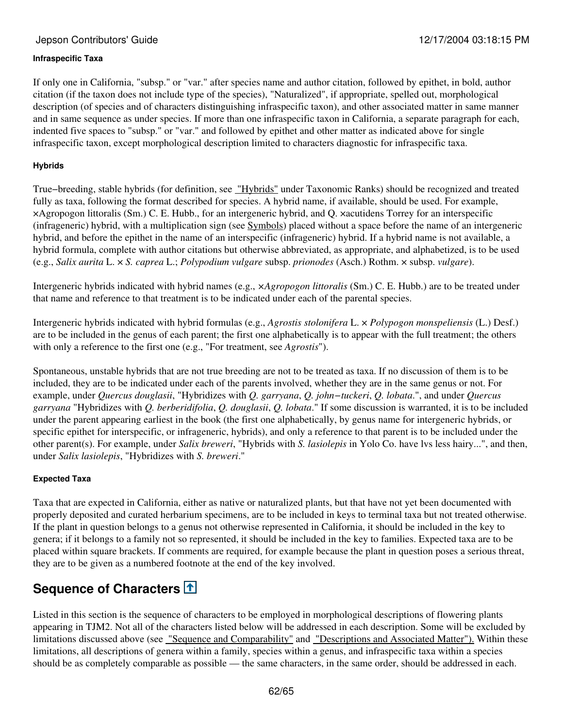### <span id="page-61-0"></span>**Infraspecific Taxa**

If only one in California, "subsp." or "var." after species name and author citation, followed by epithet, in bold, author citation (if the taxon does not include type of the species), "Naturalized", if appropriate, spelled out, morphological description (of species and of characters distinguishing infraspecific taxon), and other associated matter in same manner and in same sequence as under species. If more than one infraspecific taxon in California, a separate paragraph for each, indented five spaces to "subsp." or "var." and followed by epithet and other matter as indicated above for single infraspecific taxon, except morphological description limited to characters diagnostic for infraspecific taxa.

#### <span id="page-61-1"></span>**Hybrids**

True−breeding, stable hybrids (for definition, see ["Hybrids"](#page-8-3) under Taxonomic Ranks) should be recognized and treated fully as taxa, following the format described for species. A hybrid name, if available, should be used. For example, ×Agropogon littoralis (Sm.) C. E. Hubb., for an intergeneric hybrid, and Q. ×acutidens Torrey for an interspecific (infrageneric) hybrid, with a multiplication sign (see [Symbols\)](#page-13-0) placed without a space before the name of an intergeneric hybrid, and before the epithet in the name of an interspecific (infrageneric) hybrid. If a hybrid name is not available, a hybrid formula, complete with author citations but otherwise abbreviated, as appropriate, and alphabetized, is to be used (e.g., *Salix aurita* L. × *S. caprea* L.; *Polypodium vulgare* subsp. *prionodes* (Asch.) Rothm. × subsp. *vulgare*).

Intergeneric hybrids indicated with hybrid names (e.g., *×Agropogon littoralis* (Sm.) C. E. Hubb.) are to be treated under that name and reference to that treatment is to be indicated under each of the parental species.

Intergeneric hybrids indicated with hybrid formulas (e.g., *Agrostis stolonifera* L. × *Polypogon monspeliensis* (L.) Desf.) are to be included in the genus of each parent; the first one alphabetically is to appear with the full treatment; the others with only a reference to the first one (e.g., "For treatment, see *Agrostis*").

Spontaneous, unstable hybrids that are not true breeding are not to be treated as taxa. If no discussion of them is to be included, they are to be indicated under each of the parents involved, whether they are in the same genus or not. For example, under *Quercus douglasii*, "Hybridizes with *Q. garryana*, *Q. john−tuckeri*, *Q. lobata*.", and under *Quercus garryana* "Hybridizes with *Q. berberidifolia*, *Q. douglasii*, *Q. lobata*." If some discussion is warranted, it is to be included under the parent appearing earliest in the book (the first one alphabetically, by genus name for intergeneric hybrids, or specific epithet for interspecific, or infrageneric, hybrids), and only a reference to that parent is to be included under the other parent(s). For example, under *Salix breweri*, "Hybrids with *S. lasiolepis* in Yolo Co. have lvs less hairy...", and then, under *Salix lasiolepis*, "Hybridizes with *S. breweri*."

### <span id="page-61-2"></span>**Expected Taxa**

Taxa that are expected in California, either as native or naturalized plants, but that have not yet been documented with properly deposited and curated herbarium specimens, are to be included in keys to terminal taxa but not treated otherwise. If the plant in question belongs to a genus not otherwise represented in California, it should be included in the key to genera; if it belongs to a family not so represented, it should be included in the key to families. Expected taxa are to be placed within square brackets. If comments are required, for example because the plant in question poses a serious threat, they are to be given as a numbered footnote at the end of the key involved.

# <span id="page-61-3"></span>**Sequence of Characters**

Listed in this section is the sequence of characters to be employed in morphological descriptions of flowering plants appearing in TJM2. Not all of the characters listed below will be addressed in each description. Some will be excluded by limitations discussed above (see ["Sequence and Comparability"](#page-57-0) and ["Descriptions and Associated Matter"\).](#page-59-0) Within these limitations, all descriptions of genera within a family, species within a genus, and infraspecific taxa within a species should be as completely comparable as possible — the same characters, in the same order, should be addressed in each.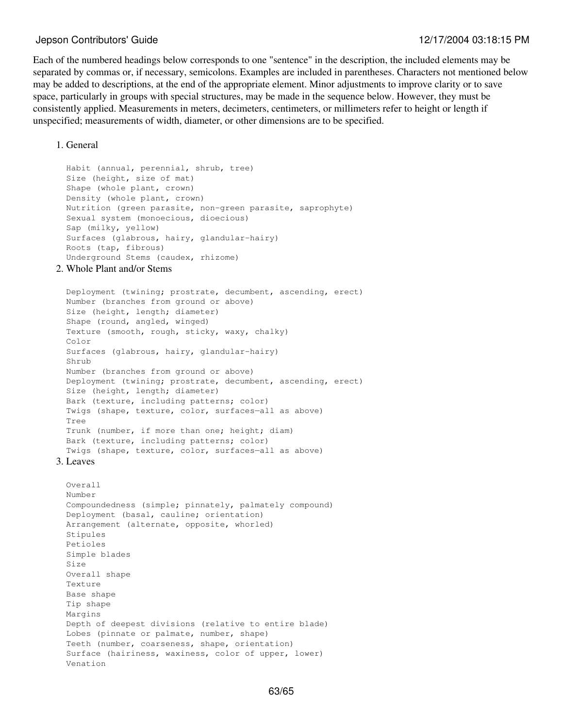Each of the numbered headings below corresponds to one "sentence" in the description, the included elements may be separated by commas or, if necessary, semicolons. Examples are included in parentheses. Characters not mentioned below may be added to descriptions, at the end of the appropriate element. Minor adjustments to improve clarity or to save space, particularly in groups with special structures, may be made in the sequence below. However, they must be consistently applied. Measurements in meters, decimeters, centimeters, or millimeters refer to height or length if unspecified; measurements of width, diameter, or other dimensions are to be specified.

#### <span id="page-62-0"></span>1. General

```
Habit (annual, perennial, shrub, tree)
Size (height, size of mat) 
Shape (whole plant, crown)
Density (whole plant, crown)
Nutrition (green parasite, non−green parasite, saprophyte)
Sexual system (monoecious, dioecious)
Sap (milky, yellow)
Surfaces (glabrous, hairy, glandular−hairy)
Roots (tap, fibrous) 
Underground Stems (caudex, rhizome)
```
#### Whole Plant and/or Stems 2.

```
Deployment (twining; prostrate, decumbent, ascending, erect)
Number (branches from ground or above)
Size (height, length; diameter)
Shape (round, angled, winged)
Texture (smooth, rough, sticky, waxy, chalky)
Color
Surfaces (glabrous, hairy, glandular−hairy)
Shrub
Number (branches from ground or above)
Deployment (twining; prostrate, decumbent, ascending, erect)
Size (height, length; diameter)
Bark (texture, including patterns; color)
Twigs (shape, texture, color, surfaces—all as above)
Tree
Trunk (number, if more than one; height; diam) 
Bark (texture, including patterns; color)
Twigs (shape, texture, color, surfaces—all as above)
```
#### <span id="page-62-1"></span>Leaves 3.

Overall Number Compoundedness (simple; pinnately, palmately compound) Deployment (basal, cauline; orientation) Arrangement (alternate, opposite, whorled) Stipules Petioles Simple blades Size Overall shape Texture Base shape Tip shape Margins Depth of deepest divisions (relative to entire blade) Lobes (pinnate or palmate, number, shape) Teeth (number, coarseness, shape, orientation) Surface (hairiness, waxiness, color of upper, lower) Venation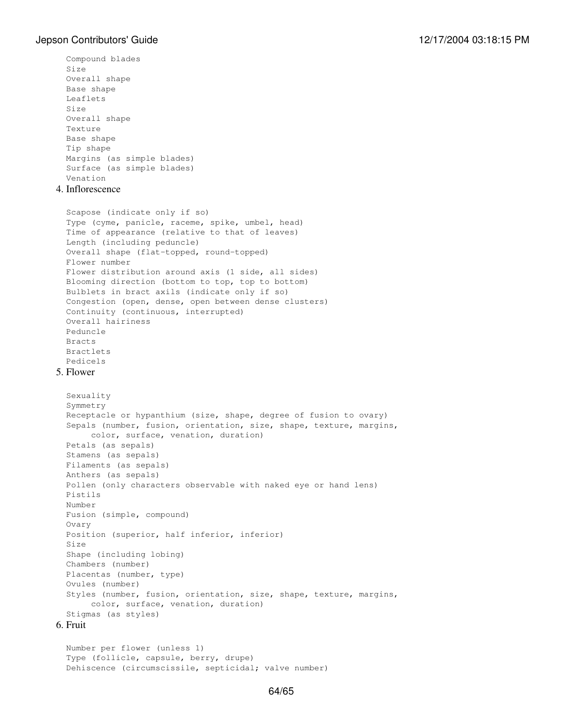```
Compound blades
Size
Overall shape
Base shape
Leaflets
Size
Overall shape
Texture
Base shape
Tip shape
Margins (as simple blades)
Surface (as simple blades)
Venation
```
#### <span id="page-63-0"></span>4. Inflorescence

```
Scapose (indicate only if so)
Type (cyme, panicle, raceme, spike, umbel, head)
Time of appearance (relative to that of leaves)
Length (including peduncle)
Overall shape (flat−topped, round−topped)
Flower number
Flower distribution around axis (1 side, all sides)
Blooming direction (bottom to top, top to bottom)
Bulblets in bract axils (indicate only if so)
Congestion (open, dense, open between dense clusters)
Continuity (continuous, interrupted) 
Overall hairiness
Peduncle
Bracts
Bractlets
Pedicels
```
#### <span id="page-63-1"></span>5. Flower

```
Sexuality
 Symmetry
 Receptacle or hypanthium (size, shape, degree of fusion to ovary)
 Sepals (number, fusion, orientation, size, shape, texture, margins,
       color, surface, venation, duration)
 Petals (as sepals)
 Stamens (as sepals)
 Filaments (as sepals) 
 Anthers (as sepals)
 Pollen (only characters observable with naked eye or hand lens)
 Pistils 
 Number
 Fusion (simple, compound)
 Ovary
 Position (superior, half inferior, inferior)
 SiZShape (including lobing)
 Chambers (number)
 Placentas (number, type)
 Ovules (number)
 Styles (number, fusion, orientation, size, shape, texture, margins,
       color, surface, venation, duration)
 Stigmas (as styles)
6. Fruit
```

```
Number per flower (unless 1)
Type (follicle, capsule, berry, drupe)
Dehiscence (circumscissile, septicidal; valve number)
```